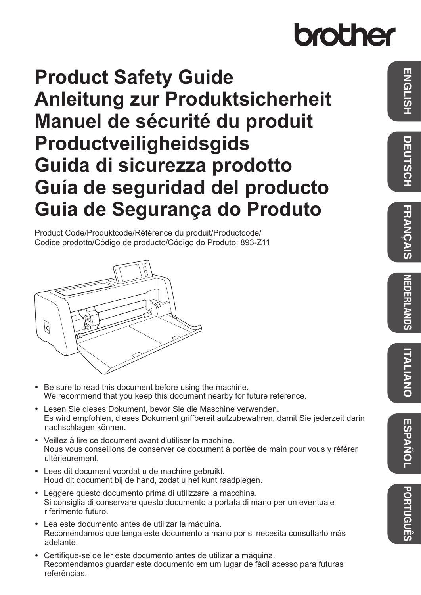# brother

# **Product Safety Guide Anleitung zur Produktsicherheit Manuel de sécurité du produit Productveiligheidsgids Guida di sicurezza prodotto Guía de seguridad del producto Guia de Segurança do Produto**

Product Code/Produktcode/Référence du produit/Productcode/ Codice prodotto/Código de producto/Código do Produto: 893-Z11



- Be sure to read this document before using the machine. We recommend that you keep this document nearby for future reference.
- Lesen Sie dieses Dokument, bevor Sie die Maschine verwenden. Es wird empfohlen, dieses Dokument griffbereit aufzubewahren, damit Sie jederzeit darin nachschlagen können.
- Veillez à lire ce document avant d'utiliser la machine. Nous vous conseillons de conserver ce document à portée de main pour vous y référer ultérieurement.
- Lees dit document voordat u de machine gebruikt. Houd dit document bij de hand, zodat u het kunt raadplegen.
- Leggere questo documento prima di utilizzare la macchina. Si consiglia di conservare questo documento a portata di mano per un eventuale riferimento futuro.
- Lea este documento antes de utilizar la máquina. Recomendamos que tenga este documento a mano por si necesita consultarlo más adelante.
- Certifique-se de ler este documento antes de utilizar a máquina. Recomendamos guardar este documento em um lugar de fácil acesso para futuras referências.

**PORTUGUÊS**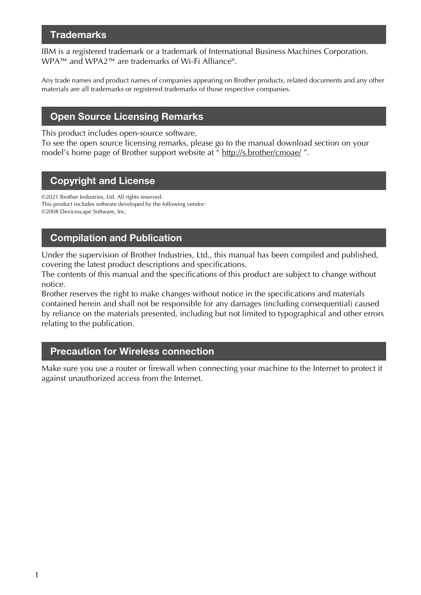### **Trademarks**

IBM is a registered trademark or a trademark of International Business Machines Corporation. WPA™ and WPA2™ are trademarks of Wi-Fi Alliance®.

Any trade names and product names of companies appearing on Brother products, related documents and any other materials are all trademarks or registered trademarks of those respective companies.

### Open Source Licensing Remarks

This product includes open-source software.

To see the open source licensing remarks, please go to the manual download section on your model's home page of Brother support website at " http://s.brother/cmoae/ ".

### Copyright and License

©2021 Brother Industries, Ltd. All rights reserved. This product includes software developed by the following vendor: ©2008 Devicescape Software, Inc.

### Compilation and Publication

Under the supervision of Brother Industries, Ltd., this manual has been compiled and published, covering the latest product descriptions and specifications.

The contents of this manual and the specifications of this product are subject to change without notice.

Brother reserves the right to make changes without notice in the specifications and materials contained herein and shall not be responsible for any damages (including consequential) caused by reliance on the materials presented, including but not limited to typographical and other errors relating to the publication.

### Precaution for Wireless connection

Make sure you use a router or firewall when connecting your machine to the Internet to protect it against unauthorized access from the Internet.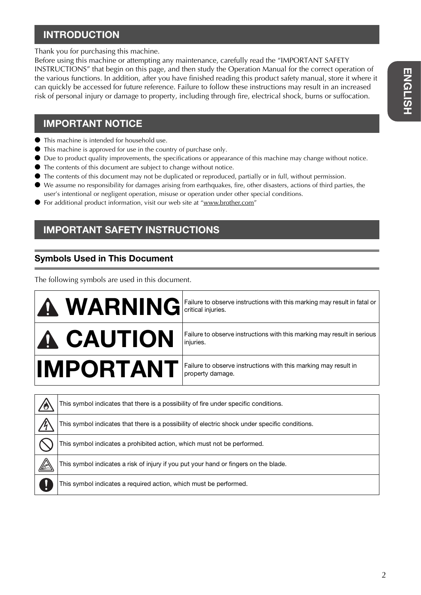# **ENGLISH ENGLISH**

## INTRODUCTION

Thank you for purchasing this machine.

Before using this machine or attempting any maintenance, carefully read the "IMPORTANT SAFETY INSTRUCTIONS" that begin on this page, and then study the Operation Manual for the correct operation of the various functions. In addition, after you have finished reading this product safety manual, store it where it can quickly be accessed for future reference. Failure to follow these instructions may result in an increased risk of personal injury or damage to property, including through fire, electrical shock, burns or suffocation.

### IMPORTANT NOTICE

- This machine is intended for household use.
- This machine is approved for use in the country of purchase only.
- Due to product quality improvements, the specifications or appearance of this machine may change without notice.
- The contents of this document are subject to change without notice.
- The contents of this document may not be duplicated or reproduced, partially or in full, without permission.
- We assume no responsibility for damages arising from earthquakes, fire, other disasters, actions of third parties, the user's intentional or negligent operation, misuse or operation under other special conditions.
- For additional product information, visit our web site at "www.brother.com"

## IMPORTANT SAFETY INSTRUCTIONS

## Symbols Used in This Document

The following symbols are used in this document.

|           | <b>MARNING</b> Failure to observe instructions with this marking may result in fatal or |
|-----------|-----------------------------------------------------------------------------------------|
| A CAUTION | Failure to observe instructions with this marking may result in serious<br>injuries.    |
| IMPORTANT | Failure to observe instructions with this marking may result in<br>property damage.     |

| 70 | This symbol indicates that there is a possibility of fire under specific conditions.           |
|----|------------------------------------------------------------------------------------------------|
|    | This symbol indicates that there is a possibility of electric shock under specific conditions. |
|    | This symbol indicates a prohibited action, which must not be performed.                        |
|    | This symbol indicates a risk of injury if you put your hand or fingers on the blade.           |
|    | This symbol indicates a required action, which must be performed.                              |
|    |                                                                                                |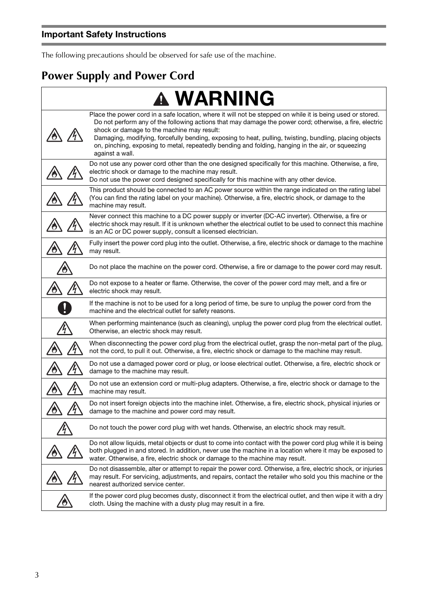Ē

The following precautions should be observed for safe use of the machine.

# **Power Supply and Power Cord**

| <b>WARNING</b>                                                                                                                                                                                                                                                                                                                                                                                                                                                                                         |
|--------------------------------------------------------------------------------------------------------------------------------------------------------------------------------------------------------------------------------------------------------------------------------------------------------------------------------------------------------------------------------------------------------------------------------------------------------------------------------------------------------|
| Place the power cord in a safe location, where it will not be stepped on while it is being used or stored.<br>Do not perform any of the following actions that may damage the power cord; otherwise, a fire, electric<br>shock or damage to the machine may result:<br>Damaging, modifying, forcefully bending, exposing to heat, pulling, twisting, bundling, placing objects<br>on, pinching, exposing to metal, repeatedly bending and folding, hanging in the air, or squeezing<br>against a wall. |
| Do not use any power cord other than the one designed specifically for this machine. Otherwise, a fire,<br>electric shock or damage to the machine may result.<br>Do not use the power cord designed specifically for this machine with any other device.                                                                                                                                                                                                                                              |
| This product should be connected to an AC power source within the range indicated on the rating label<br>(You can find the rating label on your machine). Otherwise, a fire, electric shock, or damage to the<br>machine may result.                                                                                                                                                                                                                                                                   |
| Never connect this machine to a DC power supply or inverter (DC-AC inverter). Otherwise, a fire or<br>electric shock may result. If it is unknown whether the electrical outlet to be used to connect this machine<br>is an AC or DC power supply, consult a licensed electrician.                                                                                                                                                                                                                     |
| Fully insert the power cord plug into the outlet. Otherwise, a fire, electric shock or damage to the machine<br>may result.                                                                                                                                                                                                                                                                                                                                                                            |
| Do not place the machine on the power cord. Otherwise, a fire or damage to the power cord may result.                                                                                                                                                                                                                                                                                                                                                                                                  |
| Do not expose to a heater or flame. Otherwise, the cover of the power cord may melt, and a fire or<br>electric shock may result.                                                                                                                                                                                                                                                                                                                                                                       |
| If the machine is not to be used for a long period of time, be sure to unplug the power cord from the<br>machine and the electrical outlet for safety reasons.                                                                                                                                                                                                                                                                                                                                         |
| When performing maintenance (such as cleaning), unplug the power cord plug from the electrical outlet.<br>Otherwise, an electric shock may result.                                                                                                                                                                                                                                                                                                                                                     |
| When disconnecting the power cord plug from the electrical outlet, grasp the non-metal part of the plug,<br>not the cord, to pull it out. Otherwise, a fire, electric shock or damage to the machine may result.                                                                                                                                                                                                                                                                                       |
| Do not use a damaged power cord or plug, or loose electrical outlet. Otherwise, a fire, electric shock or<br>damage to the machine may result.                                                                                                                                                                                                                                                                                                                                                         |
| Do not use an extension cord or multi-plug adapters. Otherwise, a fire, electric shock or damage to the<br>machine may result.                                                                                                                                                                                                                                                                                                                                                                         |
| Do not insert foreign objects into the machine inlet. Otherwise, a fire, electric shock, physical injuries or<br>damage to the machine and power cord may result.                                                                                                                                                                                                                                                                                                                                      |
| Do not touch the power cord plug with wet hands. Otherwise, an electric shock may result.                                                                                                                                                                                                                                                                                                                                                                                                              |
| Do not allow liquids, metal objects or dust to come into contact with the power cord plug while it is being<br>both plugged in and stored. In addition, never use the machine in a location where it may be exposed to<br>water. Otherwise, a fire, electric shock or damage to the machine may result.                                                                                                                                                                                                |
| Do not disassemble, alter or attempt to repair the power cord. Otherwise, a fire, electric shock, or injuries<br>may result. For servicing, adjustments, and repairs, contact the retailer who sold you this machine or the<br>nearest authorized service center.                                                                                                                                                                                                                                      |
| If the power cord plug becomes dusty, disconnect it from the electrical outlet, and then wipe it with a dry<br>cloth. Using the machine with a dusty plug may result in a fire.                                                                                                                                                                                                                                                                                                                        |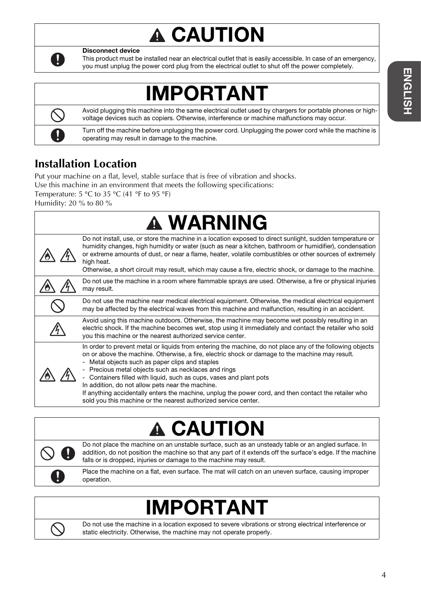# **A CAUTION**



Disconnect device

This product must be installed near an electrical outlet that is easily accessible. In case of an emergency, you must unplug the power cord plug from the electrical outlet to shut off the power completely.

# IMPORTANT

Avoid plugging this machine into the same electrical outlet used by chargers for portable phones or highvoltage devices such as copiers. Otherwise, interference or machine malfunctions may occur.

Turn off the machine before unplugging the power cord. Unplugging the power cord while the machine is operating may result in damage to the machine.

## **Installation Location**

Put your machine on a flat, level, stable surface that is free of vibration and shocks.

Use this machine in an environment that meets the following specifications:

Temperature:  $5 °C$  to  $35 °C$  (41 °F to  $95 °F$ )

Humidity: 20 % to 80 %

| Do not install, use, or store the machine in a location exposed to direct sunlight, sudden temperature or<br>humidity changes, high humidity or water (such as near a kitchen, bathroom or humidifier), condensation<br>or extreme amounts of dust, or near a flame, heater, volatile combustibles or other sources of extremely<br>high heat.<br>Otherwise, a short circuit may result, which may cause a fire, electric shock, or damage to the machine.<br>Do not use the machine in a room where flammable sprays are used. Otherwise, a fire or physical injuries<br>may result.<br>Do not use the machine near medical electrical equipment. Otherwise, the medical electrical equipment<br>may be affected by the electrical waves from this machine and malfunction, resulting in an accident.<br>Avoid using this machine outdoors. Otherwise, the machine may become wet possibly resulting in an<br>electric shock. If the machine becomes wet, stop using it immediately and contact the retailer who sold<br>you this machine or the nearest authorized service center.<br>In order to prevent metal or liquids from entering the machine, do not place any of the following objects<br>on or above the machine. Otherwise, a fire, electric shock or damage to the machine may result.<br>- Metal objects such as paper clips and staples<br>- Precious metal objects such as necklaces and rings<br>- Containers filled with liquid, such as cups, vases and plant pots<br>In addition, do not allow pets near the machine.<br>If anything accidentally enters the machine, unplug the power cord, and then contact the retailer who<br>sold you this machine or the nearest authorized service center. | <b>A WARNING</b> |
|------------------------------------------------------------------------------------------------------------------------------------------------------------------------------------------------------------------------------------------------------------------------------------------------------------------------------------------------------------------------------------------------------------------------------------------------------------------------------------------------------------------------------------------------------------------------------------------------------------------------------------------------------------------------------------------------------------------------------------------------------------------------------------------------------------------------------------------------------------------------------------------------------------------------------------------------------------------------------------------------------------------------------------------------------------------------------------------------------------------------------------------------------------------------------------------------------------------------------------------------------------------------------------------------------------------------------------------------------------------------------------------------------------------------------------------------------------------------------------------------------------------------------------------------------------------------------------------------------------------------------------------------------------------------------------------------------------------------|------------------|
|                                                                                                                                                                                                                                                                                                                                                                                                                                                                                                                                                                                                                                                                                                                                                                                                                                                                                                                                                                                                                                                                                                                                                                                                                                                                                                                                                                                                                                                                                                                                                                                                                                                                                                                        |                  |
|                                                                                                                                                                                                                                                                                                                                                                                                                                                                                                                                                                                                                                                                                                                                                                                                                                                                                                                                                                                                                                                                                                                                                                                                                                                                                                                                                                                                                                                                                                                                                                                                                                                                                                                        |                  |
|                                                                                                                                                                                                                                                                                                                                                                                                                                                                                                                                                                                                                                                                                                                                                                                                                                                                                                                                                                                                                                                                                                                                                                                                                                                                                                                                                                                                                                                                                                                                                                                                                                                                                                                        |                  |
|                                                                                                                                                                                                                                                                                                                                                                                                                                                                                                                                                                                                                                                                                                                                                                                                                                                                                                                                                                                                                                                                                                                                                                                                                                                                                                                                                                                                                                                                                                                                                                                                                                                                                                                        |                  |
|                                                                                                                                                                                                                                                                                                                                                                                                                                                                                                                                                                                                                                                                                                                                                                                                                                                                                                                                                                                                                                                                                                                                                                                                                                                                                                                                                                                                                                                                                                                                                                                                                                                                                                                        |                  |

# **A CAUTION**



Do not place the machine on an unstable surface, such as an unsteady table or an angled surface. In addition, do not position the machine so that any part of it extends off the surface's edge. If the machine falls or is dropped, injuries or damage to the machine may result.

Place the machine on a flat, even surface. The mat will catch on an uneven surface, causing improper operation.

# IMPORTANT



Do not use the machine in a location exposed to severe vibrations or strong electrical interference or static electricity. Otherwise, the machine may not operate properly.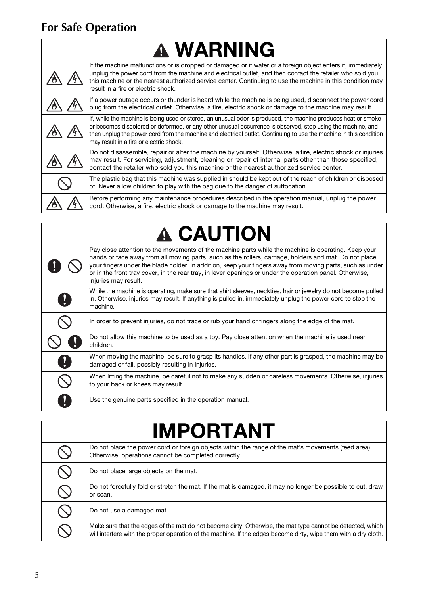# **For Safe Operation**

 $\overline{\Gamma}$ 

| <b>A WARNING</b>                                                                                                                                                                                                                                                                                                                                                                               |
|------------------------------------------------------------------------------------------------------------------------------------------------------------------------------------------------------------------------------------------------------------------------------------------------------------------------------------------------------------------------------------------------|
| If the machine malfunctions or is dropped or damaged or if water or a foreign object enters it, immediately<br>unplug the power cord from the machine and electrical outlet, and then contact the retailer who sold you<br>this machine or the nearest authorized service center. Continuing to use the machine in this condition may<br>result in a fire or electric shock.                   |
| If a power outage occurs or thunder is heard while the machine is being used, disconnect the power cord<br>plug from the electrical outlet. Otherwise, a fire, electric shock or damage to the machine may result.                                                                                                                                                                             |
| If, while the machine is being used or stored, an unusual odor is produced, the machine produces heat or smoke<br>or becomes discolored or deformed, or any other unusual occurrence is observed, stop using the machine, and<br>then unplug the power cord from the machine and electrical outlet. Continuing to use the machine in this condition<br>may result in a fire or electric shock. |
| Do not disassemble, repair or alter the machine by yourself. Otherwise, a fire, electric shock or injuries<br>may result. For servicing, adjustment, cleaning or repair of internal parts other than those specified,<br>contact the retailer who sold you this machine or the nearest authorized service center.                                                                              |
| The plastic bag that this machine was supplied in should be kept out of the reach of children or disposed<br>of. Never allow children to play with the bag due to the danger of suffocation.                                                                                                                                                                                                   |
| Before performing any maintenance procedures described in the operation manual, unplug the power<br>cord. Otherwise, a fire, electric shock or damage to the machine may result.                                                                                                                                                                                                               |

1

# **A CAUTION**

|   | Pay close attention to the movements of the machine parts while the machine is operating. Keep your<br>hands or face away from all moving parts, such as the rollers, carriage, holders and mat. Do not place<br>your fingers under the blade holder. In addition, keep your fingers away from moving parts, such as under<br>or in the front tray cover, in the rear tray, in lever openings or under the operation panel. Otherwise,<br>injuries may result. |
|---|----------------------------------------------------------------------------------------------------------------------------------------------------------------------------------------------------------------------------------------------------------------------------------------------------------------------------------------------------------------------------------------------------------------------------------------------------------------|
|   | While the machine is operating, make sure that shirt sleeves, neckties, hair or jewelry do not become pulled<br>in. Otherwise, injuries may result. If anything is pulled in, immediately unplug the power cord to stop the<br>machine.                                                                                                                                                                                                                        |
|   | In order to prevent injuries, do not trace or rub your hand or fingers along the edge of the mat.                                                                                                                                                                                                                                                                                                                                                              |
|   | Do not allow this machine to be used as a toy. Pay close attention when the machine is used near<br>children.                                                                                                                                                                                                                                                                                                                                                  |
| O | When moving the machine, be sure to grasp its handles. If any other part is grasped, the machine may be<br>damaged or fall, possibly resulting in injuries.                                                                                                                                                                                                                                                                                                    |
|   | When lifting the machine, be careful not to make any sudden or careless movements. Otherwise, injuries<br>to your back or knees may result.                                                                                                                                                                                                                                                                                                                    |
|   | Use the genuine parts specified in the operation manual.                                                                                                                                                                                                                                                                                                                                                                                                       |

| <b>IMPORTANT</b>                                                                                                                                                                                                              |
|-------------------------------------------------------------------------------------------------------------------------------------------------------------------------------------------------------------------------------|
| Do not place the power cord or foreign objects within the range of the mat's movements (feed area).<br>Otherwise, operations cannot be completed correctly.                                                                   |
| Do not place large objects on the mat.                                                                                                                                                                                        |
| Do not forcefully fold or stretch the mat. If the mat is damaged, it may no longer be possible to cut, draw<br>or scan.                                                                                                       |
| Do not use a damaged mat.                                                                                                                                                                                                     |
| Make sure that the edges of the mat do not become dirty. Otherwise, the mat type cannot be detected, which<br>will interfere with the proper operation of the machine. If the edges become dirty, wipe them with a dry cloth. |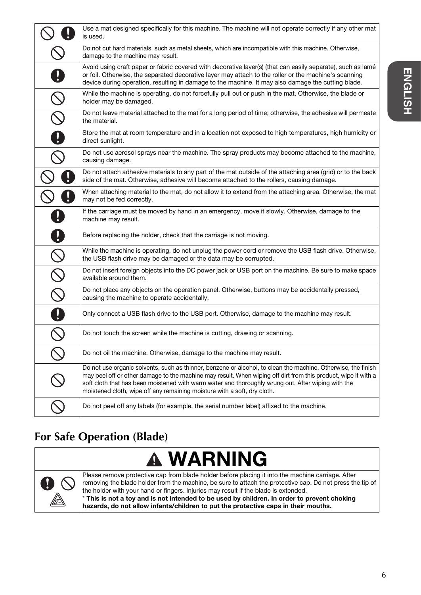|                                                           | Use a mat designed specifically for this machine. The machine will not operate correctly if any other mat<br>is used.                                                                                                                                                                                                                                                                                             |
|-----------------------------------------------------------|-------------------------------------------------------------------------------------------------------------------------------------------------------------------------------------------------------------------------------------------------------------------------------------------------------------------------------------------------------------------------------------------------------------------|
|                                                           | Do not cut hard materials, such as metal sheets, which are incompatible with this machine. Otherwise,<br>damage to the machine may result.                                                                                                                                                                                                                                                                        |
|                                                           | Avoid using craft paper or fabric covered with decorative layer(s) (that can easily separate), such as lamé<br>or foil. Otherwise, the separated decorative layer may attach to the roller or the machine's scanning<br>device during operation, resulting in damage to the machine. It may also damage the cutting blade.                                                                                        |
|                                                           | While the machine is operating, do not forcefully pull out or push in the mat. Otherwise, the blade or<br>holder may be damaged.                                                                                                                                                                                                                                                                                  |
| $\mathcal{Q}$                                             | Do not leave material attached to the mat for a long period of time; otherwise, the adhesive will permeate<br>the material.                                                                                                                                                                                                                                                                                       |
| $\boldsymbol{0}$                                          | Store the mat at room temperature and in a location not exposed to high temperatures, high humidity or<br>direct sunlight.                                                                                                                                                                                                                                                                                        |
|                                                           | Do not use aerosol sprays near the machine. The spray products may become attached to the machine,<br>causing damage.                                                                                                                                                                                                                                                                                             |
|                                                           | Do not attach adhesive materials to any part of the mat outside of the attaching area (grid) or to the back<br>side of the mat. Otherwise, adhesive will become attached to the rollers, causing damage.                                                                                                                                                                                                          |
|                                                           | When attaching material to the mat, do not allow it to extend from the attaching area. Otherwise, the mat<br>may not be fed correctly.                                                                                                                                                                                                                                                                            |
|                                                           | If the carriage must be moved by hand in an emergency, move it slowly. Otherwise, damage to the<br>machine may result.                                                                                                                                                                                                                                                                                            |
| $\boldsymbol{0}$                                          | Before replacing the holder, check that the carriage is not moving.                                                                                                                                                                                                                                                                                                                                               |
| $\mathcal{S}% _{M_{1},M_{2}}^{\alpha,\beta}(\varepsilon)$ | While the machine is operating, do not unplug the power cord or remove the USB flash drive. Otherwise,<br>the USB flash drive may be damaged or the data may be corrupted.                                                                                                                                                                                                                                        |
|                                                           | Do not insert foreign objects into the DC power jack or USB port on the machine. Be sure to make space<br>available around them.                                                                                                                                                                                                                                                                                  |
| $\frac{\overline{\otimes}}{\mathbb{C}}$                   | Do not place any objects on the operation panel. Otherwise, buttons may be accidentally pressed,<br>causing the machine to operate accidentally.                                                                                                                                                                                                                                                                  |
| 0                                                         | Only connect a USB flash drive to the USB port. Otherwise, damage to the machine may result.                                                                                                                                                                                                                                                                                                                      |
|                                                           | Do not touch the screen while the machine is cutting, drawing or scanning.                                                                                                                                                                                                                                                                                                                                        |
|                                                           | Do not oil the machine. Otherwise, damage to the machine may result.                                                                                                                                                                                                                                                                                                                                              |
|                                                           | Do not use organic solvents, such as thinner, benzene or alcohol, to clean the machine. Otherwise, the finish<br>may peel off or other damage to the machine may result. When wiping off dirt from this product, wipe it with a<br>soft cloth that has been moistened with warm water and thoroughly wrung out. After wiping with the<br>moistened cloth, wipe off any remaining moisture with a soft, dry cloth. |
|                                                           | Do not peel off any labels (for example, the serial number label) affixed to the machine.                                                                                                                                                                                                                                                                                                                         |

# **For Safe Operation (Blade)**

# **A WARNING**



Please remove protective cap from blade holder before placing it into the machine carriage. After removing the blade holder from the machine, be sure to attach the protective cap. Do not press the tip of the holder with your hand or fingers. Injuries may result if the blade is extended. \* This is not a toy and is not intended to be used by children. In order to prevent choking hazards, do not allow infants/children to put the protective caps in their mouths.

**ENGLISH**

**ENGLISH** 

6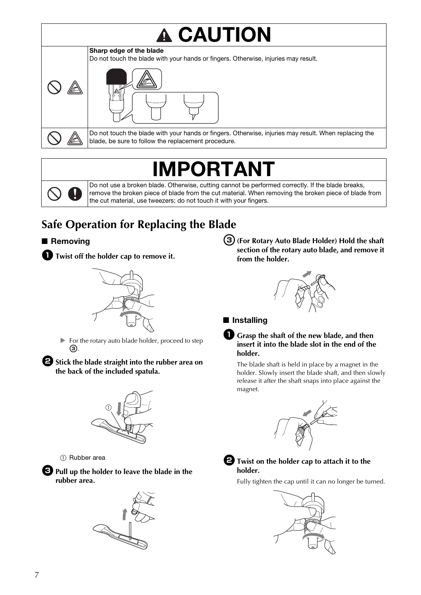# **A CAUTION** Sharp edge of the blade



Do not touch the blade with your hands or fingers. Otherwise, injuries may result. When replacing the blade, be sure to follow the replacement procedure.

# **IPORTANT**

Do not use a broken blade. Otherwise, cutting cannot be performed correctly. If the blade breaks, remove the broken piece of blade from the cut material. When removing the broken piece of blade from the cut material, use tweezers; do not touch it with your fingers.

# **Safe Operation for Replacing the Blade**

### ■ Removing



 $\bullet$  Twist off the holder cap to remove it.

For the rotary auto blade holder, proceed to step  $\odot$ .

 $\bullet$  Stick the blade straight into the rubber area on **the back of the included spatula.**



1 Rubber area

<sup>c</sup>**Pull up the holder to leave the blade in the rubber area.**



<sup>c</sup>**(For Rotary Auto Blade Holder) Hold the shaft section of the rotary auto blade, and remove it from the holder.**



### ■ Installing



The blade shaft is held in place by a magnet in the holder. Slowly insert the blade shaft, and then slowly release it after the shaft snaps into place against the magnet.





Fully tighten the cap until it can no longer be turned.

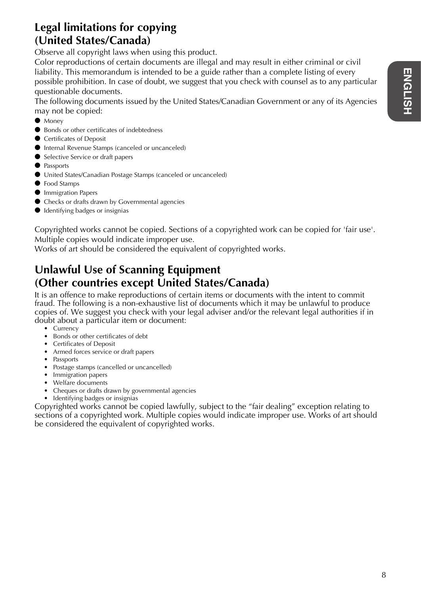## **Legal limitations for copying (United States/Canada)**

Observe all copyright laws when using this product.

Color reproductions of certain documents are illegal and may result in either criminal or civil liability. This memorandum is intended to be a guide rather than a complete listing of every possible prohibition. In case of doubt, we suggest that you check with counsel as to any particular questionable documents.

The following documents issued by the United States/Canadian Government or any of its Agencies may not be copied:

- Money
- Bonds or other certificates of indebtedness
- Certificates of Deposit
- Internal Revenue Stamps (canceled or uncanceled)
- Selective Service or draft papers
- Passports
- United States/Canadian Postage Stamps (canceled or uncanceled)
- Food Stamps
- **Immigration Papers**
- Checks or drafts drawn by Governmental agencies
- Identifying badges or insignias

Copyrighted works cannot be copied. Sections of a copyrighted work can be copied for 'fair use'. Multiple copies would indicate improper use.

Works of art should be considered the equivalent of copyrighted works.

## **Unlawful Use of Scanning Equipment (Other countries except United States/Canada)**

It is an offence to make reproductions of certain items or documents with the intent to commit fraud. The following is a non-exhaustive list of documents which it may be unlawful to produce copies of. We suggest you check with your legal adviser and/or the relevant legal authorities if in doubt about a particular item or document:

- Currency
- Bonds or other certificates of debt
- Certificates of Deposit
- Armed forces service or draft papers
- Passports
- Postage stamps (cancelled or uncancelled)
- Immigration papers
- Welfare documents
- Cheques or drafts drawn by governmental agencies
- Identifying badges or insignias

Copyrighted works cannot be copied lawfully, subject to the "fair dealing" exception relating to sections of a copyrighted work. Multiple copies would indicate improper use. Works of art should be considered the equivalent of copyrighted works.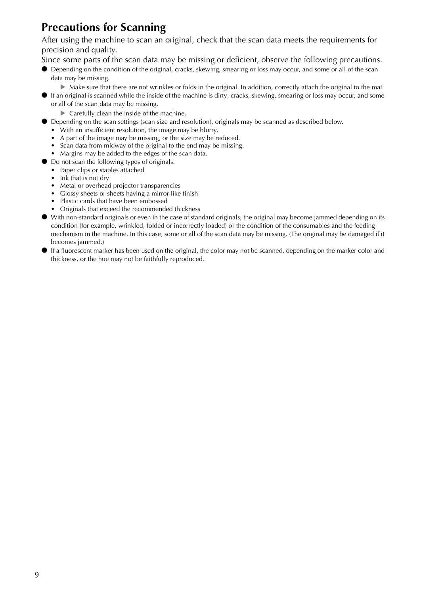## **Precautions for Scanning**

After using the machine to scan an original, check that the scan data meets the requirements for precision and quality.

Since some parts of the scan data may be missing or deficient, observe the following precautions.

- Depending on the condition of the original, cracks, skewing, smearing or loss may occur, and some or all of the scan data may be missing.
	- $\triangleright$  Make sure that there are not wrinkles or folds in the original. In addition, correctly attach the original to the mat.
- If an original is scanned while the inside of the machine is dirty, cracks, skewing, smearing or loss may occur, and some or all of the scan data may be missing.
	- ▶ Carefully clean the inside of the machine.
- Depending on the scan settings (scan size and resolution), originals may be scanned as described below.
	- With an insufficient resolution, the image may be blurry.
	- A part of the image may be missing, or the size may be reduced.
	- Scan data from midway of the original to the end may be missing.
	- Margins may be added to the edges of the scan data.
- Do not scan the following types of originals.
	- Paper clips or staples attached
	- Ink that is not dry
	- Metal or overhead projector transparencies
	- Glossy sheets or sheets having a mirror-like finish
	- Plastic cards that have been embossed
	- Originals that exceed the recommended thickness
- With non-standard originals or even in the case of standard originals, the original may become jammed depending on its condition (for example, wrinkled, folded or incorrectly loaded) or the condition of the consumables and the feeding mechanism in the machine. In this case, some or all of the scan data may be missing. (The original may be damaged if it becomes jammed.)
- If a fluorescent marker has been used on the original, the color may not be scanned, depending on the marker color and thickness, or the hue may not be faithfully reproduced.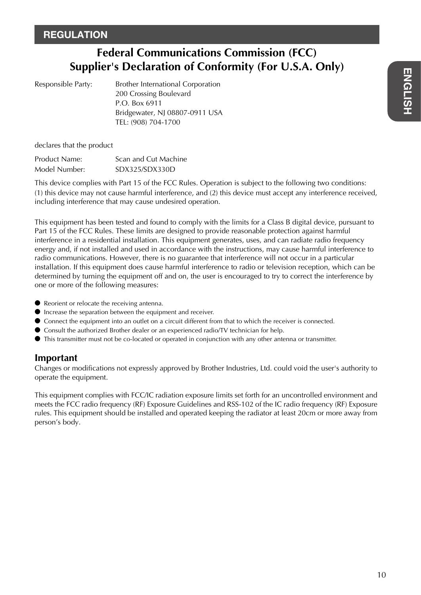## **Federal Communications Commission (FCC) Supplier's Declaration of Conformity (For U.S.A. Only)**

| Responsible Party |  |
|-------------------|--|
|-------------------|--|

Brother International Corporation 200 Crossing Boulevard P.O. Box 6911 Bridgewater, NJ 08807-0911 USA TEL: (908) 704-1700

declares that the product

| Product Name: | Scan and Cut Machine |
|---------------|----------------------|
| Model Number: | SDX325/SDX330D       |

This device complies with Part 15 of the FCC Rules. Operation is subject to the following two conditions: (1) this device may not cause harmful interference, and (2) this device must accept any interference received, including interference that may cause undesired operation.

This equipment has been tested and found to comply with the limits for a Class B digital device, pursuant to Part 15 of the FCC Rules. These limits are designed to provide reasonable protection against harmful interference in a residential installation. This equipment generates, uses, and can radiate radio frequency energy and, if not installed and used in accordance with the instructions, may cause harmful interference to radio communications. However, there is no guarantee that interference will not occur in a particular installation. If this equipment does cause harmful interference to radio or television reception, which can be determined by turning the equipment off and on, the user is encouraged to try to correct the interference by one or more of the following measures:

- Reorient or relocate the receiving antenna.
- Increase the separation between the equipment and receiver.
- Connect the equipment into an outlet on a circuit different from that to which the receiver is connected.
- Consult the authorized Brother dealer or an experienced radio/TV technician for help.
- This transmitter must not be co-located or operated in conjunction with any other antenna or transmitter.

#### **Important**

Changes or modifications not expressly approved by Brother Industries, Ltd. could void the user's authority to operate the equipment.

This equipment complies with FCC/IC radiation exposure limits set forth for an uncontrolled environment and meets the FCC radio frequency (RF) Exposure Guidelines and RSS-102 of the IC radio frequency (RF) Exposure rules. This equipment should be installed and operated keeping the radiator at least 20cm or more away from person's body.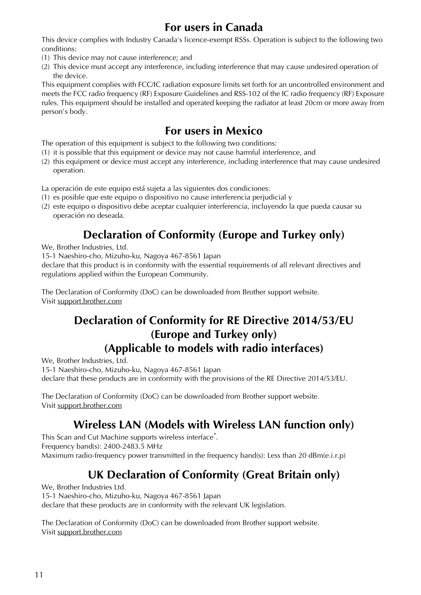## **For users in Canada**

This device complies with Industry Canada's licence-exempt RSSs. Operation is subject to the following two conditions:

- (1) This device may not cause interference; and
- (2) This device must accept any interference, including interference that may cause undesired operation of the device.

This equipment complies with FCC/IC radiation exposure limits set forth for an uncontrolled environment and meets the FCC radio frequency (RF) Exposure Guidelines and RSS-102 of the IC radio frequency (RF) Exposure rules. This equipment should be installed and operated keeping the radiator at least 20cm or more away from person's body.

## **For users in Mexico**

The operation of this equipment is subject to the following two conditions:

- (1) it is possible that this equipment or device may not cause harmful interference, and
- (2) this equipment or device must accept any interference, including interference that may cause undesired operation.

La operación de este equipo está sujeta a las siguientes dos condiciones:

- (1) es posible que este equipo o dispositivo no cause interferencia perjudicial y
- (2) este equipo o dispositivo debe aceptar cualquier interferencia, incluyendo la que pueda causar su operación no deseada.

## **Declaration of Conformity (Europe and Turkey only)**

We, Brother Industries, Ltd.

15-1 Naeshiro-cho, Mizuho-ku, Nagoya 467-8561 Japan

declare that this product is in conformity with the essential requirements of all relevant directives and regulations applied within the European Community.

The Declaration of Conformity (DoC) can be downloaded from Brother support website. Visit support.brother.com

## **Declaration of Conformity for RE Directive 2014/53/EU (Europe and Turkey only) (Applicable to models with radio interfaces)**

We, Brother Industries, Ltd.

15-1 Naeshiro-cho, Mizuho-ku, Nagoya 467-8561 Japan

declare that these products are in conformity with the provisions of the RE Directive 2014/53/EU.

The Declaration of Conformity (DoC) can be downloaded from Brother support website. Visit support.brother.com

## **Wireless LAN (Models with Wireless LAN function only)**

This Scan and Cut Machine supports wireless interface\* . Frequency band(s): 2400-2483.5 MHz Maximum radio-frequency power transmitted in the frequency band(s): Less than 20 dBm(e.i.r.p)

# **UK Declaration of Conformity (Great Britain only)**

We, Brother Industries Ltd. 15-1 Naeshiro-cho, Mizuho-ku, Nagoya 467-8561 Japan declare that these products are in conformity with the relevant UK legislation.

The Declaration of Conformity (DoC) can be downloaded from Brother support website. Visit support.brother.com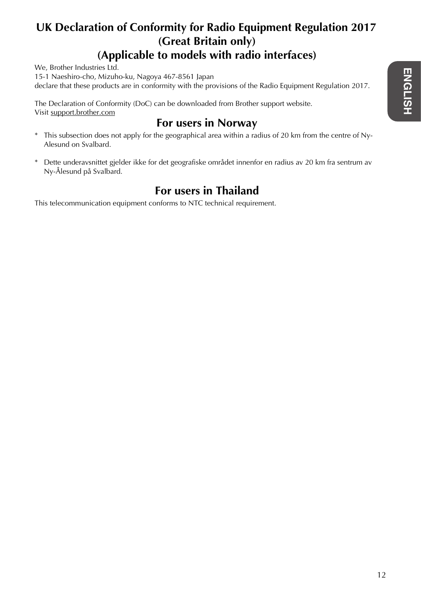## **UK Declaration of Conformity for Radio Equipment Regulation 2017 (Great Britain only) (Applicable to models with radio interfaces)**

We, Brother Industries Ltd.

15-1 Naeshiro-cho, Mizuho-ku, Nagoya 467-8561 Japan declare that these products are in conformity with the provisions of the Radio Equipment Regulation 2017.

The Declaration of Conformity (DoC) can be downloaded from Brother support website. Visit support.brother.com

## **For users in Norway**

- \* This subsection does not apply for the geographical area within a radius of 20 km from the centre of Ny-Alesund on Svalbard.
- \* Dette underavsnittet gjelder ikke for det geografiske området innenfor en radius av 20 km fra sentrum av Ny-Ålesund på Svalbard.

## **For users in Thailand**

This telecommunication equipment conforms to NTC technical requirement.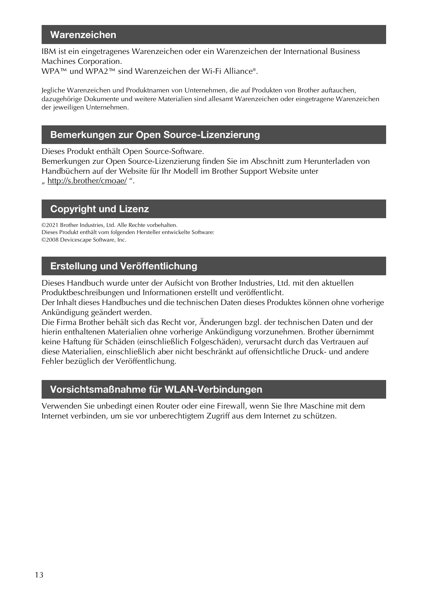### Warenzeichen

IBM ist ein eingetragenes Warenzeichen oder ein Warenzeichen der International Business Machines Corporation. WPA™ und WPA2™ sind Warenzeichen der Wi-Fi Alliance®.

Jegliche Warenzeichen und Produktnamen von Unternehmen, die auf Produkten von Brother auftauchen, dazugehörige Dokumente und weitere Materialien sind allesamt Warenzeichen oder eingetragene Warenzeichen der jeweiligen Unternehmen.

### Bemerkungen zur Open Source-Lizenzierung

Dieses Produkt enthält Open Source-Software.

Bemerkungen zur Open Source-Lizenzierung finden Sie im Abschnitt zum Herunterladen von Handbüchern auf der Website für Ihr Modell im Brother Support Website unter

" http://s.brother/cmoae/ ".

### Copyright und Lizenz

©2021 Brother Industries, Ltd. Alle Rechte vorbehalten. Dieses Produkt enthält vom folgenden Hersteller entwickelte Software: ©2008 Devicescape Software, Inc.

### Erstellung und Veröffentlichung

Dieses Handbuch wurde unter der Aufsicht von Brother Industries, Ltd. mit den aktuellen Produktbeschreibungen und Informationen erstellt und veröffentlicht.

Der Inhalt dieses Handbuches und die technischen Daten dieses Produktes können ohne vorherige Ankündigung geändert werden.

Die Firma Brother behält sich das Recht vor, Änderungen bzgl. der technischen Daten und der hierin enthaltenen Materialien ohne vorherige Ankündigung vorzunehmen. Brother übernimmt keine Haftung für Schäden (einschließlich Folgeschäden), verursacht durch das Vertrauen auf diese Materialien, einschließlich aber nicht beschränkt auf offensichtliche Druck- und andere Fehler bezüglich der Veröffentlichung.

### Vorsichtsmaßnahme für WLAN-Verbindungen

Verwenden Sie unbedingt einen Router oder eine Firewall, wenn Sie Ihre Maschine mit dem Internet verbinden, um sie vor unberechtigtem Zugriff aus dem Internet zu schützen.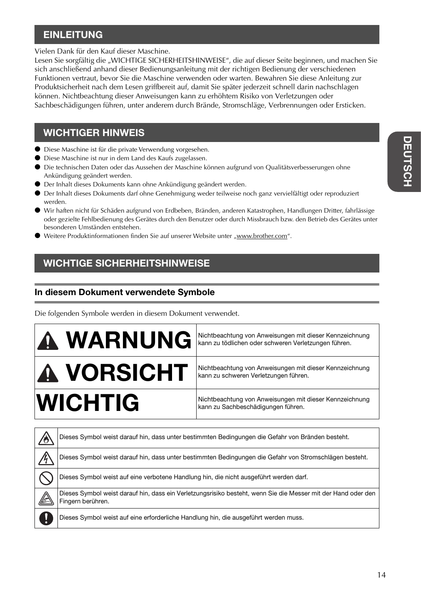### **EINLEITUNG**

Vielen Dank für den Kauf dieser Maschine.

Lesen Sie sorgfältig die "WICHTIGE SICHERHEITSHINWEISE", die auf dieser Seite beginnen, und machen Sie sich anschließend anhand dieser Bedienungsanleitung mit der richtigen Bedienung der verschiedenen Funktionen vertraut, bevor Sie die Maschine verwenden oder warten. Bewahren Sie diese Anleitung zur Produktsicherheit nach dem Lesen griffbereit auf, damit Sie später jederzeit schnell darin nachschlagen können. Nichtbeachtung dieser Anweisungen kann zu erhöhtem Risiko von Verletzungen oder Sachbeschädigungen führen, unter anderem durch Brände, Stromschläge, Verbrennungen oder Ersticken.

### WICHTIGER HINWEIS

- Diese Maschine ist für die private Verwendung vorgesehen.
- Diese Maschine ist nur in dem Land des Kaufs zugelassen.
- Die technischen Daten oder das Aussehen der Maschine können aufgrund von Qualitätsverbesserungen ohne Ankündigung geändert werden.
- Der Inhalt dieses Dokuments kann ohne Ankündigung geändert werden.
- Der Inhalt dieses Dokuments darf ohne Genehmigung weder teilweise noch ganz vervielfältigt oder reproduziert werden.
- Wir haften nicht für Schäden aufgrund von Erdbeben, Bränden, anderen Katastrophen, Handlungen Dritter, fahrlässige oder gezielte Fehlbedienung des Gerätes durch den Benutzer oder durch Missbrauch bzw. den Betrieb des Gerätes unter besonderen Umständen entstehen.
- Weitere Produktinformationen finden Sie auf unserer Website unter "www.brother.com".

## WICHTIGE SICHERHEITSHINWEISE

### In diesem Dokument verwendete Symbole

Die folgenden Symbole werden in diesem Dokument verwendet.

| A WARNUNG         | Nichtbeachtung von Anweisungen mit dieser Kennzeichnung<br>kann zu tödlichen oder schweren Verletzungen führen. |
|-------------------|-----------------------------------------------------------------------------------------------------------------|
| <b>A VORSICHT</b> | Nichtbeachtung von Anweisungen mit dieser Kennzeichnung<br>kann zu schweren Verletzungen führen.                |
| <b>WICHTIG</b>    | Nichtbeachtung von Anweisungen mit dieser Kennzeichnung<br>kann zu Sachbeschädigungen führen.                   |

| Dieses Symbol weist darauf hin, dass unter bestimmten Bedingungen die Gefahr von Bränden besteht.                                  |
|------------------------------------------------------------------------------------------------------------------------------------|
| Dieses Symbol weist darauf hin, dass unter bestimmten Bedingungen die Gefahr von Stromschlägen besteht.                            |
| Dieses Symbol weist auf eine verbotene Handlung hin, die nicht ausgeführt werden darf.                                             |
| Dieses Symbol weist darauf hin, dass ein Verletzungsrisiko besteht, wenn Sie die Messer mit der Hand oder den<br>Fingern berühren. |
| Dieses Symbol weist auf eine erforderliche Handlung hin, die ausgeführt werden muss.                                               |
|                                                                                                                                    |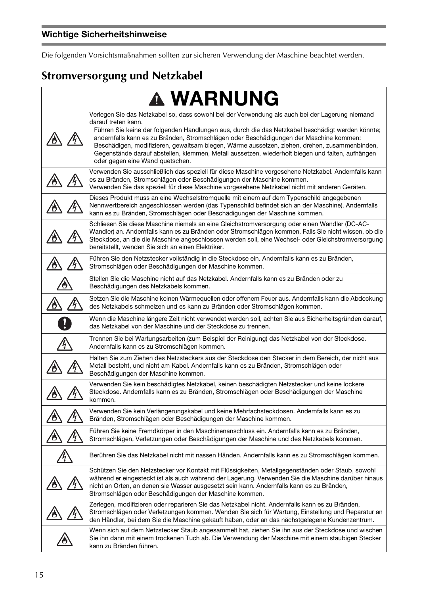Die folgenden Vorsichtsmaßnahmen sollten zur sicheren Verwendung der Maschine beachtet werden.

# **Stromversorgung und Netzkabel**

|               | <b>A WARNUNG</b>                                                                                                                                                                                                                                                                                                                                                                                                                                                                                                                                             |
|---------------|--------------------------------------------------------------------------------------------------------------------------------------------------------------------------------------------------------------------------------------------------------------------------------------------------------------------------------------------------------------------------------------------------------------------------------------------------------------------------------------------------------------------------------------------------------------|
|               | Verlegen Sie das Netzkabel so, dass sowohl bei der Verwendung als auch bei der Lagerung niemand<br>darauf treten kann.<br>Führen Sie keine der folgenden Handlungen aus, durch die das Netzkabel beschädigt werden könnte;<br>andernfalls kann es zu Bränden, Stromschlägen oder Beschädigungen der Maschine kommen:<br>Beschädigen, modifizieren, gewaltsam biegen, Wärme aussetzen, ziehen, drehen, zusammenbinden,<br>Gegenstände darauf abstellen, klemmen, Metall aussetzen, wiederholt biegen und falten, aufhängen<br>oder gegen eine Wand quetschen. |
|               | Verwenden Sie ausschließlich das speziell für diese Maschine vorgesehene Netzkabel. Andernfalls kann<br>es zu Bränden, Stromschlägen oder Beschädigungen der Maschine kommen.<br>Verwenden Sie das speziell für diese Maschine vorgesehene Netzkabel nicht mit anderen Geräten.                                                                                                                                                                                                                                                                              |
|               | Dieses Produkt muss an eine Wechselstromquelle mit einem auf dem Typenschild angegebenen<br>Nennwertbereich angeschlossen werden (das Typenschild befindet sich an der Maschine). Andernfalls<br>kann es zu Bränden, Stromschlägen oder Beschädigungen der Maschine kommen.                                                                                                                                                                                                                                                                                  |
|               | Schliesen Sie diese Maschine niemals an eine Gleichstromversorgung oder einen Wandler (DC-AC-<br>Wandler) an. Andernfalls kann es zu Bränden oder Stromschlägen kommen. Falls Sie nicht wissen, ob die<br>Steckdose, an die die Maschine angeschlossen werden soll, eine Wechsel- oder Gleichstromversorgung<br>bereitstellt, wenden Sie sich an einen Elektriker.                                                                                                                                                                                           |
|               | Führen Sie den Netzstecker vollständig in die Steckdose ein. Andernfalls kann es zu Bränden,<br>Stromschlägen oder Beschädigungen der Maschine kommen.                                                                                                                                                                                                                                                                                                                                                                                                       |
|               | Stellen Sie die Maschine nicht auf das Netzkabel. Andernfalls kann es zu Bränden oder zu<br>Beschädigungen des Netzkabels kommen.                                                                                                                                                                                                                                                                                                                                                                                                                            |
|               | Setzen Sie die Maschine keinen Wärmequellen oder offenem Feuer aus. Andernfalls kann die Abdeckung<br>des Netzkabels schmelzen und es kann zu Bränden oder Stromschlägen kommen.                                                                                                                                                                                                                                                                                                                                                                             |
|               | Wenn die Maschine längere Zeit nicht verwendet werden soll, achten Sie aus Sicherheitsgründen darauf,<br>das Netzkabel von der Maschine und der Steckdose zu trennen.                                                                                                                                                                                                                                                                                                                                                                                        |
|               | Trennen Sie bei Wartungsarbeiten (zum Beispiel der Reinigung) das Netzkabel von der Steckdose.<br>Andernfalls kann es zu Stromschlägen kommen.                                                                                                                                                                                                                                                                                                                                                                                                               |
|               | Halten Sie zum Ziehen des Netzsteckers aus der Steckdose den Stecker in dem Bereich, der nicht aus<br>Metall besteht, und nicht am Kabel. Andernfalls kann es zu Bränden, Stromschlägen oder<br>Beschädigungen der Maschine kommen.                                                                                                                                                                                                                                                                                                                          |
|               | Verwenden Sie kein beschädigtes Netzkabel, keinen beschädigten Netzstecker und keine lockere<br>Steckdose. Andernfalls kann es zu Bränden, Stromschlägen oder Beschädigungen der Maschine<br>kommen.                                                                                                                                                                                                                                                                                                                                                         |
|               | Verwenden Sie kein Verlängerungskabel und keine Mehrfachsteckdosen. Andernfalls kann es zu<br>Bränden, Stromschlägen oder Beschädigungen der Maschine kommen.                                                                                                                                                                                                                                                                                                                                                                                                |
|               | Führen Sie keine Fremdkörper in den Maschinenanschluss ein. Andernfalls kann es zu Bränden,<br>Stromschlägen, Verletzungen oder Beschädigungen der Maschine und des Netzkabels kommen.                                                                                                                                                                                                                                                                                                                                                                       |
| $\frac{1}{4}$ | Berühren Sie das Netzkabel nicht mit nassen Händen. Andernfalls kann es zu Stromschlägen kommen.                                                                                                                                                                                                                                                                                                                                                                                                                                                             |
|               | Schützen Sie den Netzstecker vor Kontakt mit Flüssigkeiten, Metallgegenständen oder Staub, sowohl<br>während er eingesteckt ist als auch während der Lagerung. Verwenden Sie die Maschine darüber hinaus<br>nicht an Orten, an denen sie Wasser ausgesetzt sein kann. Andernfalls kann es zu Bränden,<br>Stromschlägen oder Beschädigungen der Maschine kommen.                                                                                                                                                                                              |
|               | Zerlegen, modifizieren oder reparieren Sie das Netzkabel nicht. Andernfalls kann es zu Bränden,<br>Stromschlägen oder Verletzungen kommen. Wenden Sie sich für Wartung, Einstellung und Reparatur an<br>den Händler, bei dem Sie die Maschine gekauft haben, oder an das nächstgelegene Kundenzentrum.                                                                                                                                                                                                                                                       |
|               | Wenn sich auf dem Netzstecker Staub angesammelt hat, ziehen Sie ihn aus der Steckdose und wischen<br>Sie ihn dann mit einem trockenen Tuch ab. Die Verwendung der Maschine mit einem staubigen Stecker<br>kann zu Bränden führen.                                                                                                                                                                                                                                                                                                                            |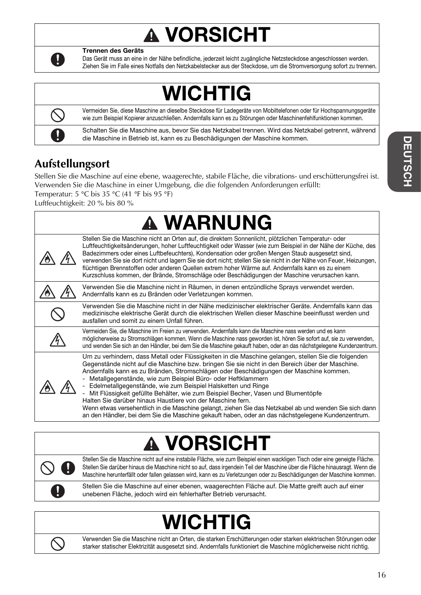# VORSICHT



Trennen des Geräts

Das Gerät muss an eine in der Nähe befindliche, jederzeit leicht zugängliche Netzsteckdose angeschlossen werden. Ziehen Sie im Falle eines Notfalls den Netzkabelstecker aus der Steckdose, um die Stromversorgung sofort zu trennen.

# WICHTIG



Vermeiden Sie, diese Maschine an dieselbe Steckdose für Ladegeräte von Mobiltelefonen oder für Hochspannungsgeräte wie zum Beispiel Kopierer anzuschließen. Andernfalls kann es zu Störungen oder Maschinenfehlfunktionen kommen.

Schalten Sie die Maschine aus, bevor Sie das Netzkabel trennen. Wird das Netzkabel getrennt, während die Maschine in Betrieb ist, kann es zu Beschädigungen der Maschine kommen.

## **Aufstellungsort**

Stellen Sie die Maschine auf eine ebene, waagerechte, stabile Fläche, die vibrations- und erschütterungsfrei ist. Verwenden Sie die Maschine in einer Umgebung, die die folgenden Anforderungen erfüllt: Temperatur: 5 °C bis 35 °C (41 °F bis 95 °F)

Luftfeuchtigkeit: 20 % bis 80 %

|                                                                                                                                                        | <b>A WARNUNG</b>                                                                                                                                                                                                                                                                                                                                                                                                                                                                                                                                                                                                                                                                                                                                                                                     |
|--------------------------------------------------------------------------------------------------------------------------------------------------------|------------------------------------------------------------------------------------------------------------------------------------------------------------------------------------------------------------------------------------------------------------------------------------------------------------------------------------------------------------------------------------------------------------------------------------------------------------------------------------------------------------------------------------------------------------------------------------------------------------------------------------------------------------------------------------------------------------------------------------------------------------------------------------------------------|
|                                                                                                                                                        | Stellen Sie die Maschine nicht an Orten auf, die direktem Sonnenlicht, plötzlichen Temperatur- oder<br>Luftfeuchtigkeitsänderungen, hoher Luftfeuchtigkeit oder Wasser (wie zum Beispiel in der Nähe der Küche, des<br>Badezimmers oder eines Luftbefeuchters), Kondensation oder großen Mengen Staub ausgesetzt sind,<br>verwenden Sie sie dort nicht und lagern Sie sie dort nicht; stellen Sie sie nicht in der Nähe von Feuer, Heizungen,<br>flüchtigen Brennstoffen oder anderen Quellen extrem hoher Wärme auf. Andernfalls kann es zu einem<br>Kurzschluss kommen, der Brände, Stromschläge oder Beschädigungen der Maschine verursachen kann.                                                                                                                                                |
| Verwenden Sie die Maschine nicht in Räumen, in denen entzündliche Sprays verwendet werden.<br>Andernfalls kann es zu Bränden oder Verletzungen kommen. |                                                                                                                                                                                                                                                                                                                                                                                                                                                                                                                                                                                                                                                                                                                                                                                                      |
|                                                                                                                                                        | Verwenden Sie die Maschine nicht in der Nähe medizinischer elektrischer Geräte. Andernfalls kann das<br>medizinische elektrische Gerät durch die elektrischen Wellen dieser Maschine beeinflusst werden und<br>ausfallen und somit zu einem Unfall führen.                                                                                                                                                                                                                                                                                                                                                                                                                                                                                                                                           |
|                                                                                                                                                        | Vermeiden Sie, die Maschine im Freien zu verwenden. Andernfalls kann die Maschine nass werden und es kann<br>möglicherweise zu Stromschlägen kommen. Wenn die Maschine nass geworden ist, hören Sie sofort auf, sie zu verwenden,<br>und wenden Sie sich an den Händler, bei dem Sie die Maschine gekauft haben, oder an das nächstgelegene Kundenzentrum.                                                                                                                                                                                                                                                                                                                                                                                                                                           |
|                                                                                                                                                        | Um zu verhindern, dass Metall oder Flüssigkeiten in die Maschine gelangen, stellen Sie die folgenden<br>Gegenstände nicht auf die Maschine bzw. bringen Sie sie nicht in den Bereich über der Maschine.<br>Andernfalls kann es zu Bränden, Stromschlägen oder Beschädigungen der Maschine kommen.<br>Metallgegenstände, wie zum Beispiel Büro- oder Heftklammern<br>- Edelmetallgegenstände, wie zum Beispiel Halsketten und Ringe<br>Mit Flüssigkeit gefüllte Behälter, wie zum Beispiel Becher, Vasen und Blumentöpfe<br>Halten Sie darüber hinaus Haustiere von der Maschine fern.<br>Wenn etwas versehentlich in die Maschine gelangt, ziehen Sie das Netzkabel ab und wenden Sie sich dann<br>an den Händler, bei dem Sie die Maschine gekauft haben, oder an das nächstgelegene Kundenzentrum. |

# VORSICHT



Stellen Sie die Maschine nicht auf eine instabile Fläche, wie zum Beispiel einen wackligen Tisch oder eine geneigte Fläche. Stellen Sie darüber hinaus die Maschine nicht so auf, dass irgendein Teil der Maschine über die Fläche hinausragt. Wenn die Maschine herunterfällt oder fallen gelassen wird, kann es zu Verletzungen oder zu Beschädigungen der Maschine kommen.

Stellen Sie die Maschine auf einer ebenen, waagerechten Fläche auf. Die Matte greift auch auf einer unebenen Fläche, jedoch wird ein fehlerhafter Betrieb verursacht.

# WICHTIG



Verwenden Sie die Maschine nicht an Orten, die starken Erschütterungen oder starken elektrischen Störungen oder starker statischer Elektrizität ausgesetzt sind. Andernfalls funktioniert die Maschine möglicherweise nicht richtig.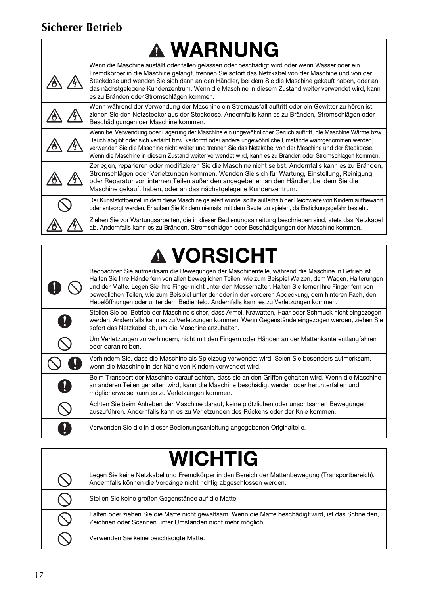## **Sicherer Betrieb**

 $\Gamma$ 

| <b>A WARNUNG</b> |                                                                                                                                                                                                                                                                                                                                                                                                                                                             |  |
|------------------|-------------------------------------------------------------------------------------------------------------------------------------------------------------------------------------------------------------------------------------------------------------------------------------------------------------------------------------------------------------------------------------------------------------------------------------------------------------|--|
|                  | Wenn die Maschine ausfällt oder fallen gelassen oder beschädigt wird oder wenn Wasser oder ein<br>Fremdkörper in die Maschine gelangt, trennen Sie sofort das Netzkabel von der Maschine und von der<br>Steckdose und wenden Sie sich dann an den Händler, bei dem Sie die Maschine gekauft haben, oder an<br>das nächstgelegene Kundenzentrum. Wenn die Maschine in diesem Zustand weiter verwendet wird, kann<br>es zu Bränden oder Stromschlägen kommen. |  |
|                  | Wenn während der Verwendung der Maschine ein Stromausfall auftritt oder ein Gewitter zu hören ist,<br>ziehen Sie den Netzstecker aus der Steckdose. Andernfalls kann es zu Bränden, Stromschlägen oder<br>Beschädigungen der Maschine kommen.                                                                                                                                                                                                               |  |
|                  | Wenn bei Verwendung oder Lagerung der Maschine ein ungewöhnlicher Geruch auftritt, die Maschine Wärme bzw.<br>Rauch abgibt oder sich verfärbt bzw. verformt oder andere ungewöhnliche Umstände wahrgenommen werden,<br>verwenden Sie die Maschine nicht weiter und trennen Sie das Netzkabel von der Maschine und der Steckdose.<br>Wenn die Maschine in diesem Zustand weiter verwendet wird, kann es zu Bränden oder Stromschlägen kommen.                |  |
|                  | Zerlegen, reparieren oder modifizieren Sie die Maschine nicht selbst. Andernfalls kann es zu Bränden,<br>Stromschlägen oder Verletzungen kommen. Wenden Sie sich für Wartung, Einstellung, Reinigung<br>oder Reparatur von internen Teilen außer den angegebenen an den Händler, bei dem Sie die<br>Maschine gekauft haben, oder an das nächstgelegene Kundenzentrum.                                                                                       |  |
|                  | Der Kunststoffbeutel, in dem diese Maschine geliefert wurde, sollte außerhalb der Reichweite von Kindern aufbewahrt<br>oder entsorgt werden. Erlauben Sie Kindern niemals, mit dem Beutel zu spielen, da Erstickungsgefahr besteht.                                                                                                                                                                                                                         |  |
|                  | Ziehen Sie vor Wartungsarbeiten, die in dieser Bedienungsanleitung beschrieben sind, stets das Netzkabel<br>ab. Andernfalls kann es zu Bränden, Stromschlägen oder Beschädigungen der Maschine kommen.                                                                                                                                                                                                                                                      |  |

# **A VORSICHT**

| Beobachten Sie aufmerksam die Bewegungen der Maschinenteile, während die Maschine in Betrieb ist.<br>Halten Sie Ihre Hände fern von allen beweglichen Teilen, wie zum Beispiel Walzen, dem Wagen, Halterungen<br>und der Matte. Legen Sie Ihre Finger nicht unter den Messerhalter. Halten Sie ferner Ihre Finger fern von<br>beweglichen Teilen, wie zum Beispiel unter der oder in der vorderen Abdeckung, dem hinteren Fach, den<br>Hebelöffnungen oder unter dem Bedienfeld. Andernfalls kann es zu Verletzungen kommen. |
|------------------------------------------------------------------------------------------------------------------------------------------------------------------------------------------------------------------------------------------------------------------------------------------------------------------------------------------------------------------------------------------------------------------------------------------------------------------------------------------------------------------------------|
| Stellen Sie bei Betrieb der Maschine sicher, dass Ärmel, Krawatten, Haar oder Schmuck nicht eingezogen<br>werden. Andernfalls kann es zu Verletzungen kommen. Wenn Gegenstände eingezogen werden, ziehen Sie<br>sofort das Netzkabel ab, um die Maschine anzuhalten.                                                                                                                                                                                                                                                         |
| Um Verletzungen zu verhindern, nicht mit den Fingern oder Händen an der Mattenkante entlangfahren<br>oder daran reiben.                                                                                                                                                                                                                                                                                                                                                                                                      |
| Verhindern Sie, dass die Maschine als Spielzeug verwendet wird. Seien Sie besonders aufmerksam,<br>wenn die Maschine in der Nähe von Kindern verwendet wird.                                                                                                                                                                                                                                                                                                                                                                 |
| Beim Transport der Maschine darauf achten, dass sie an den Griffen gehalten wird. Wenn die Maschine<br>an anderen Teilen gehalten wird, kann die Maschine beschädigt werden oder herunterfallen und<br>möglicherweise kann es zu Verletzungen kommen.                                                                                                                                                                                                                                                                        |
| Achten Sie beim Anheben der Maschine darauf, keine plötzlichen oder unachtsamen Bewegungen<br>auszuführen. Andernfalls kann es zu Verletzungen des Rückens oder der Knie kommen.                                                                                                                                                                                                                                                                                                                                             |
| Verwenden Sie die in dieser Bedienungsanleitung angegebenen Originalteile.                                                                                                                                                                                                                                                                                                                                                                                                                                                   |

# **WICHTIG**

|  | Legen Sie keine Netzkabel und Fremdkörper in den Bereich der Mattenbewegung (Transportbereich).<br>Andernfalls können die Vorgänge nicht richtig abgeschlossen werden. |  |
|--|------------------------------------------------------------------------------------------------------------------------------------------------------------------------|--|
|  | Stellen Sie keine großen Gegenstände auf die Matte.                                                                                                                    |  |
|  | Falten oder ziehen Sie die Matte nicht gewaltsam. Wenn die Matte beschädigt wird, ist das Schneiden,<br>Zeichnen oder Scannen unter Umständen nicht mehr möglich.      |  |
|  | Verwenden Sie keine beschädigte Matte.                                                                                                                                 |  |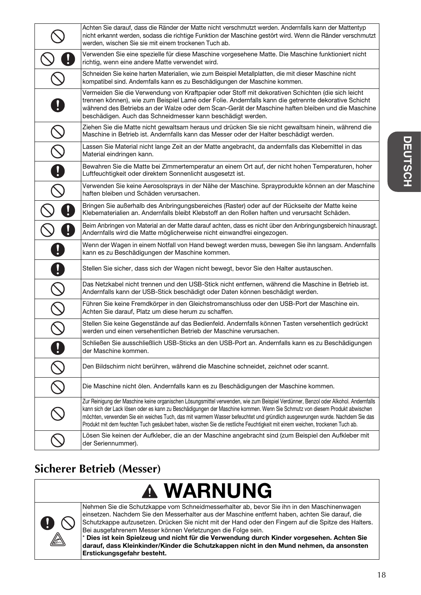|                                                                                                       | Achten Sie darauf, dass die Ränder der Matte nicht verschmutzt werden. Andernfalls kann der Mattentyp<br>nicht erkannt werden, sodass die richtige Funktion der Maschine gestört wird. Wenn die Ränder verschmutzt<br>werden, wischen Sie sie mit einem trockenen Tuch ab.                                                                                                                                                                                                                                                     |
|-------------------------------------------------------------------------------------------------------|--------------------------------------------------------------------------------------------------------------------------------------------------------------------------------------------------------------------------------------------------------------------------------------------------------------------------------------------------------------------------------------------------------------------------------------------------------------------------------------------------------------------------------|
|                                                                                                       | Verwenden Sie eine spezielle für diese Maschine vorgesehene Matte. Die Maschine funktioniert nicht<br>richtig, wenn eine andere Matte verwendet wird.                                                                                                                                                                                                                                                                                                                                                                          |
|                                                                                                       | Schneiden Sie keine harten Materialien, wie zum Beispiel Metallplatten, die mit dieser Maschine nicht<br>kompatibel sind. Andernfalls kann es zu Beschädigungen der Maschine kommen.                                                                                                                                                                                                                                                                                                                                           |
|                                                                                                       | Vermeiden Sie die Verwendung von Kraftpapier oder Stoff mit dekorativen Schichten (die sich leicht<br>trennen können), wie zum Beispiel Lamé oder Folie. Andernfalls kann die getrennte dekorative Schicht<br>während des Betriebs an der Walze oder dem Scan-Gerät der Maschine haften bleiben und die Maschine<br>beschädigen. Auch das Schneidmesser kann beschädigt werden.                                                                                                                                                |
|                                                                                                       | Ziehen Sie die Matte nicht gewaltsam heraus und drücken Sie sie nicht gewaltsam hinein, während die<br>Maschine in Betrieb ist. Andernfalls kann das Messer oder der Halter beschädigt werden.                                                                                                                                                                                                                                                                                                                                 |
|                                                                                                       | Lassen Sie Material nicht lange Zeit an der Matte angebracht, da andernfalls das Klebemittel in das<br>Material eindringen kann.                                                                                                                                                                                                                                                                                                                                                                                               |
|                                                                                                       | Bewahren Sie die Matte bei Zimmertemperatur an einem Ort auf, der nicht hohen Temperaturen, hoher<br>Luftfeuchtigkeit oder direktem Sonnenlicht ausgesetzt ist.                                                                                                                                                                                                                                                                                                                                                                |
|                                                                                                       | Verwenden Sie keine Aerosolsprays in der Nähe der Maschine. Sprayprodukte können an der Maschine<br>haften bleiben und Schäden verursachen.                                                                                                                                                                                                                                                                                                                                                                                    |
|                                                                                                       | Bringen Sie außerhalb des Anbringungsbereiches (Raster) oder auf der Rückseite der Matte keine<br>Klebematerialien an. Andernfalls bleibt Klebstoff an den Rollen haften und verursacht Schäden.                                                                                                                                                                                                                                                                                                                               |
|                                                                                                       | Beim Anbringen von Material an der Matte darauf achten, dass es nicht über den Anbringungsbereich hinausragt.<br>Andernfalls wird die Matte möglicherweise nicht einwandfrei eingezogen.                                                                                                                                                                                                                                                                                                                                       |
|                                                                                                       | Wenn der Wagen in einem Notfall von Hand bewegt werden muss, bewegen Sie ihn langsam. Andernfalls<br>kann es zu Beschädigungen der Maschine kommen.                                                                                                                                                                                                                                                                                                                                                                            |
|                                                                                                       | Stellen Sie sicher, dass sich der Wagen nicht bewegt, bevor Sie den Halter austauschen.                                                                                                                                                                                                                                                                                                                                                                                                                                        |
|                                                                                                       | Das Netzkabel nicht trennen und den USB-Stick nicht entfernen, während die Maschine in Betrieb ist.<br>Andernfalls kann der USB-Stick beschädigt oder Daten können beschädigt werden.                                                                                                                                                                                                                                                                                                                                          |
| $\mathcal{S}% _{M_{1},M_{2}}^{\alpha,\beta}(\theta)=\mathcal{S}_{M_{1},M_{2}}^{\alpha,\beta}(\theta)$ | Führen Sie keine Fremdkörper in den Gleichstromanschluss oder den USB-Port der Maschine ein.<br>Achten Sie darauf, Platz um diese herum zu schaffen.                                                                                                                                                                                                                                                                                                                                                                           |
|                                                                                                       | Stellen Sie keine Gegenstände auf das Bedienfeld. Andernfalls können Tasten versehentlich gedrückt<br>werden und einen versehentlichen Betrieb der Maschine verursachen.                                                                                                                                                                                                                                                                                                                                                       |
| 0                                                                                                     | Schließen Sie ausschließlich USB-Sticks an den USB-Port an. Andernfalls kann es zu Beschädigungen<br>der Maschine kommen.                                                                                                                                                                                                                                                                                                                                                                                                      |
|                                                                                                       | Den Bildschirm nicht berühren, während die Maschine schneidet, zeichnet oder scannt.                                                                                                                                                                                                                                                                                                                                                                                                                                           |
|                                                                                                       | Die Maschine nicht ölen. Andernfalls kann es zu Beschädigungen der Maschine kommen.                                                                                                                                                                                                                                                                                                                                                                                                                                            |
|                                                                                                       | Zur Reinigung der Maschine keine organischen Lösungsmittel verwenden, wie zum Beispiel Verdünner, Benzol oder Alkohol. Andernfalls<br>kann sich der Lack lösen oder es kann zu Beschädigungen der Maschine kommen. Wenn Sie Schmutz von diesem Produkt abwischen<br>möchten, verwenden Sie ein weiches Tuch, das mit warmem Wasser befeuchtet und gründlich ausgewrungen wurde. Nachdem Sie das<br>Produkt mit dem feuchten Tuch gesäubert haben, wischen Sie die restliche Feuchtigkeit mit einem weichen, trockenen Tuch ab. |
|                                                                                                       | Lösen Sie keinen der Aufkleber, die an der Maschine angebracht sind (zum Beispiel den Aufkleber mit<br>der Seriennummer).                                                                                                                                                                                                                                                                                                                                                                                                      |

## **Sicherer Betrieb (Messer)**

# **A WARNUNG**



Nehmen Sie die Schutzkappe vom Schneidmesserhalter ab, bevor Sie ihn in den Maschinenwagen einsetzen. Nachdem Sie den Messerhalter aus der Maschine entfernt haben, achten Sie darauf, die Schutzkappe aufzusetzen. Drücken Sie nicht mit der Hand oder den Fingern auf die Spitze des Halters. Bei ausgefahrenem Messer können Verletzungen die Folge sein.

\* Dies ist kein Spielzeug und nicht für die Verwendung durch Kinder vorgesehen. Achten Sie darauf, dass Kleinkinder/Kinder die Schutzkappen nicht in den Mund nehmen, da ansonsten Erstickungsgefahr besteht.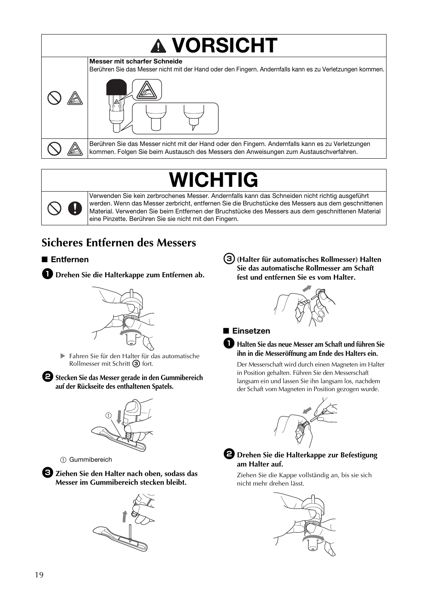

# WICHTIG



Verwenden Sie kein zerbrochenes Messer. Andernfalls kann das Schneiden nicht richtig ausgeführt werden. Wenn das Messer zerbricht, entfernen Sie die Bruchstücke des Messers aus dem geschnittenen Material. Verwenden Sie beim Entfernen der Bruchstücke des Messers aus dem geschnittenen Material eine Pinzette. Berühren Sie sie nicht mit den Fingern.

# **Sicheres Entfernen des Messers**

## ■ Entfernen

**D** Drehen Sie die Halterkappe zum Entfernen ab.



 Fahren Sie für den Halter für das automatische Rollmesser mit Schritt <sup>3</sup> fort.

 $\bullet$  Stecken Sie das Messer gerade in den Gummibereich **auf der Rückseite des enthaltenen Spatels.**



(1) Gummibereich

<sup>c</sup>**Ziehen Sie den Halter nach oben, sodass das Messer im Gummibereich stecken bleibt.**



<sup>c</sup>**(Halter für automatisches Rollmesser) Halten Sie das automatische Rollmesser am Schaft fest und entfernen Sie es vom Halter.** 



#### ■ Einsetzen

#### a**Halten Sie das neue Messer am Schaft und führen Sie ihn in die Messeröffnung am Ende des Halters ein.**

Der Messerschaft wird durch einen Magneten im Halter in Position gehalten. Führen Sie den Messerschaft langsam ein und lassen Sie ihn langsam los, nachdem der Schaft vom Magneten in Position gezogen wurde.





#### $\bullet$  Drehen Sie die Halterkappe zur Befestigung **am Halter auf.**

Ziehen Sie die Kappe vollständig an, bis sie sich nicht mehr drehen lässt.

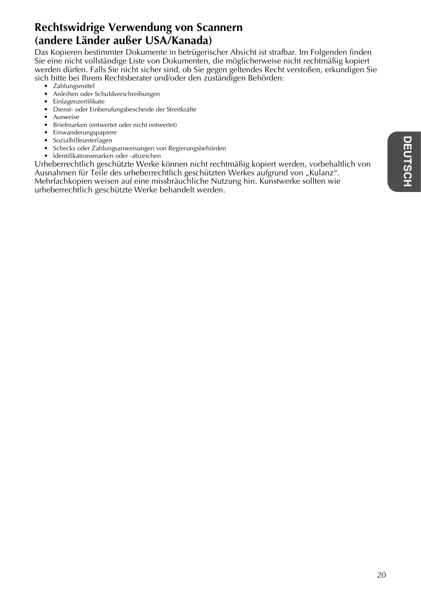## **Rechtswidrige Verwendung von Scannern (andere Länder außer USA/Kanada)**

Das Kopieren bestimmter Dokumente in betrügerischer Absicht ist strafbar. Im Folgenden finden Sie eine nicht vollständige Liste von Dokumenten, die möglicherweise nicht rechtmäßig kopiert werden dürfen. Falls Sie nicht sicher sind, ob Sie gegen geltendes Recht verstoßen, erkundigen Sie sich bitte bei Ihrem Rechtsberater und/oder den zuständigen Behörden:

- Zahlungsmittel
- Anleihen oder Schuldverschreibungen
- Einlagenzertifikate
- Dienst- oder Einberufungsbescheide der Streitkräfte
- Ausweise
- Briefmarken (entwertet oder nicht entwertet)
- Einwanderungspapiere
- Sozialhilfeunterlagen
- Schecks oder Zahlungsanweisungen von Regierungsbehörden
- Identifikationsmarken oder -abzeichen

Urheberrechtlich geschützte Werke können nicht rechtmäßig kopiert werden, vorbehaltlich von Ausnahmen für Teile des urheberrechtlich geschützten Werkes aufgrund von "Kulanz". Mehrfachkopien weisen auf eine missbräuchliche Nutzung hin. Kunstwerke sollten wie urheberrechtlich geschützte Werke behandelt werden.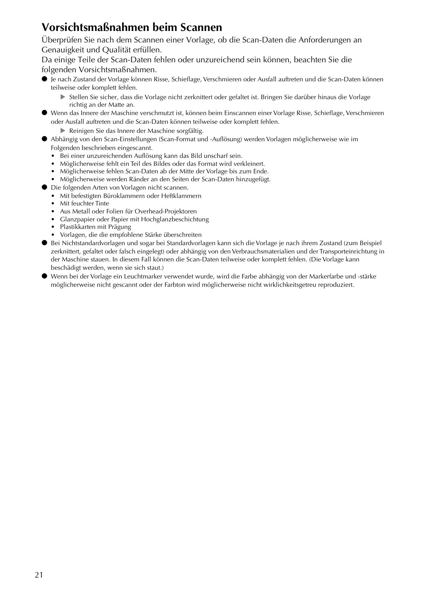## **Vorsichtsmaßnahmen beim Scannen**

Überprüfen Sie nach dem Scannen einer Vorlage, ob die Scan-Daten die Anforderungen an Genauigkeit und Qualität erfüllen.

Da einige Teile der Scan-Daten fehlen oder unzureichend sein können, beachten Sie die folgenden Vorsichtsmaßnahmen.

- Je nach Zustand der Vorlage können Risse, Schieflage, Verschmieren oder Ausfall auftreten und die Scan-Daten können teilweise oder komplett fehlen.
	- Stellen Sie sicher, dass die Vorlage nicht zerknittert oder gefaltet ist. Bringen Sie darüber hinaus die Vorlage richtig an der Matte an.
- Wenn das Innere der Maschine verschmutzt ist, können beim Einscannen einer Vorlage Risse, Schieflage, Verschmieren oder Ausfall auftreten und die Scan-Daten können teilweise oder komplett fehlen.
	- Reinigen Sie das Innere der Maschine sorgfältig.
- Abhängig von den Scan-Einstellungen (Scan-Format und -Auflösung) werden Vorlagen möglicherweise wie im Folgenden beschrieben eingescannt.
	- Bei einer unzureichenden Auflösung kann das Bild unscharf sein.
	- Möglicherweise fehlt ein Teil des Bildes oder das Format wird verkleinert.
	- Möglicherweise fehlen Scan-Daten ab der Mitte der Vorlage bis zum Ende.
	- Möglicherweise werden Ränder an den Seiten der Scan-Daten hinzugefügt.
- Die folgenden Arten von Vorlagen nicht scannen.
	- Mit befestigten Büroklammern oder Heftklammern
	- Mit feuchter Tinte
	- Aus Metall oder Folien für Overhead-Projektoren
	- Glanzpapier oder Papier mit Hochglanzbeschichtung
	- Plastikkarten mit Prägung
	- Vorlagen, die die empfohlene Stärke überschreiten
- Bei Nichtstandardvorlagen und sogar bei Standardvorlagen kann sich die Vorlage je nach ihrem Zustand (zum Beispiel zerknittert, gefaltet oder falsch eingelegt) oder abhängig von den Verbrauchsmaterialien und der Transporteinrichtung in der Maschine stauen. In diesem Fall können die Scan-Daten teilweise oder komplett fehlen. (Die Vorlage kann beschädigt werden, wenn sie sich staut.)
- Wenn bei der Vorlage ein Leuchtmarker verwendet wurde, wird die Farbe abhängig von der Markerfarbe und -stärke möglicherweise nicht gescannt oder der Farbton wird möglicherweise nicht wirklichkeitsgetreu reproduziert.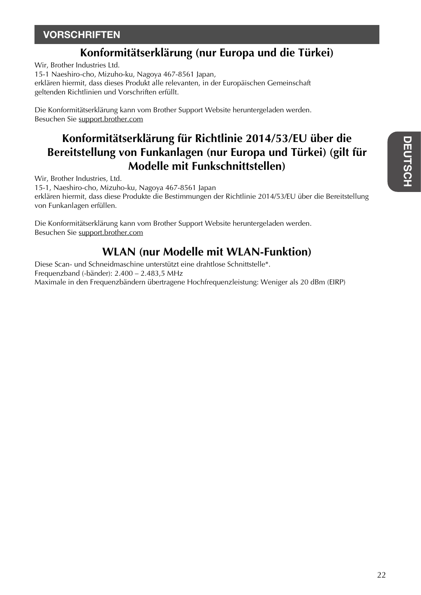## **VORSCHRIFTEN**

## **Konformitätserklärung (nur Europa und die Türkei)**

Wir, Brother Industries Ltd.

15-1 Naeshiro-cho, Mizuho-ku, Nagoya 467-8561 Japan,

erklären hiermit, dass dieses Produkt alle relevanten, in der Europäischen Gemeinschaft geltenden Richtlinien und Vorschriften erfüllt.

Die Konformitätserklärung kann vom Brother Support Website heruntergeladen werden. Besuchen Sie support.brother.com

## **Konformitätserklärung für Richtlinie 2014/53/EU über die Bereitstellung von Funkanlagen (nur Europa und Türkei) (gilt für Modelle mit Funkschnittstellen)**

Wir, Brother Industries, Ltd.

15-1, Naeshiro-cho, Mizuho-ku, Nagoya 467-8561 Japan erklären hiermit, dass diese Produkte die Bestimmungen der Richtlinie 2014/53/EU über die Bereitstellung von Funkanlagen erfüllen.

Die Konformitätserklärung kann vom Brother Support Website heruntergeladen werden. Besuchen Sie support.brother.com

## **WLAN (nur Modelle mit WLAN-Funktion)**

Diese Scan- und Schneidmaschine unterstützt eine drahtlose Schnittstelle\*. Frequenzband (-bänder): 2.400 – 2.483,5 MHz Maximale in den Frequenzbändern übertragene Hochfrequenzleistung: Weniger als 20 dBm (EIRP)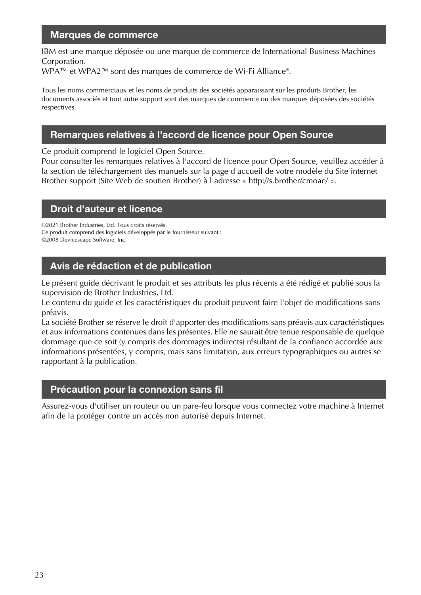### Marques de commerce

IBM est une marque déposée ou une marque de commerce de International Business Machines Corporation.

WPA™ et WPA2™ sont des marques de commerce de Wi-Fi Alliance®.

Tous les noms commerciaux et les noms de produits des sociétés apparaissant sur les produits Brother, les documents associés et tout autre support sont des marques de commerce ou des marques déposées des sociétés respectives.

### Remarques relatives à l'accord de licence pour Open Source

Ce produit comprend le logiciel Open Source.

Pour consulter les remarques relatives à l'accord de licence pour Open Source, veuillez accéder à la section de téléchargement des manuels sur la page d'accueil de votre modèle du Site internet Brother support (Site Web de soutien Brother) à l'adresse « http://s.brother/cmoae/ ».

### Droit d'auteur et licence

©2021 Brother Industries, Ltd. Tous droits réservés. Ce produit comprend des logiciels développés par le fournisseur suivant : ©2008 Devicescape Software, Inc.

### Avis de rédaction et de publication

Le présent guide décrivant le produit et ses attributs les plus récents a été rédigé et publié sous la supervision de Brother Industries, Ltd.

Le contenu du guide et les caractéristiques du produit peuvent faire l'objet de modifications sans préavis.

La société Brother se réserve le droit d'apporter des modifications sans préavis aux caractéristiques et aux informations contenues dans les présentes. Elle ne saurait être tenue responsable de quelque dommage que ce soit (y compris des dommages indirects) résultant de la confiance accordée aux informations présentées, y compris, mais sans limitation, aux erreurs typographiques ou autres se rapportant à la publication.

### Précaution pour la connexion sans fil

Assurez-vous d'utiliser un routeur ou un pare-feu lorsque vous connectez votre machine à Internet afin de la protéger contre un accès non autorisé depuis Internet.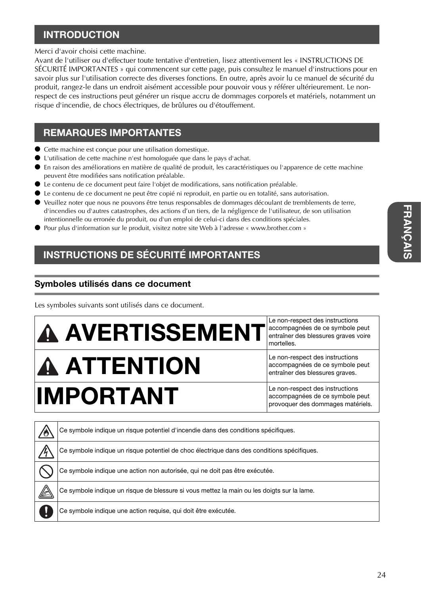## INTRODUCTION

Merci d'avoir choisi cette machine.

Avant de l'utiliser ou d'effectuer toute tentative d'entretien, lisez attentivement les « INSTRUCTIONS DE SÉCURITÉ IMPORTANTES » qui commencent sur cette page, puis consultez le manuel d'instructions pour en savoir plus sur l'utilisation correcte des diverses fonctions. En outre, après avoir lu ce manuel de sécurité du produit, rangez-le dans un endroit aisément accessible pour pouvoir vous y référer ultérieurement. Le nonrespect de ces instructions peut générer un risque accru de dommages corporels et matériels, notamment un risque d'incendie, de chocs électriques, de brûlures ou d'étouffement.

## REMARQUES IMPORTANTES

- Cette machine est conçue pour une utilisation domestique.
- L'utilisation de cette machine n'est homologuée que dans le pays d'achat.
- En raison des améliorations en matière de qualité de produit, les caractéristiques ou l'apparence de cette machine peuvent être modifiées sans notification préalable.
- Le contenu de ce document peut faire l'objet de modifications, sans notification préalable.
- Le contenu de ce document ne peut être copié ni reproduit, en partie ou en totalité, sans autorisation.
- Veuillez noter que nous ne pouvons être tenus responsables de dommages découlant de tremblements de terre, d'incendies ou d'autres catastrophes, des actions d'un tiers, de la négligence de l'utilisateur, de son utilisation intentionnelle ou erronée du produit, ou d'un emploi de celui-ci dans des conditions spéciales.
- Pour plus d'information sur le produit, visitez notre site Web à l'adresse « www.brother.com »

## INSTRUCTIONS DE SÉCURITÉ IMPORTANTES

### Symboles utilisés dans ce document

Les symboles suivants sont utilisés dans ce document.

| <b>A AVERTISSEMENT</b> | Le non-respect des instructions<br>accompagnées de ce symbole peut<br>entraîner des blessures graves voire<br>mortelles. |
|------------------------|--------------------------------------------------------------------------------------------------------------------------|
| <b>A ATTENTION</b>     | Le non-respect des instructions<br>accompagnées de ce symbole peut<br>entraîner des blessures graves.                    |
| <b>IMPORTANT</b>       | Le non-respect des instructions<br>accompagnées de ce symbole peut<br>provoquer des dommages matériels.                  |

| Ce symbole indique un risque potentiel d'incendie dans des conditions spécifiques.         |
|--------------------------------------------------------------------------------------------|
| Ce symbole indique un risque potentiel de choc électrique dans des conditions spécifiques. |
| Ce symbole indique une action non autorisée, qui ne doit pas être exécutée.                |
| Ce symbole indique un risque de blessure si vous mettez la main ou les doigts sur la lame. |
| Ce symbole indique une action requise, qui doit être exécutée.                             |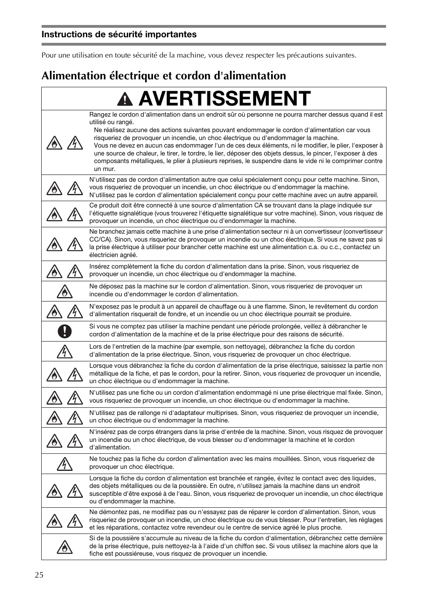## Instructions de sécurité importantes

Pour une utilisation en toute sécurité de la machine, vous devez respecter les précautions suivantes.

# **Alimentation électrique et cordon d'alimentation**

| <b>A AVERTISSEMENT</b>                                                                                                                                                                                                                                                                                                                                                                                                                                                                                                                                                                                                                                           |
|------------------------------------------------------------------------------------------------------------------------------------------------------------------------------------------------------------------------------------------------------------------------------------------------------------------------------------------------------------------------------------------------------------------------------------------------------------------------------------------------------------------------------------------------------------------------------------------------------------------------------------------------------------------|
| Rangez le cordon d'alimentation dans un endroit sûr où personne ne pourra marcher dessus quand il est<br>utilisé ou rangé.<br>Ne réalisez aucune des actions suivantes pouvant endommager le cordon d'alimentation car vous<br>risqueriez de provoquer un incendie, un choc électrique ou d'endommager la machine.<br>Vous ne devez en aucun cas endommager l'un de ces deux éléments, ni le modifier, le plier, l'exposer à<br>une source de chaleur, le tirer, le tordre, le lier, déposer des objets dessus, le pincer, l'exposer à des<br>composants métalliques, le plier à plusieurs reprises, le suspendre dans le vide ni le comprimer contre<br>un mur. |
| N'utilisez pas de cordon d'alimentation autre que celui spécialement conçu pour cette machine. Sinon,<br>vous risqueriez de provoquer un incendie, un choc électrique ou d'endommager la machine.<br>N'utilisez pas le cordon d'alimentation spécialement conçu pour cette machine avec un autre appareil.                                                                                                                                                                                                                                                                                                                                                       |
| Ce produit doit être connecté à une source d'alimentation CA se trouvant dans la plage indiquée sur<br>l'étiquette signalétique (vous trouverez l'étiquette signalétique sur votre machine). Sinon, vous risquez de<br>provoquer un incendie, un choc électrique ou d'endommager la machine.                                                                                                                                                                                                                                                                                                                                                                     |
| Ne branchez jamais cette machine à une prise d'alimentation secteur ni à un convertisseur (convertisseur<br>CC/CA). Sinon, vous risqueriez de provoquer un incendie ou un choc électrique. Si vous ne savez pas si<br>la prise électrique à utiliser pour brancher cette machine est une alimentation c.a. ou c.c., contactez un<br>électricien agréé.                                                                                                                                                                                                                                                                                                           |
| Insérez complètement la fiche du cordon d'alimentation dans la prise. Sinon, vous risqueriez de<br>provoquer un incendie, un choc électrique ou d'endommager la machine.                                                                                                                                                                                                                                                                                                                                                                                                                                                                                         |
| Ne déposez pas la machine sur le cordon d'alimentation. Sinon, vous risqueriez de provoquer un<br>incendie ou d'endommager le cordon d'alimentation.                                                                                                                                                                                                                                                                                                                                                                                                                                                                                                             |
| N'exposez pas le produit à un appareil de chauffage ou à une flamme. Sinon, le revêtement du cordon<br>d'alimentation risquerait de fondre, et un incendie ou un choc électrique pourrait se produire.                                                                                                                                                                                                                                                                                                                                                                                                                                                           |
| Si vous ne comptez pas utiliser la machine pendant une période prolongée, veillez à débrancher le<br>cordon d'alimentation de la machine et de la prise électrique pour des raisons de sécurité.                                                                                                                                                                                                                                                                                                                                                                                                                                                                 |
| Lors de l'entretien de la machine (par exemple, son nettoyage), débranchez la fiche du cordon<br>d'alimentation de la prise électrique. Sinon, vous risqueriez de provoquer un choc électrique.                                                                                                                                                                                                                                                                                                                                                                                                                                                                  |
| Lorsque vous débranchez la fiche du cordon d'alimentation de la prise électrique, saisissez la partie non<br>métallique de la fiche, et pas le cordon, pour la retirer. Sinon, vous risqueriez de provoquer un incendie,<br>un choc électrique ou d'endommager la machine.                                                                                                                                                                                                                                                                                                                                                                                       |
| N'utilisez pas une fiche ou un cordon d'alimentation endommagé ni une prise électrique mal fixée. Sinon,<br>vous risqueriez de provoquer un incendie, un choc électrique ou d'endommager la machine.                                                                                                                                                                                                                                                                                                                                                                                                                                                             |
| N'utilisez pas de rallonge ni d'adaptateur multiprises. Sinon, vous risqueriez de provoquer un incendie,<br>un choc électrique ou d'endommager la machine.                                                                                                                                                                                                                                                                                                                                                                                                                                                                                                       |
| N'insérez pas de corps étrangers dans la prise d'entrée de la machine. Sinon, vous risquez de provoquer<br>un incendie ou un choc électrique, de vous blesser ou d'endommager la machine et le cordon<br>d'alimentation.                                                                                                                                                                                                                                                                                                                                                                                                                                         |
| Ne touchez pas la fiche du cordon d'alimentation avec les mains mouillées. Sinon, vous risqueriez de<br>provoquer un choc électrique.                                                                                                                                                                                                                                                                                                                                                                                                                                                                                                                            |
| Lorsque la fiche du cordon d'alimentation est branchée et rangée, évitez le contact avec des liquides,<br>des objets métalliques ou de la poussière. En outre, n'utilisez jamais la machine dans un endroit<br>susceptible d'être exposé à de l'eau. Sinon, vous risqueriez de provoquer un incendie, un choc électrique<br>ou d'endommager la machine.                                                                                                                                                                                                                                                                                                          |
| Ne démontez pas, ne modifiez pas ou n'essayez pas de réparer le cordon d'alimentation. Sinon, vous<br>risqueriez de provoquer un incendie, un choc électrique ou de vous blesser. Pour l'entretien, les réglages<br>et les réparations, contactez votre revendeur ou le centre de service agréé le plus proche.                                                                                                                                                                                                                                                                                                                                                  |
| Si de la poussière s'accumule au niveau de la fiche du cordon d'alimentation, débranchez cette dernière<br>de la prise électrique, puis nettoyez-la à l'aide d'un chiffon sec. Si vous utilisez la machine alors que la<br>fiche est poussiéreuse, vous risquez de provoquer un incendie.                                                                                                                                                                                                                                                                                                                                                                        |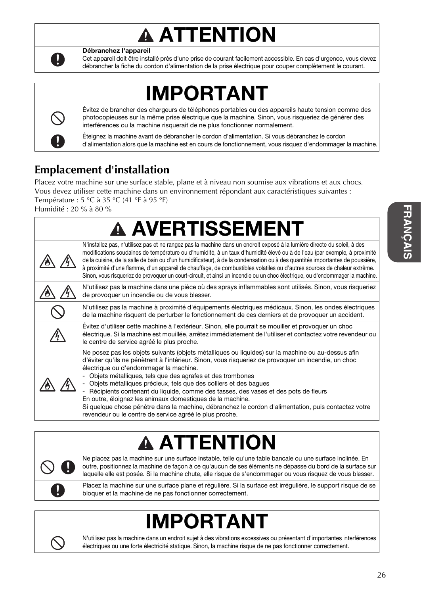# **A ATTENTION**



Débranchez l'appareil

Cet appareil doit être installé près d'une prise de courant facilement accessible. En cas d'urgence, vous devez débrancher la fiche du cordon d'alimentation de la prise électrique pour couper complètement le courant.

# IMPORTANT

Évitez de brancher des chargeurs de téléphones portables ou des appareils haute tension comme des photocopieuses sur la même prise électrique que la machine. Sinon, vous risqueriez de générer des interférences ou la machine risquerait de ne plus fonctionner normalement.

Éteignez la machine avant de débrancher le cordon d'alimentation. Si vous débranchez le cordon d'alimentation alors que la machine est en cours de fonctionnement, vous risquez d'endommager la machine.

# **Emplacement d'installation**

Placez votre machine sur une surface stable, plane et à niveau non soumise aux vibrations et aux chocs. Vous devez utiliser cette machine dans un environnement répondant aux caractéristiques suivantes : Température : 5 °C à 35 °C (41 °F à 95 °F)

Humidité : 20 % à 80 %

#### **A AVERTISSEMENT** N'installez pas, n'utilisez pas et ne rangez pas la machine dans un endroit exposé à la lumière directe du soleil, à des modifications soudaines de température ou d'humidité, à un taux d'humidité élevé ou à de l'eau (par exemple, à proximité de la cuisine, de la salle de bain ou d'un humidificateur), à de la condensation ou à des quantités importantes de poussière, à proximité d'une flamme, d'un appareil de chauffage, de combustibles volatiles ou d'autres sources de chaleur extrême. Sinon, vous risqueriez de provoquer un court-circuit, et ainsi un incendie ou un choc électrique, ou d'endommager la machine. N'utilisez pas la machine dans une pièce où des sprays inflammables sont utilisés. Sinon, vous risqueriez de provoquer un incendie ou de vous blesser. N'utilisez pas la machine à proximité d'équipements électriques médicaux. Sinon, les ondes électriques de la machine risquent de perturber le fonctionnement de ces derniers et de provoquer un accident. Évitez d'utiliser cette machine à l'extérieur. Sinon, elle pourrait se mouiller et provoquer un choc électrique. Si la machine est mouillée, arrêtez immédiatement de l'utiliser et contactez votre revendeur ou le centre de service agréé le plus proche. Ne posez pas les objets suivants (objets métalliques ou liquides) sur la machine ou au-dessus afin d'éviter qu'ils ne pénètrent à l'intérieur. Sinon, vous risqueriez de provoquer un incendie, un choc électrique ou d'endommager la machine. Objets métalliques, tels que des agrafes et des trombones 八 Objets métalliques précieux, tels que des colliers et des bagues Récipients contenant du liquide, comme des tasses, des vases et des pots de fleurs En outre, éloignez les animaux domestiques de la machine. Si quelque chose pénètre dans la machine, débranchez le cordon d'alimentation, puis contactez votre revendeur ou le centre de service agréé le plus proche.

# **A ATTENTIC**



Ne placez pas la machine sur une surface instable, telle qu'une table bancale ou une surface inclinée. En outre, positionnez la machine de façon à ce qu'aucun de ses éléments ne dépasse du bord de la surface sur laquelle elle est posée. Si la machine chute, elle risque de s'endommager ou vous risquez de vous blesser.

Placez la machine sur une surface plane et régulière. Si la surface est irrégulière, le support risque de se bloquer et la machine de ne pas fonctionner correctement.

# IMPORTANT



N'utilisez pas la machine dans un endroit sujet à des vibrations excessives ou présentant d'importantes interférences électriques ou une forte électricité statique. Sinon, la machine risque de ne pas fonctionner correctement.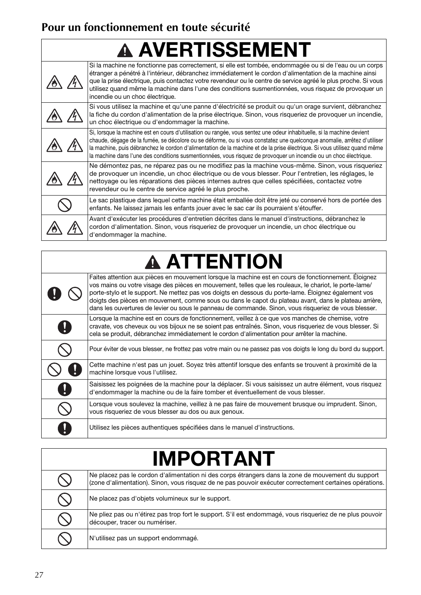# **Pour un fonctionnement en toute sécurité**

# A AVERTISSEMENT

| Si la machine ne fonctionne pas correctement, si elle est tombée, endommagée ou si de l'eau ou un corps<br>étranger a pénétré à l'intérieur, débranchez immédiatement le cordon d'alimentation de la machine ainsi<br>que la prise électrique, puis contactez votre revendeur ou le centre de service agréé le plus proche. Si vous<br>utilisez quand même la machine dans l'une des conditions susmentionnées, vous risquez de provoquer un<br>incendie ou un choc électrique.                     |
|-----------------------------------------------------------------------------------------------------------------------------------------------------------------------------------------------------------------------------------------------------------------------------------------------------------------------------------------------------------------------------------------------------------------------------------------------------------------------------------------------------|
| Si vous utilisez la machine et qu'une panne d'électricité se produit ou qu'un orage survient, débranchez<br>la fiche du cordon d'alimentation de la prise électrique. Sinon, vous risqueriez de provoquer un incendie,<br>un choc électrique ou d'endommager la machine.                                                                                                                                                                                                                            |
| Si, lorsque la machine est en cours d'utilisation ou rangée, vous sentez une odeur inhabituelle, si la machine devient<br>chaude, dégage de la fumée, se décolore ou se déforme, ou si vous constatez une quelconque anomalie, arrêtez d'utiliser<br>la machine, puis débranchez le cordon d'alimentation de la machine et de la prise électrique. Si vous utilisez quand même<br>la machine dans l'une des conditions susmentionnées, vous risquez de provoquer un incendie ou un choc électrique. |
| Ne démontez pas, ne réparez pas ou ne modifiez pas la machine vous-même. Sinon, vous risqueriez<br>de provoquer un incendie, un choc électrique ou de vous blesser. Pour l'entretien, les réglages, le<br>nettoyage ou les réparations des pièces internes autres que celles spécifiées, contactez votre<br>revendeur ou le centre de service agréé le plus proche.                                                                                                                                 |
| Le sac plastique dans lequel cette machine était emballée doit être jeté ou conservé hors de portée des<br>enfants. Ne laissez jamais les enfants jouer avec le sac car ils pourraient s'étouffer.                                                                                                                                                                                                                                                                                                  |
| Avant d'exécuter les procédures d'entretien décrites dans le manuel d'instructions, débranchez le<br>cordon d'alimentation. Sinon, vous risqueriez de provoquer un incendie, un choc électrique ou<br>d'endommager la machine.                                                                                                                                                                                                                                                                      |

| <b>A ATTENTION</b> |  |  |
|--------------------|--|--|
|                    |  |  |

| Faites attention aux pièces en mouvement lorsque la machine est en cours de fonctionnement. Éloignez<br>vos mains ou votre visage des pièces en mouvement, telles que les rouleaux, le chariot, le porte-lame/<br>porte-stylo et le support. Ne mettez pas vos doigts en dessous du porte-lame. Eloignez également vos<br>doigts des pièces en mouvement, comme sous ou dans le capot du plateau avant, dans le plateau arrière,<br>dans les ouvertures de levier ou sous le panneau de commande. Sinon, vous risqueriez de vous blesser. |
|-------------------------------------------------------------------------------------------------------------------------------------------------------------------------------------------------------------------------------------------------------------------------------------------------------------------------------------------------------------------------------------------------------------------------------------------------------------------------------------------------------------------------------------------|
| Lorsque la machine est en cours de fonctionnement, veillez à ce que vos manches de chemise, votre<br>cravate, vos cheveux ou vos bijoux ne se soient pas entraînés. Sinon, vous risqueriez de vous blesser. Si<br>cela se produit, débranchez immédiatement le cordon d'alimentation pour arrêter la machine.                                                                                                                                                                                                                             |
| Pour éviter de vous blesser, ne frottez pas votre main ou ne passez pas vos doigts le long du bord du support.                                                                                                                                                                                                                                                                                                                                                                                                                            |
| Cette machine n'est pas un jouet. Soyez très attentif lorsque des enfants se trouvent à proximité de la<br>machine lorsque vous l'utilisez.                                                                                                                                                                                                                                                                                                                                                                                               |
| Saisissez les poignées de la machine pour la déplacer. Si vous saisissez un autre élément, vous risquez<br>d'endommager la machine ou de la faire tomber et éventuellement de vous blesser.                                                                                                                                                                                                                                                                                                                                               |
| Lorsque vous soulevez la machine, veillez à ne pas faire de mouvement brusque ou imprudent. Sinon,<br>vous risqueriez de vous blesser au dos ou aux genoux.                                                                                                                                                                                                                                                                                                                                                                               |
| Utilisez les pièces authentiques spécifiées dans le manuel d'instructions.                                                                                                                                                                                                                                                                                                                                                                                                                                                                |

| <b>IMPORTANT</b> |                                                                                                                                                                                                                |  |
|------------------|----------------------------------------------------------------------------------------------------------------------------------------------------------------------------------------------------------------|--|
|                  | Ne placez pas le cordon d'alimentation ni des corps étrangers dans la zone de mouvement du support<br>(zone d'alimentation). Sinon, vous risquez de ne pas pouvoir exécuter correctement certaines opérations. |  |
|                  | Ne placez pas d'objets volumineux sur le support.                                                                                                                                                              |  |
|                  | Ne pliez pas ou n'étirez pas trop fort le support. S'il est endommagé, vous risqueriez de ne plus pouvoir<br>découper, tracer ou numériser.                                                                    |  |
|                  | N'utilisez pas un support endommagé.                                                                                                                                                                           |  |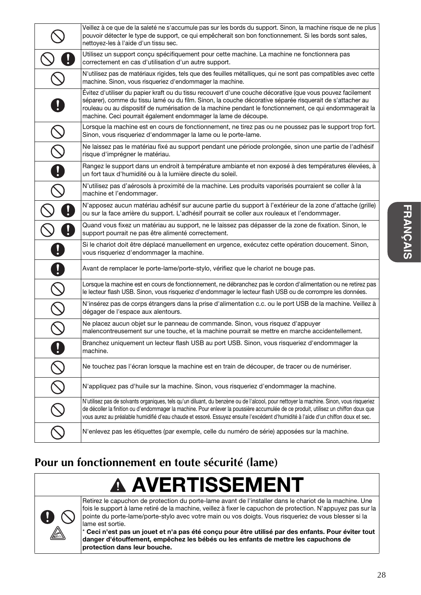|                          | Veillez à ce que de la saleté ne s'accumule pas sur les bords du support. Sinon, la machine risque de ne plus<br>pouvoir détecter le type de support, ce qui empêcherait son bon fonctionnement. Si les bords sont sales,<br>nettoyez-les à l'aide d'un tissu sec.                                                                                                                                                  |
|--------------------------|---------------------------------------------------------------------------------------------------------------------------------------------------------------------------------------------------------------------------------------------------------------------------------------------------------------------------------------------------------------------------------------------------------------------|
|                          | Utilisez un support conçu spécifiquement pour cette machine. La machine ne fonctionnera pas<br>correctement en cas d'utilisation d'un autre support.                                                                                                                                                                                                                                                                |
|                          | N'utilisez pas de matériaux rigides, tels que des feuilles métalliques, qui ne sont pas compatibles avec cette<br>machine. Sinon, vous risqueriez d'endommager la machine.                                                                                                                                                                                                                                          |
|                          | Évitez d'utiliser du papier kraft ou du tissu recouvert d'une couche décorative (que vous pouvez facilement<br>séparer), comme du tissu lamé ou du film. Sinon, la couche décorative séparée risquerait de s'attacher au<br>rouleau ou au dispositif de numérisation de la machine pendant le fonctionnement, ce qui endommagerait la<br>machine. Ceci pourrait également endommager la lame de découpe.            |
|                          | Lorsque la machine est en cours de fonctionnement, ne tirez pas ou ne poussez pas le support trop fort.<br>Sinon, vous risqueriez d'endommager la lame ou le porte-lame.                                                                                                                                                                                                                                            |
| $\overline{\mathcal{C}}$ | Ne laissez pas le matériau fixé au support pendant une période prolongée, sinon une partie de l'adhésif<br>risque d'imprégner le matériau.                                                                                                                                                                                                                                                                          |
|                          | Rangez le support dans un endroit à température ambiante et non exposé à des températures élevées, à<br>un fort taux d'humidité ou à la lumière directe du soleil.                                                                                                                                                                                                                                                  |
|                          | N'utilisez pas d'aérosols à proximité de la machine. Les produits vaporisés pourraient se coller à la<br>machine et l'endommager.                                                                                                                                                                                                                                                                                   |
|                          | N'apposez aucun matériau adhésif sur aucune partie du support à l'extérieur de la zone d'attache (grille)<br>ou sur la face arrière du support. L'adhésif pourrait se coller aux rouleaux et l'endommager.                                                                                                                                                                                                          |
|                          | Quand vous fixez un matériau au support, ne le laissez pas dépasser de la zone de fixation. Sinon, le<br>support pourrait ne pas être alimenté correctement.                                                                                                                                                                                                                                                        |
|                          | Si le chariot doit être déplacé manuellement en urgence, exécutez cette opération doucement. Sinon,<br>vous risqueriez d'endommager la machine.                                                                                                                                                                                                                                                                     |
|                          | Avant de remplacer le porte-lame/porte-stylo, vérifiez que le chariot ne bouge pas.                                                                                                                                                                                                                                                                                                                                 |
|                          | Lorsque la machine est en cours de fonctionnement, ne débranchez pas le cordon d'alimentation ou ne retirez pas<br>le lecteur flash USB. Sinon, vous risqueriez d'endommager le lecteur flash USB ou de corrompre les données.                                                                                                                                                                                      |
| $\frac{1}{2}$            | N'insérez pas de corps étrangers dans la prise d'alimentation c.c. ou le port USB de la machine. Veillez à<br>dégager de l'espace aux alentours.                                                                                                                                                                                                                                                                    |
|                          | Ne placez aucun objet sur le panneau de commande. Sinon, vous risquez d'appuyer<br>malencontreusement sur une touche, et la machine pourrait se mettre en marche accidentellement.                                                                                                                                                                                                                                  |
| O                        | Branchez uniquement un lecteur flash USB au port USB. Sinon, vous risqueriez d'endommager la<br>machine.                                                                                                                                                                                                                                                                                                            |
| $\overline{\bigcirc}$    | Ne touchez pas l'écran lorsque la machine est en train de découper, de tracer ou de numériser.                                                                                                                                                                                                                                                                                                                      |
| $\bar{\mathsf{Q}}$       | N'appliquez pas d'huile sur la machine. Sinon, vous risqueriez d'endommager la machine.                                                                                                                                                                                                                                                                                                                             |
|                          | N'utilisez pas de solvants organiques, tels qu'un diluant, du benzène ou de l'alcool, pour nettoyer la machine. Sinon, vous risqueriez<br>de décoller la finition ou d'endommager la machine. Pour enlever la poussière accumulée de ce produit, utilisez un chiffon doux que<br>vous aurez au préalable humidifié d'eau chaude et essoré. Essuyez ensuite l'excédent d'humidité à l'aide d'un chiffon doux et sec. |
|                          | N'enlevez pas les étiquettes (par exemple, celle du numéro de série) apposées sur la machine.                                                                                                                                                                                                                                                                                                                       |

## **Pour un fonctionnement en toute sécurité (lame)**

# **A AVERTISSEMENT**



Retirez le capuchon de protection du porte-lame avant de l'installer dans le chariot de la machine. Une fois le support à lame retiré de la machine, veillez à fixer le capuchon de protection. N'appuyez pas sur la pointe du porte-lame/porte-stylo avec votre main ou vos doigts. Vous risqueriez de vous blesser si la lame est sortie.

\* Ceci n'est pas un jouet et n'a pas été conçu pour être utilisé par des enfants. Pour éviter tout danger d'étouffement, empêchez les bébés ou les enfants de mettre les capuchons de protection dans leur bouche.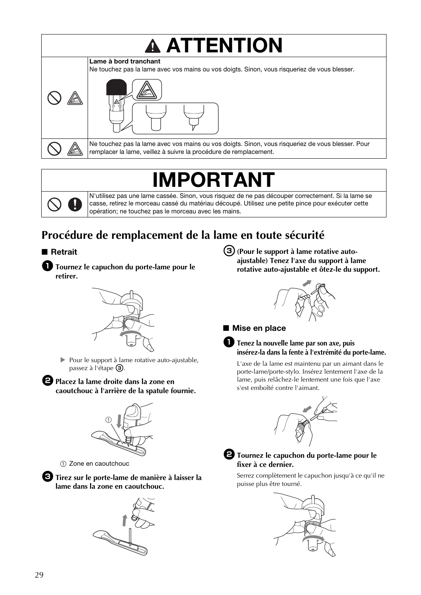

# **IPORTA**I

N'utilisez pas une lame cassée. Sinon, vous risquez de ne pas découper correctement. Si la lame se casse, retirez le morceau cassé du matériau découpé. Utilisez une petite pince pour exécuter cette opération; ne touchez pas le morceau avec les mains.

# **Procédure de remplacement de la lame en toute sécurité**

#### ■ Retrait

<sup>a</sup>**Tournez le capuchon du porte-lame pour le retirer.**



Pour le support à lame rotative auto-ajustable, passez à l'étape  $\circled{3}$ .

**Placez la lame droite dans la zone en caoutchouc à l'arrière de la spatule fournie.**



a Zone en caoutchouc

<sup>c</sup>**Tirez sur le porte-lame de manière à laisser la lame dans la zone en caoutchouc.**



c**(Pour le support à lame rotative autoajustable) Tenez l'axe du support à lame rotative auto-ajustable et ôtez-le du support.**



#### ■ Mise en place

#### a**Tenez la nouvelle lame par son axe, puis insérez-la dans la fente à l'extrémité du porte-lame.**

L'axe de la lame est maintenu par un aimant dans le porte-lame/porte-stylo. Insérez lentement l'axe de la lame, puis relâchez-le lentement une fois que l'axe s'est emboîté contre l'aimant.





#### $\bullet$  Tournez le capuchon du porte-lame pour le **fixer à ce dernier.**

Serrez complètement le capuchon jusqu'à ce qu'il ne puisse plus être tourné.

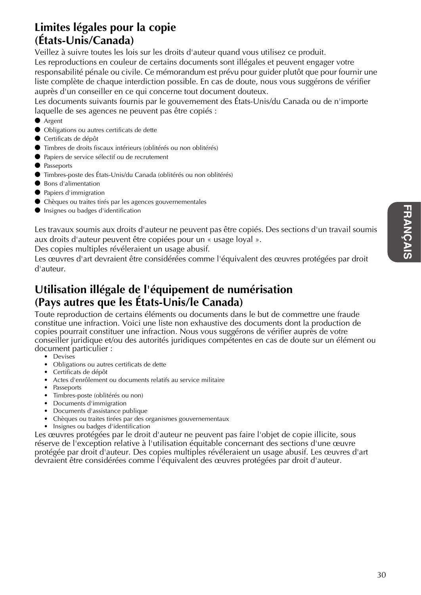## **Limites légales pour la copie (États-Unis/Canada)**

Veillez à suivre toutes les lois sur les droits d'auteur quand vous utilisez ce produit. Les reproductions en couleur de certains documents sont illégales et peuvent engager votre responsabilité pénale ou civile. Ce mémorandum est prévu pour guider plutôt que pour fournir une liste complète de chaque interdiction possible. En cas de doute, nous vous suggérons de vérifier auprès d'un conseiller en ce qui concerne tout document douteux.

Les documents suivants fournis par le gouvernement des États-Unis/du Canada ou de n'importe laquelle de ses agences ne peuvent pas être copiés :

- Argent
- Obligations ou autres certificats de dette
- Certificats de dépôt
- Timbres de droits fiscaux intérieurs (oblitérés ou non oblitérés)
- Papiers de service sélectif ou de recrutement
- Passeports
- Timbres-poste des États-Unis/du Canada (oblitérés ou non oblitérés)
- Bons d'alimentation
- Papiers d'immigration
- Chèques ou traites tirés par les agences gouvernementales
- Insignes ou badges d'identification

Les travaux soumis aux droits d'auteur ne peuvent pas être copiés. Des sections d'un travail soumis aux droits d'auteur peuvent être copiées pour un « usage loyal ».

Des copies multiples révéleraient un usage abusif.

Les œuvres d'art devraient être considérées comme l'équivalent des œuvres protégées par droit d'auteur.

## **Utilisation illégale de l'équipement de numérisation (Pays autres que les États-Unis/le Canada)**

Toute reproduction de certains éléments ou documents dans le but de commettre une fraude constitue une infraction. Voici une liste non exhaustive des documents dont la production de copies pourrait constituer une infraction. Nous vous suggérons de vérifier auprès de votre conseiller juridique et/ou des autorités juridiques compétentes en cas de doute sur un élément ou document particulier :

- Devises
- Obligations ou autres certificats de dette
- Certificats de dépôt
- Actes d'enrôlement ou documents relatifs au service militaire
- Passeports
- Timbres-poste (oblitérés ou non)
- Documents d'immigration
- Documents d'assistance publique
- Chèques ou traites tirées par des organismes gouvernementaux
- Insignes ou badges d'identification

Les œuvres protégées par le droit d'auteur ne peuvent pas faire l'objet de copie illicite, sous réserve de l'exception relative à l'utilisation équitable concernant des sections d'une œuvre protégée par droit d'auteur. Des copies multiples révéleraient un usage abusif. Les œuvres d'art devraient être considérées comme l'équivalent des œuvres protégées par droit d'auteur.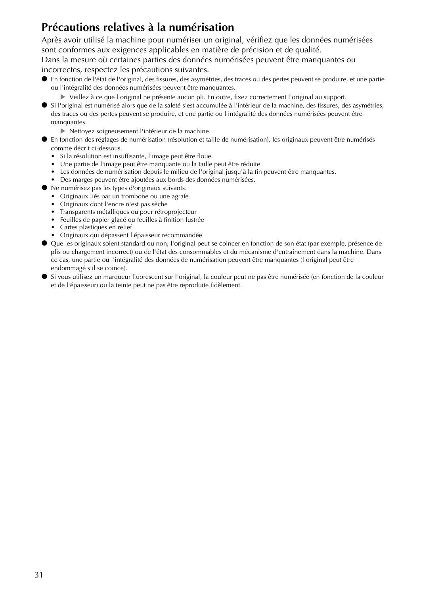## **Précautions relatives à la numérisation**

Après avoir utilisé la machine pour numériser un original, vérifiez que les données numérisées sont conformes aux exigences applicables en matière de précision et de qualité.

Dans la mesure où certaines parties des données numérisées peuvent être manquantes ou incorrectes, respectez les précautions suivantes.

- En fonction de l'état de l'original, des fissures, des asymétries, des traces ou des pertes peuvent se produire, et une partie ou l'intégralité des données numérisées peuvent être manquantes.
	- Veillez à ce que l'original ne présente aucun pli. En outre, fixez correctement l'original au support.
- Si l'original est numérisé alors que de la saleté s'est accumulée à l'intérieur de la machine, des fissures, des asymétries, des traces ou des pertes peuvent se produire, et une partie ou l'intégralité des données numérisées peuvent être manquantes.
	- Nettoyez soigneusement l'intérieur de la machine.
- En fonction des réglages de numérisation (résolution et taille de numérisation), les originaux peuvent être numérisés comme décrit ci-dessous.
	- Si la résolution est insuffisante, l'image peut être floue.
	- Une partie de l'image peut être manquante ou la taille peut être réduite.
	- Les données de numérisation depuis le milieu de l'original jusqu'à la fin peuvent être manquantes.
	- Des marges peuvent être ajoutées aux bords des données numérisées.
- Ne numérisez pas les types d'originaux suivants.
	- Originaux liés par un trombone ou une agrafe
	- Originaux dont l'encre n'est pas sèche
	- Transparents métalliques ou pour rétroprojecteur
	- Feuilles de papier glacé ou feuilles à finition lustrée
	- Cartes plastiques en relief
	- Originaux qui dépassent l'épaisseur recommandée
- Que les originaux soient standard ou non, l'original peut se coincer en fonction de son état (par exemple, présence de plis ou chargement incorrect) ou de l'état des consommables et du mécanisme d'entraînement dans la machine. Dans ce cas, une partie ou l'intégralité des données de numérisation peuvent être manquantes (l'original peut être endommagé s'il se coince).
- Si vous utilisez un marqueur fluorescent sur l'original, la couleur peut ne pas être numérisée (en fonction de la couleur et de l'épaisseur) ou la teinte peut ne pas être reproduite fidèlement.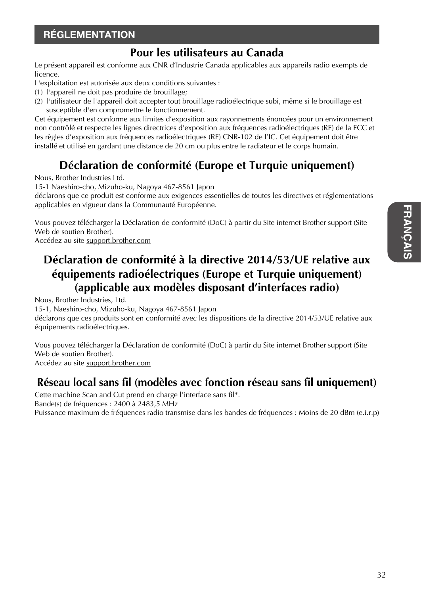## RÉGLEMENTATION

## **Pour les utilisateurs au Canada**

Le présent appareil est conforme aux CNR d'Industrie Canada applicables aux appareils radio exempts de licence.

- L'exploitation est autorisée aux deux conditions suivantes :
- (1) l'appareil ne doit pas produire de brouillage;
- (2) l'utilisateur de l'appareil doit accepter tout brouillage radioélectrique subi, même si le brouillage est susceptible d'en compromettre le fonctionnement.

Cet équipement est conforme aux limites d'exposition aux rayonnements énoncées pour un environnement non contrôlé et respecte les lignes directrices d'exposition aux fréquences radioélectriques (RF) de la FCC et les règles d'exposition aux fréquences radioélectriques (RF) CNR-102 de l'IC. Cet équipement doit être installé et utilisé en gardant une distance de 20 cm ou plus entre le radiateur et le corps humain.

## **Déclaration de conformité (Europe et Turquie uniquement)**

Nous, Brother Industries Ltd.

15-1 Naeshiro-cho, Mizuho-ku, Nagoya 467-8561 Japon

déclarons que ce produit est conforme aux exigences essentielles de toutes les directives et réglementations applicables en vigueur dans la Communauté Européenne.

Vous pouvez télécharger la Déclaration de conformité (DoC) à partir du Site internet Brother support (Site Web de soutien Brother).

Accédez au site support.brother.com

## **Déclaration de conformité à la directive 2014/53/UE relative aux équipements radioélectriques (Europe et Turquie uniquement) (applicable aux modèles disposant d'interfaces radio)**

Nous, Brother Industries, Ltd.

15-1, Naeshiro-cho, Mizuho-ku, Nagoya 467-8561 Japon

déclarons que ces produits sont en conformité avec les dispositions de la directive 2014/53/UE relative aux équipements radioélectriques.

Vous pouvez télécharger la Déclaration de conformité (DoC) à partir du Site internet Brother support (Site Web de soutien Brother).

Accédez au site support.brother.com

## **Réseau local sans fil (modèles avec fonction réseau sans fil uniquement)**

Cette machine Scan and Cut prend en charge l'interface sans fil\*. Bande(s) de fréquences : 2400 à 2483,5 MHz Puissance maximum de fréquences radio transmise dans les bandes de fréquences : Moins de 20 dBm (e.i.r.p)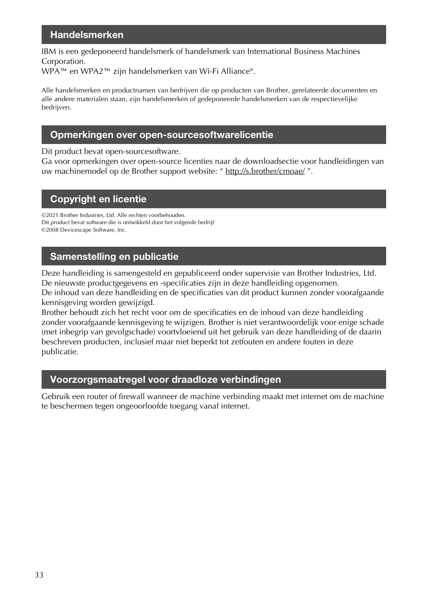### Handelsmerken

IBM is een gedeponeerd handelsmerk of handelsmerk van International Business Machines Corporation.

WPA™ en WPA2™ zijn handelsmerken van Wi-Fi Alliance®.

Alle handelsmerken en productnamen van bedrijven die op producten van Brother, gerelateerde documenten en alle andere materialen staan, zijn handelsmerken of gedeponeerde handelsmerken van de respectievelijke bedrijven.

### Opmerkingen over open-sourcesoftwarelicentie

Dit product bevat open-sourcesoftware.

Ga voor opmerkingen over open-source licenties naar de downloadsectie voor handleidingen van uw machinemodel op de Brother support website: " http://s.brother/cmoae/".

### Copyright en licentie

©2021 Brother Industries, Ltd. Alle rechten voorbehouden. Dit product bevat software die is ontwikkeld door het volgende bedrijf: ©2008 Devicescape Software, Inc.

## Samenstelling en publicatie

Deze handleiding is samengesteld en gepubliceerd onder supervisie van Brother Industries, Ltd. De nieuwste productgegevens en -specificaties zijn in deze handleiding opgenomen.

De inhoud van deze handleiding en de specificaties van dit product kunnen zonder voorafgaande kennisgeving worden gewijzigd.

Brother behoudt zich het recht voor om de specificaties en de inhoud van deze handleiding zonder voorafgaande kennisgeving te wijzigen. Brother is niet verantwoordelijk voor enige schade (met inbegrip van gevolgschade) voortvloeiend uit het gebruik van deze handleiding of de daarin beschreven producten, inclusief maar niet beperkt tot zetfouten en andere fouten in deze publicatie.

### Voorzorgsmaatregel voor draadloze verbindingen

Gebruik een router of firewall wanneer de machine verbinding maakt met internet om de machine te beschermen tegen ongeoorloofde toegang vanaf internet.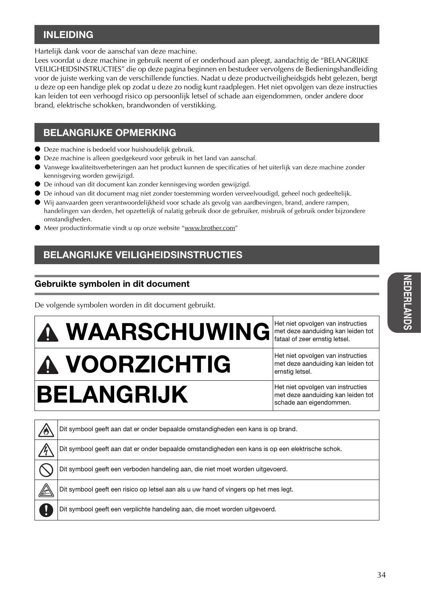## INLEIDING

Hartelijk dank voor de aanschaf van deze machine.

Lees voordat u deze machine in gebruik neemt of er onderhoud aan pleegt, aandachtig de "BELANGRIJKE VEILIGHEIDSINSTRUCTIES" die op deze pagina beginnen en bestudeer vervolgens de Bedieningshandleiding voor de juiste werking van de verschillende functies. Nadat u deze productveiligheidsgids hebt gelezen, bergt u deze op een handige plek op zodat u deze zo nodig kunt raadplegen. Het niet opvolgen van deze instructies kan leiden tot een verhoogd risico op persoonlijk letsel of schade aan eigendommen, onder andere door brand, elektrische schokken, brandwonden of verstikking.

## BELANGRIJKE OPMERKING

- Deze machine is bedoeld voor huishoudelijk gebruik.
- Deze machine is alleen goedgekeurd voor gebruik in het land van aanschaf.
- Vanwege kwaliteitsverbeteringen aan het product kunnen de specificaties of het uiterlijk van deze machine zonder kennisgeving worden gewijzigd.
- De inhoud van dit document kan zonder kennisgeving worden gewijzigd.
- De inhoud van dit document mag niet zonder toestemming worden verveelvoudigd, geheel noch gedeeltelijk.
- Wij aanvaarden geen verantwoordelijkheid voor schade als gevolg van aardbevingen, brand, andere rampen, handelingen van derden, het opzettelijk of nalatig gebruik door de gebruiker, misbruik of gebruik onder bijzondere omstandigheden.
- Meer productinformatie vindt u op onze website "www.brother.com"

## BELANGRIJKE VEILIGHEIDSINSTRUCTIES

### Gebruikte symbolen in dit document

De volgende symbolen worden in dit document gebruikt.

# $\bf{A}\bf{W}$ ARSCHUWING Het niet opvolgen van instructies

# $\mathbf \Lambda$  VOORZICHTIG Het niet opvolgen van instructies  $\mathsf{BELANGRIJK}$  Het niet opvolgen van instructies

met deze aanduiding kan leiden tot fataal of zeer ernstig letsel.

met deze aanduiding kan leiden tot ernstig letsel.

met deze aanduiding kan leiden tot schade aan eigendommen.

| $\overline{\mathcal{P}}$ | Dit symbool geeft aan dat er onder bepaalde omstandigheden een kans is op brand.                 |
|--------------------------|--------------------------------------------------------------------------------------------------|
|                          | Dit symbool geeft aan dat er onder bepaalde omstandigheden een kans is op een elektrische schok. |
|                          | Dit symbool geeft een verboden handeling aan, die niet moet worden uitgevoerd.                   |
| $\mathbb{R}$             | Dit symbool geeft een risico op letsel aan als u uw hand of vingers op het mes legt.             |
|                          | Dit symbool geeft een verplichte handeling aan, die moet worden uitgevoerd.                      |
|                          |                                                                                                  |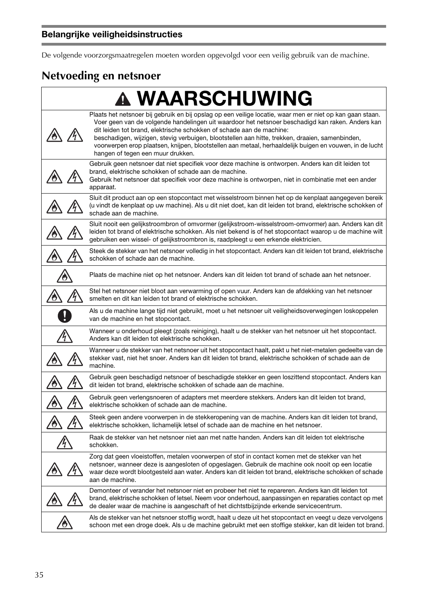De volgende voorzorgsmaatregelen moeten worden opgevolgd voor een veilig gebruik van de machine.

## **Netvoeding en netsnoer**

| <b>A WAARSCHUWING</b>                                                                                                                                                                                                                                                                                                                                                                                                                                                                                                                    |
|------------------------------------------------------------------------------------------------------------------------------------------------------------------------------------------------------------------------------------------------------------------------------------------------------------------------------------------------------------------------------------------------------------------------------------------------------------------------------------------------------------------------------------------|
| Plaats het netsnoer bij gebruik en bij opslag op een veilige locatie, waar men er niet op kan gaan staan.<br>Voer geen van de volgende handelingen uit waardoor het netsnoer beschadigd kan raken. Anders kan<br>dit leiden tot brand, elektrische schokken of schade aan de machine:<br>beschadigen, wijzigen, stevig verbuigen, blootstellen aan hitte, trekken, draaien, samenbinden,<br>voorwerpen erop plaatsen, knijpen, blootstellen aan metaal, herhaaldelijk buigen en vouwen, in de lucht<br>hangen of tegen een muur drukken. |
| Gebruik geen netsnoer dat niet specifiek voor deze machine is ontworpen. Anders kan dit leiden tot<br>brand, elektrische schokken of schade aan de machine.<br>Gebruik het netsnoer dat specifiek voor deze machine is ontworpen, niet in combinatie met een ander<br>apparaat.                                                                                                                                                                                                                                                          |
| Sluit dit product aan op een stopcontact met wisselstroom binnen het op de kenplaat aangegeven bereik<br>(u vindt de kenplaat op uw machine). Als u dit niet doet, kan dit leiden tot brand, elektrische schokken of<br>schade aan de machine.                                                                                                                                                                                                                                                                                           |
| Sluit nooit een gelijkstroombron of omvormer (gelijkstroom-wisselstroom-omvormer) aan. Anders kan dit<br>leiden tot brand of elektrische schokken. Als niet bekend is of het stopcontact waarop u de machine wilt<br>gebruiken een wissel- of gelijkstroombron is, raadpleegt u een erkende elektricien.                                                                                                                                                                                                                                 |
| Steek de stekker van het netsnoer volledig in het stopcontact. Anders kan dit leiden tot brand, elektrische<br>schokken of schade aan de machine.                                                                                                                                                                                                                                                                                                                                                                                        |
| Plaats de machine niet op het netsnoer. Anders kan dit leiden tot brand of schade aan het netsnoer.                                                                                                                                                                                                                                                                                                                                                                                                                                      |
| Stel het netsnoer niet bloot aan verwarming of open vuur. Anders kan de afdekking van het netsnoer<br>smelten en dit kan leiden tot brand of elektrische schokken.                                                                                                                                                                                                                                                                                                                                                                       |
| Als u de machine lange tijd niet gebruikt, moet u het netsnoer uit veiligheidsoverwegingen loskoppelen<br>van de machine en het stopcontact.                                                                                                                                                                                                                                                                                                                                                                                             |
| Wanneer u onderhoud pleegt (zoals reiniging), haalt u de stekker van het netsnoer uit het stopcontact.<br>Anders kan dit leiden tot elektrische schokken.                                                                                                                                                                                                                                                                                                                                                                                |
| Wanneer u de stekker van het netsnoer uit het stopcontact haalt, pakt u het niet-metalen gedeelte van de<br>stekker vast, niet het snoer. Anders kan dit leiden tot brand, elektrische schokken of schade aan de<br>machine.                                                                                                                                                                                                                                                                                                             |
| Gebruik geen beschadigd netsnoer of beschadigde stekker en geen loszittend stopcontact. Anders kan<br>dit leiden tot brand, elektrische schokken of schade aan de machine.                                                                                                                                                                                                                                                                                                                                                               |
| Gebruik geen verlengsnoeren of adapters met meerdere stekkers. Anders kan dit leiden tot brand,<br>elektrische schokken of schade aan de machine.                                                                                                                                                                                                                                                                                                                                                                                        |
| Steek geen andere voorwerpen in de stekkeropening van de machine. Anders kan dit leiden tot brand,<br>elektrische schokken, lichamelijk letsel of schade aan de machine en het netsnoer.                                                                                                                                                                                                                                                                                                                                                 |
| Raak de stekker van het netsnoer niet aan met natte handen. Anders kan dit leiden tot elektrische<br>schokken.                                                                                                                                                                                                                                                                                                                                                                                                                           |
| Zorg dat geen vloeistoffen, metalen voorwerpen of stof in contact komen met de stekker van het<br>netsnoer, wanneer deze is aangesloten of opgeslagen. Gebruik de machine ook nooit op een locatie<br>waar deze wordt blootgesteld aan water. Anders kan dit leiden tot brand, elektrische schokken of schade<br>aan de machine.                                                                                                                                                                                                         |
| Demonteer of verander het netsnoer niet en probeer het niet te repareren. Anders kan dit leiden tot<br>brand, elektrische schokken of letsel. Neem voor onderhoud, aanpassingen en reparaties contact op met<br>de dealer waar de machine is aangeschaft of het dichtstbijzijnde erkende servicecentrum.                                                                                                                                                                                                                                 |
| Als de stekker van het netsnoer stoffig wordt, haalt u deze uit het stopcontact en veegt u deze vervolgens<br>schoon met een droge doek. Als u de machine gebruikt met een stoffige stekker, kan dit leiden tot brand.                                                                                                                                                                                                                                                                                                                   |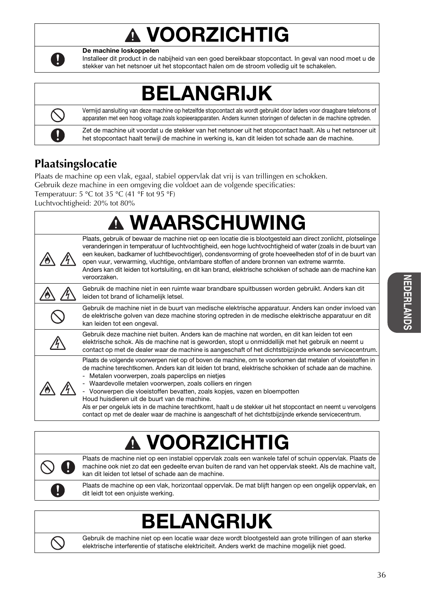# VOORZICHTIG



De machine loskoppelen

Installeer dit product in de nabijheid van een goed bereikbaar stopcontact. In geval van nood moet u de stekker van het netsnoer uit het stopcontact halen om de stroom volledig uit te schakelen.

## BELANGRIJK



Vermijd aansluiting van deze machine op hetzelfde stopcontact als wordt gebruikt door laders voor draagbare telefoons of apparaten met een hoog voltage zoals kopieerapparaten. Anders kunnen storingen of defecten in de machine optreden.

Zet de machine uit voordat u de stekker van het netsnoer uit het stopcontact haalt. Als u het netsnoer uit het stopcontact haalt terwijl de machine in werking is, kan dit leiden tot schade aan de machine.

## **Plaatsingslocatie**

Plaats de machine op een vlak, egaal, stabiel oppervlak dat vrij is van trillingen en schokken. Gebruik deze machine in een omgeving die voldoet aan de volgende specificaties: Temperatuur: 5 °C tot 35 °C (41 °F tot 95 °F)

Luchtvochtigheid: 20% tot 80%

| <b>A WAARSCHUWING</b>                                                                                                                                                                                                                                                                                                                                                                                                                                                                                                                                                                                                                                                                                |
|------------------------------------------------------------------------------------------------------------------------------------------------------------------------------------------------------------------------------------------------------------------------------------------------------------------------------------------------------------------------------------------------------------------------------------------------------------------------------------------------------------------------------------------------------------------------------------------------------------------------------------------------------------------------------------------------------|
| Plaats, gebruik of bewaar de machine niet op een locatie die is blootgesteld aan direct zonlicht, plotselinge<br>veranderingen in temperatuur of luchtvochtigheid, een hoge luchtvochtigheid of water (zoals in de buurt van<br>een keuken, badkamer of luchtbevochtiger), condensvorming of grote hoeveelheden stof of in de buurt van<br>open vuur, verwarming, vluchtige, ontvlambare stoffen of andere bronnen van extreme warmte.<br>Anders kan dit leiden tot kortsluiting, en dit kan brand, elektrische schokken of schade aan de machine kan<br>veroorzaken.                                                                                                                                |
| Gebruik de machine niet in een ruimte waar brandbare spuitbussen worden gebruikt. Anders kan dit<br>leiden tot brand of lichamelijk letsel.                                                                                                                                                                                                                                                                                                                                                                                                                                                                                                                                                          |
| Gebruik de machine niet in de buurt van medische elektrische apparatuur. Anders kan onder invloed van<br>de elektrische golven van deze machine storing optreden in de medische elektrische apparatuur en dit<br>kan leiden tot een ongeval.                                                                                                                                                                                                                                                                                                                                                                                                                                                         |
| Gebruik deze machine niet buiten. Anders kan de machine nat worden, en dit kan leiden tot een<br>elektrische schok. Als de machine nat is geworden, stopt u onmiddellijk met het gebruik en neemt u<br>contact op met de dealer waar de machine is aangeschaft of het dichtstbijzijnde erkende servicecentrum.                                                                                                                                                                                                                                                                                                                                                                                       |
| Plaats de volgende voorwerpen niet op of boven de machine, om te voorkomen dat metalen of vloeistoffen in<br>de machine terechtkomen. Anders kan dit leiden tot brand, elektrische schokken of schade aan de machine.<br>- Metalen voorwerpen, zoals paperclips en nietjes<br>- Waardevolle metalen voorwerpen, zoals colliers en ringen<br>- Voorwerpen die vloeistoffen bevatten, zoals kopjes, vazen en bloempotten<br>Houd huisdieren uit de buurt van de machine.<br>Als er per ongeluk iets in de machine terechtkomt, haalt u de stekker uit het stopcontact en neemt u vervolgens<br>contact op met de dealer waar de machine is aangeschaft of het dichtstbijzijnde erkende servicecentrum. |

# VOORZICHT

Plaats de machine niet op een instabiel oppervlak zoals een wankele tafel of schuin oppervlak. Plaats de machine ook niet zo dat een gedeelte ervan buiten de rand van het oppervlak steekt. Als de machine valt, kan dit leiden tot letsel of schade aan de machine.

Plaats de machine op een vlak, horizontaal oppervlak. De mat blijft hangen op een ongelijk oppervlak, en dit leidt tot een onjuiste werking.

## BELANGRIJK



Gebruik de machine niet op een locatie waar deze wordt blootgesteld aan grote trillingen of aan sterke elektrische interferentie of statische elektriciteit. Anders werkt de machine mogelijk niet goed.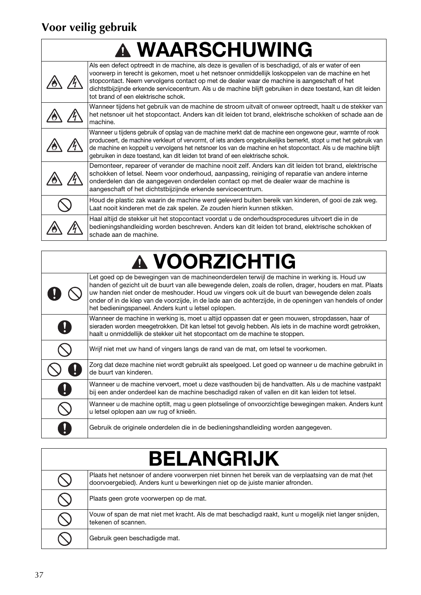## **Voor veilig gebruik**

## **A WAARSCHUWING**

| Als een defect optreedt in de machine, als deze is gevallen of is beschadigd, of als er water of een<br>voorwerp in terecht is gekomen, moet u het netsnoer onmiddellijk loskoppelen van de machine en het<br>stopcontact. Neem vervolgens contact op met de dealer waar de machine is aangeschaft of het<br>dichtstbijzijnde erkende servicecentrum. Als u de machine blijft gebruiken in deze toestand, kan dit leiden<br>tot brand of een elektrische schok. |
|-----------------------------------------------------------------------------------------------------------------------------------------------------------------------------------------------------------------------------------------------------------------------------------------------------------------------------------------------------------------------------------------------------------------------------------------------------------------|
| Wanneer tijdens het gebruik van de machine de stroom uitvalt of onweer optreedt, haalt u de stekker van<br>het netsnoer uit het stopcontact. Anders kan dit leiden tot brand, elektrische schokken of schade aan de<br>machine.                                                                                                                                                                                                                                 |
| Wanneer u tijdens gebruik of opslag van de machine merkt dat de machine een ongewone geur, warmte of rook<br>produceert, de machine verkleurt of vervormt, of iets anders ongebruikelijks bemerkt, stopt u met het gebruik van<br>de machine en koppelt u vervolgens het netsnoer los van de machine en het stopcontact. Als u de machine blijft<br>gebruiken in deze toestand, kan dit leiden tot brand of een elektrische schok.                              |
| Demonteer, repareer of verander de machine nooit zelf. Anders kan dit leiden tot brand, elektrische<br>schokken of letsel. Neem voor onderhoud, aanpassing, reiniging of reparatie van andere interne<br>onderdelen dan de aangegeven onderdelen contact op met de dealer waar de machine is<br>aangeschaft of het dichtstbijzijnde erkende servicecentrum.                                                                                                     |
| Houd de plastic zak waarin de machine werd geleverd buiten bereik van kinderen, of gooi de zak weg.<br>Laat nooit kinderen met de zak spelen. Ze zouden hierin kunnen stikken.                                                                                                                                                                                                                                                                                  |
| Haal altijd de stekker uit het stopcontact voordat u de onderhoudsprocedures uitvoert die in de<br>bedieningshandleiding worden beschreven. Anders kan dit leiden tot brand, elektrische schokken of<br>schade aan de machine.                                                                                                                                                                                                                                  |

# VOORZICHTIG

|              | Let goed op de bewegingen van de machineonderdelen terwijl de machine in werking is. Houd uw<br>handen of gezicht uit de buurt van alle bewegende delen, zoals de rollen, drager, houders en mat. Plaats<br>uw handen niet onder de meshouder. Houd uw vingers ook uit de buurt van bewegende delen zoals<br>onder of in de klep van de voorzijde, in de lade aan de achterzijde, in de openingen van hendels of onder<br>het bedieningspaneel. Anders kunt u letsel oplopen. |
|--------------|-------------------------------------------------------------------------------------------------------------------------------------------------------------------------------------------------------------------------------------------------------------------------------------------------------------------------------------------------------------------------------------------------------------------------------------------------------------------------------|
| $\mathbf{I}$ | Wanneer de machine in werking is, moet u altijd oppassen dat er geen mouwen, stropdassen, haar of<br>sieraden worden meegetrokken. Dit kan letsel tot gevolg hebben. Als iets in de machine wordt getrokken,<br>haalt u onmiddellijk de stekker uit het stopcontact om de machine te stoppen.                                                                                                                                                                                 |
|              | Wrijf niet met uw hand of vingers langs de rand van de mat, om letsel te voorkomen.                                                                                                                                                                                                                                                                                                                                                                                           |
|              | Zorg dat deze machine niet wordt gebruikt als speelgoed. Let goed op wanneer u de machine gebruikt in<br>de buurt van kinderen.                                                                                                                                                                                                                                                                                                                                               |
| $\mathbf 0$  | Wanneer u de machine vervoert, moet u deze vasthouden bij de handvatten. Als u de machine vastpakt<br>bij een ander onderdeel kan de machine beschadigd raken of vallen en dit kan leiden tot letsel.                                                                                                                                                                                                                                                                         |
|              | Wanneer u de machine optilt, mag u geen plotselinge of onvoorzichtige bewegingen maken. Anders kunt<br>u letsel oplopen aan uw rug of knieën.                                                                                                                                                                                                                                                                                                                                 |
|              | Gebruik de originele onderdelen die in de bedieningshandleiding worden aangegeven.                                                                                                                                                                                                                                                                                                                                                                                            |

# BELANGRIJK

| ----------------- |                                                                                                                                                                                      |
|-------------------|--------------------------------------------------------------------------------------------------------------------------------------------------------------------------------------|
|                   | Plaats het netsnoer of andere voorwerpen niet binnen het bereik van de verplaatsing van de mat (het<br>doorvoergebied). Anders kunt u bewerkingen niet op de juiste manier afronden. |
|                   | Plaats geen grote voorwerpen op de mat.                                                                                                                                              |
|                   | Vouw of span de mat niet met kracht. Als de mat beschadigd raakt, kunt u mogelijk niet langer snijden,<br>tekenen of scannen.                                                        |
|                   | Gebruik geen beschadigde mat.                                                                                                                                                        |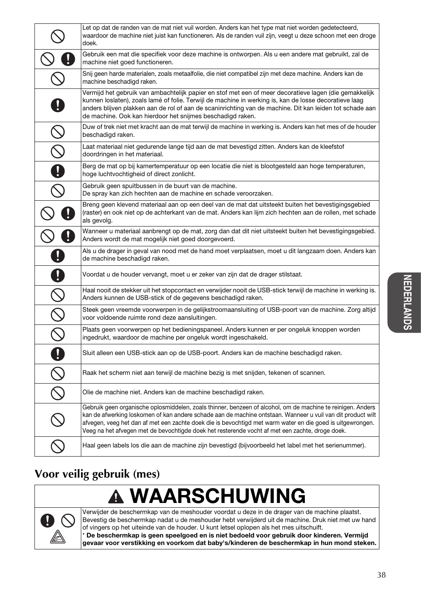|                                                           | Let op dat de randen van de mat niet vuil worden. Anders kan het type mat niet worden gedetecteerd,<br>waardoor de machine niet juist kan functioneren. Als de randen vuil zijn, veegt u deze schoon met een droge<br>doek.                                                                                                                                                                                                                 |
|-----------------------------------------------------------|---------------------------------------------------------------------------------------------------------------------------------------------------------------------------------------------------------------------------------------------------------------------------------------------------------------------------------------------------------------------------------------------------------------------------------------------|
|                                                           | Gebruik een mat die specifiek voor deze machine is ontworpen. Als u een andere mat gebruikt, zal de<br>machine niet goed functioneren.                                                                                                                                                                                                                                                                                                      |
|                                                           | Snij geen harde materialen, zoals metaalfolie, die niet compatibel zijn met deze machine. Anders kan de<br>machine beschadigd raken.                                                                                                                                                                                                                                                                                                        |
|                                                           | Vermijd het gebruik van ambachtelijk papier en stof met een of meer decoratieve lagen (die gemakkelijk<br>kunnen loslaten), zoals lamé of folie. Terwijl de machine in werking is, kan de losse decoratieve laag<br>anders blijven plakken aan de rol of aan de scaninrichting van de machine. Dit kan leiden tot schade aan<br>de machine. Ook kan hierdoor het snijmes beschadigd raken.                                                  |
|                                                           | Duw of trek niet met kracht aan de mat terwijl de machine in werking is. Anders kan het mes of de houder<br>beschadigd raken.                                                                                                                                                                                                                                                                                                               |
|                                                           | Laat materiaal niet gedurende lange tijd aan de mat bevestigd zitten. Anders kan de kleefstof<br>doordringen in het materiaal.                                                                                                                                                                                                                                                                                                              |
|                                                           | Berg de mat op bij kamertemperatuur op een locatie die niet is blootgesteld aan hoge temperaturen,<br>hoge luchtvochtigheid of direct zonlicht.                                                                                                                                                                                                                                                                                             |
|                                                           | Gebruik geen spuitbussen in de buurt van de machine.<br>De spray kan zich hechten aan de machine en schade veroorzaken.                                                                                                                                                                                                                                                                                                                     |
|                                                           | Breng geen klevend materiaal aan op een deel van de mat dat uitsteekt buiten het bevestigingsgebied<br>(raster) en ook niet op de achterkant van de mat. Anders kan lijm zich hechten aan de rollen, met schade<br>als gevolg.                                                                                                                                                                                                              |
|                                                           | Wanneer u materiaal aanbrengt op de mat, zorg dan dat dit niet uitsteekt buiten het bevestigingsgebied.<br>Anders wordt de mat mogelijk niet goed doorgevoerd.                                                                                                                                                                                                                                                                              |
|                                                           | Als u de drager in geval van nood met de hand moet verplaatsen, moet u dit langzaam doen. Anders kan<br>de machine beschadigd raken.                                                                                                                                                                                                                                                                                                        |
| J                                                         | Voordat u de houder vervangt, moet u er zeker van zijn dat de drager stilstaat.                                                                                                                                                                                                                                                                                                                                                             |
| $\mathcal{S}% _{M_{1},M_{2}}^{\alpha,\beta}(\varepsilon)$ | Haal nooit de stekker uit het stopcontact en verwijder nooit de USB-stick terwijl de machine in werking is.<br>Anders kunnen de USB-stick of de gegevens beschadigd raken.                                                                                                                                                                                                                                                                  |
| $\frac{\infty}{\infty}$                                   | Steek geen vreemde voorwerpen in de gelijkstroomaansluiting of USB-poort van de machine. Zorg altijd<br>voor voldoende ruimte rond deze aansluitingen.                                                                                                                                                                                                                                                                                      |
|                                                           | Plaats geen voorwerpen op het bedieningspaneel. Anders kunnen er per ongeluk knoppen worden<br>ingedrukt, waardoor de machine per ongeluk wordt ingeschakeld.                                                                                                                                                                                                                                                                               |
| Q                                                         | Sluit alleen een USB-stick aan op de USB-poort. Anders kan de machine beschadigd raken.                                                                                                                                                                                                                                                                                                                                                     |
|                                                           | Raak het scherm niet aan terwijl de machine bezig is met snijden, tekenen of scannen.                                                                                                                                                                                                                                                                                                                                                       |
|                                                           | Olie de machine niet. Anders kan de machine beschadigd raken.                                                                                                                                                                                                                                                                                                                                                                               |
|                                                           | Gebruik geen organische oplosmiddelen, zoals thinner, benzeen of alcohol, om de machine te reinigen. Anders<br>kan de afwerking loskomen of kan andere schade aan de machine ontstaan. Wanneer u vuil van dit product wilt<br>afvegen, veeg het dan af met een zachte doek die is bevochtigd met warm water en die goed is uitgewrongen.<br>Veeg na het afvegen met de bevochtigde doek het resterende vocht af met een zachte, droge doek. |
|                                                           | Haal geen labels los die aan de machine zijn bevestigd (bijvoorbeeld het label met het serienummer).                                                                                                                                                                                                                                                                                                                                        |

## **Voor veilig gebruik (mes)**

### WAARSCHUWING  $\blacktriangle$



Verwijder de beschermkap van de meshouder voordat u deze in de drager van de machine plaatst. Bevestig de beschermkap nadat u de meshouder hebt verwijderd uit de machine. Druk niet met uw hand of vingers op het uiteinde van de houder. U kunt letsel oplopen als het mes uitschuift. \* De beschermkap is geen speelgoed en is niet bedoeld voor gebruik door kinderen. Vermijd

gevaar voor verstikking en voorkom dat baby's/kinderen de beschermkap in hun mond steken.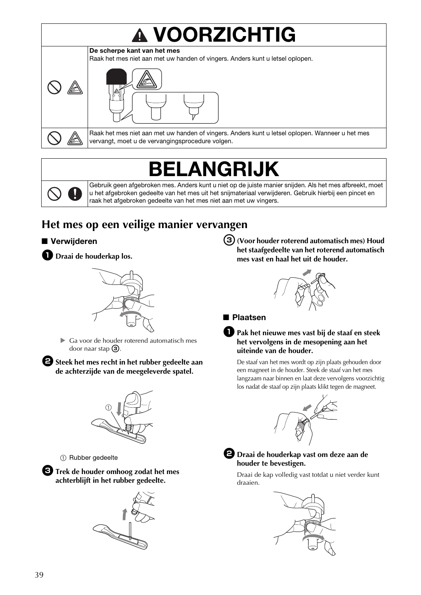# VOORZICHTIG



Raak het mes niet aan met uw handen of vingers. Anders kunt u letsel oplopen. Wanneer u het mes vervangt, moet u de vervangingsprocedure volgen.

## BELANGRIJK

Gebruik geen afgebroken mes. Anders kunt u niet op de juiste manier snijden. Als het mes afbreekt, moet u het afgebroken gedeelte van het mes uit het snijmateriaal verwijderen. Gebruik hierbij een pincet en raak het afgebroken gedeelte van het mes niet aan met uw vingers.

## **Het mes op een veilige manier vervangen**

#### ■ Verwijderen

**D** Draai de houderkap los.



 Ga voor de houder roterend automatisch mes door naar stap  $\odot$ .

 $\bullet$  Steek het mes recht in het rubber gedeelte aan **de achterzijde van de meegeleverde spatel.**



1 Rubber gedeelte

<sup>c</sup>**Trek de houder omhoog zodat het mes achterblijft in het rubber gedeelte.**



<sup>c</sup>**(Voor houder roterend automatisch mes) Houd het staafgedeelte van het roterend automatisch mes vast en haal het uit de houder.**



#### ■ Plaatsen

#### <sup>a</sup>**Pak het nieuwe mes vast bij de staaf en steek het vervolgens in de mesopening aan het uiteinde van de houder.**

De staaf van het mes wordt op zijn plaats gehouden door een magneet in de houder. Steek de staaf van het mes langzaam naar binnen en laat deze vervolgens voorzichtig los nadat de staaf op zijn plaats klikt tegen de magneet.





#### $\bullet$  Draai de houderkap vast om deze aan de **houder te bevestigen.**

Draai de kap volledig vast totdat u niet verder kunt draaien.

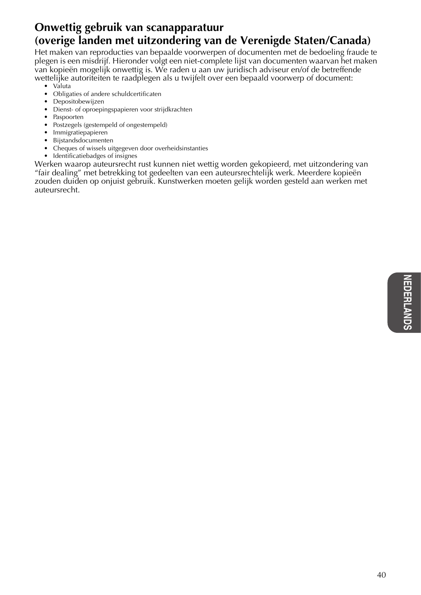### **Onwettig gebruik van scanapparatuur (overige landen met uitzondering van de Verenigde Staten/Canada)**

Het maken van reproducties van bepaalde voorwerpen of documenten met de bedoeling fraude te plegen is een misdrijf. Hieronder volgt een niet-complete lijst van documenten waarvan het maken van kopieën mogelijk onwettig is. We raden u aan uw juridisch adviseur en/of de betreffende wettelijke autoriteiten te raadplegen als u twijfelt over een bepaald voorwerp of document:

- Valuta
- Obligaties of andere schuldcertificaten
- Depositobewijzen
- Dienst- of oproepingspapieren voor strijdkrachten
- Paspoorten
- Postzegels (gestempeld of ongestempeld)
- Immigratiepapieren
- Bijstandsdocumenten
- Cheques of wissels uitgegeven door overheidsinstanties
- Identificatiebadges of insignes

Werken waarop auteursrecht rust kunnen niet wettig worden gekopieerd, met uitzondering van "fair dealing" met betrekking tot gedeelten van een auteursrechtelijk werk. Meerdere kopieën zouden duiden op onjuist gebruik. Kunstwerken moeten gelijk worden gesteld aan werken met auteursrecht.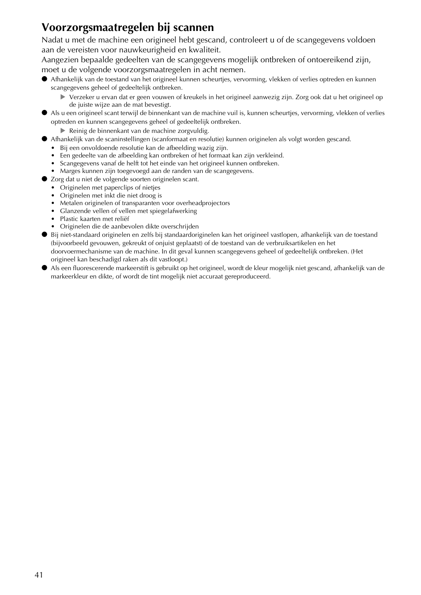### **Voorzorgsmaatregelen bij scannen**

Nadat u met de machine een origineel hebt gescand, controleert u of de scangegevens voldoen aan de vereisten voor nauwkeurigheid en kwaliteit.

Aangezien bepaalde gedeelten van de scangegevens mogelijk ontbreken of ontoereikend zijn, moet u de volgende voorzorgsmaatregelen in acht nemen.

- Afhankelijk van de toestand van het origineel kunnen scheurtjes, vervorming, vlekken of verlies optreden en kunnen scangegevens geheel of gedeeltelijk ontbreken.
	- Verzeker u ervan dat er geen vouwen of kreukels in het origineel aanwezig zijn. Zorg ook dat u het origineel op de juiste wijze aan de mat bevestigt.
- Als u een origineel scant terwijl de binnenkant van de machine vuil is, kunnen scheurtjes, vervorming, vlekken of verlies optreden en kunnen scangegevens geheel of gedeeltelijk ontbreken.
	- Reinig de binnenkant van de machine zorgvuldig.
- Afhankelijk van de scaninstellingen (scanformaat en resolutie) kunnen originelen als volgt worden gescand.
	- Bij een onvoldoende resolutie kan de afbeelding wazig zijn.
	- Een gedeelte van de afbeelding kan ontbreken of het formaat kan zijn verkleind.
	- Scangegevens vanaf de helft tot het einde van het origineel kunnen ontbreken.
	- Marges kunnen zijn toegevoegd aan de randen van de scangegevens.
- Zorg dat u niet de volgende soorten originelen scant.
	- Originelen met paperclips of nietjes
	- Originelen met inkt die niet droog is
	- Metalen originelen of transparanten voor overheadprojectors
	- Glanzende vellen of vellen met spiegelafwerking
	- Plastic kaarten met reliëf
	- Originelen die de aanbevolen dikte overschrijden
- Bij niet-standaard originelen en zelfs bij standaardoriginelen kan het origineel vastlopen, afhankelijk van de toestand (bijvoorbeeld gevouwen, gekreukt of onjuist geplaatst) of de toestand van de verbruiksartikelen en het doorvoermechanisme van de machine. In dit geval kunnen scangegevens geheel of gedeeltelijk ontbreken. (Het origineel kan beschadigd raken als dit vastloopt.)
- Als een fluorescerende markeerstift is gebruikt op het origineel, wordt de kleur mogelijk niet gescand, afhankelijk van de markeerkleur en dikte, of wordt de tint mogelijk niet accuraat gereproduceerd.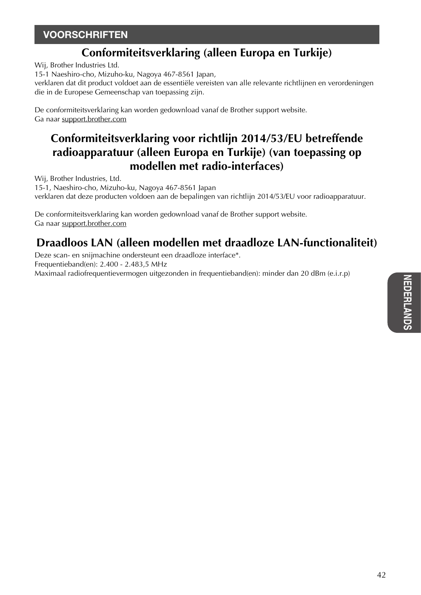### **VOORSCHRIFTEN**

## **Conformiteitsverklaring (alleen Europa en Turkije)**

Wij, Brother Industries Ltd.

15-1 Naeshiro-cho, Mizuho-ku, Nagoya 467-8561 Japan,

verklaren dat dit product voldoet aan de essentiële vereisten van alle relevante richtlijnen en verordeningen die in de Europese Gemeenschap van toepassing zijn.

De conformiteitsverklaring kan worden gedownload vanaf de Brother support website. Ga naar support.brother.com

## **Conformiteitsverklaring voor richtlijn 2014/53/EU betreffende radioapparatuur (alleen Europa en Turkije) (van toepassing op modellen met radio-interfaces)**

Wij, Brother Industries, Ltd.

15-1, Naeshiro-cho, Mizuho-ku, Nagoya 467-8561 Japan verklaren dat deze producten voldoen aan de bepalingen van richtlijn 2014/53/EU voor radioapparatuur.

De conformiteitsverklaring kan worden gedownload vanaf de Brother support website. Ga naar support.brother.com

## **Draadloos LAN (alleen modellen met draadloze LAN-functionaliteit)**

Deze scan- en snijmachine ondersteunt een draadloze interface\*. Frequentieband(en): 2.400 - 2.483,5 MHz Maximaal radiofrequentievermogen uitgezonden in frequentieband(en): minder dan 20 dBm (e.i.r.p)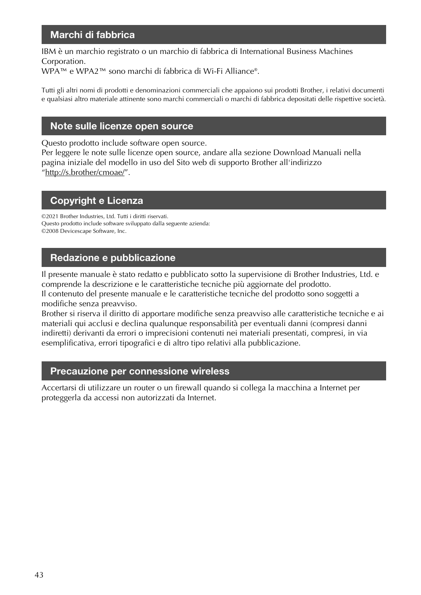#### Marchi di fabbrica

IBM è un marchio registrato o un marchio di fabbrica di International Business Machines Corporation.

WPA™ e WPA2™ sono marchi di fabbrica di Wi-Fi Alliance®.

Tutti gli altri nomi di prodotti e denominazioni commerciali che appaiono sui prodotti Brother, i relativi documenti e qualsiasi altro materiale attinente sono marchi commerciali o marchi di fabbrica depositati delle rispettive società.

#### Note sulle licenze open source

Questo prodotto include software open source.

Per leggere le note sulle licenze open source, andare alla sezione Download Manuali nella pagina iniziale del modello in uso del Sito web di supporto Brother all'indirizzo "http://s.brother/cmoae/".

#### Copyright e Licenza

©2021 Brother Industries, Ltd. Tutti i diritti riservati. Questo prodotto include software sviluppato dalla seguente azienda: ©2008 Devicescape Software, Inc.

#### Redazione e pubblicazione

Il presente manuale è stato redatto e pubblicato sotto la supervisione di Brother Industries, Ltd. e comprende la descrizione e le caratteristiche tecniche più aggiornate del prodotto.

Il contenuto del presente manuale e le caratteristiche tecniche del prodotto sono soggetti a modifiche senza preavviso.

Brother si riserva il diritto di apportare modifiche senza preavviso alle caratteristiche tecniche e ai materiali qui acclusi e declina qualunque responsabilità per eventuali danni (compresi danni indiretti) derivanti da errori o imprecisioni contenuti nei materiali presentati, compresi, in via esemplificativa, errori tipografici e di altro tipo relativi alla pubblicazione.

#### Precauzione per connessione wireless

Accertarsi di utilizzare un router o un firewall quando si collega la macchina a Internet per proteggerla da accessi non autorizzati da Internet.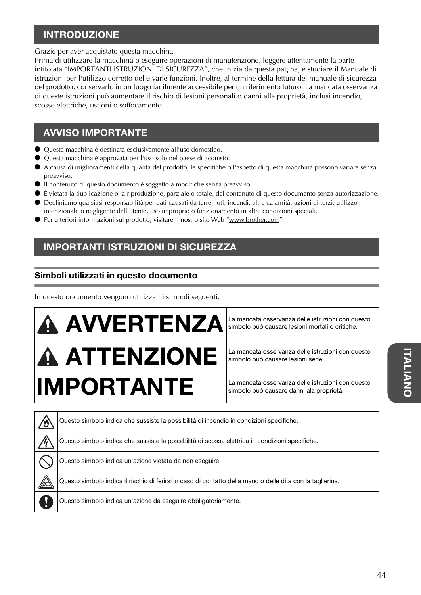### **INTRODUZIONE**

Grazie per aver acquistato questa macchina.

Prima di utilizzare la macchina o eseguire operazioni di manutenzione, leggere attentamente la parte intitolata "IMPORTANTI ISTRUZIONI DI SICUREZZA", che inizia da questa pagina, e studiare il Manuale di istruzioni per l'utilizzo corretto delle varie funzioni. Inoltre, al termine della lettura del manuale di sicurezza del prodotto, conservarlo in un luogo facilmente accessibile per un riferimento futuro. La mancata osservanza di queste istruzioni può aumentare il rischio di lesioni personali o danni alla proprietà, inclusi incendio, scosse elettriche, ustioni o soffocamento.

### AVVISO IMPORTANTE

- Questa macchina è destinata esclusivamente all'uso domestico.
- Questa macchina è approvata per l'uso solo nel paese di acquisto.
- A causa di miglioramenti della qualità del prodotto, le specifiche o l'aspetto di questa macchina possono variare senza preavviso.
- Il contenuto di questo documento è soggetto a modifiche senza preavviso.
- È vietata la duplicazione o la riproduzione, parziale o totale, del contenuto di questo documento senza autorizzazione.
- Decliniamo qualsiasi responsabilità per dati causati da terremoti, incendi, altre calamità, azioni di terzi, utilizzo intenzionale o negligente dell'utente, uso improprio o funzionamento in altre condizioni speciali.
- Per ulteriori informazioni sul prodotto, visitare il nostro sito Web "www.brother.com"

### IMPORTANTI ISTRUZIONI DI SICUREZZA

#### Simboli utilizzati in questo documento

In questo documento vengono utilizzati i simboli seguenti.



simbolo può causare lesioni mortali o critiche.

simbolo può causare lesioni serie.

simbolo può causare danni ala proprietà.

|    | Questo simbolo indica che sussiste la possibilità di incendio in condizioni specifiche.                    |
|----|------------------------------------------------------------------------------------------------------------|
|    | Questo simbolo indica che sussiste la possibilità di scossa elettrica in condizioni specifiche.            |
|    | Questo simbolo indica un'azione vietata da non eseguire.                                                   |
| 12 | Questo simbolo indica il rischio di ferirsi in caso di contatto della mano o delle dita con la taglierina. |
|    | Questo simbolo indica un'azione da eseguire obbligatoriamente.                                             |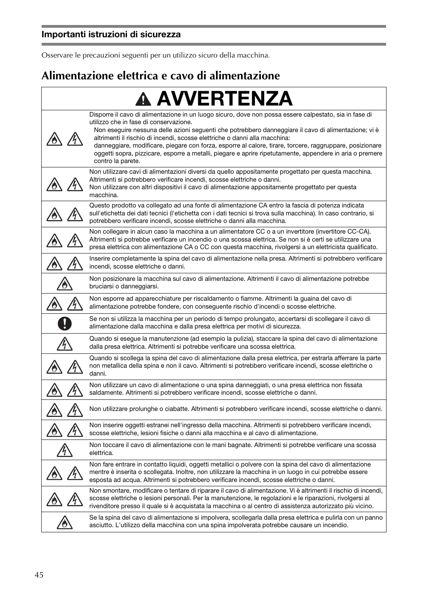Osservare le precauzioni seguenti per un utilizzo sicuro della macchina.

## **Alimentazione elettrica e cavo di alimentazione**

| <b>A AVVERTENZA</b>                                                                                                                                                                                                                                                                                                                                                                                                                                                                                                                                                                 |
|-------------------------------------------------------------------------------------------------------------------------------------------------------------------------------------------------------------------------------------------------------------------------------------------------------------------------------------------------------------------------------------------------------------------------------------------------------------------------------------------------------------------------------------------------------------------------------------|
| Disporre il cavo di alimentazione in un luogo sicuro, dove non possa essere calpestato, sia in fase di<br>utilizzo che in fase di conservazione.<br>Non eseguire nessuna delle azioni seguenti che potrebbero danneggiare il cavo di alimentazione; vi è<br>altrimenti il rischio di incendi, scosse elettriche o danni alla macchina:<br>danneggiare, modificare, piegare con forza, esporre al calore, tirare, torcere, raggruppare, posizionare<br>oggetti sopra, pizzicare, esporre a metalli, piegare e aprire ripetutamente, appendere in aria o premere<br>contro la parete. |
| Non utilizzare cavi di alimentazioni diversi da quello appositamente progettato per questa macchina.<br>Altrimenti si potrebbero verificare incendi, scosse elettriche o danni.<br>Non utilizzare con altri dispositivi il cavo di alimentazione appositamente progettato per questa<br>macchina.                                                                                                                                                                                                                                                                                   |
| Questo prodotto va collegato ad una fonte di alimentazione CA entro la fascia di potenza indicata<br>sull'etichetta dei dati tecnici (l'etichetta con i dati tecnici si trova sulla macchina). In caso contrario, si<br>potrebbero verificare incendi, scosse elettriche o danni alla macchina.                                                                                                                                                                                                                                                                                     |
| Non collegare in alcun caso la macchina a un alimentatore CC o a un invertitore (invertitore CC-CA).<br>Altrimenti si potrebbe verificare un incendio o una scossa elettrica. Se non si è certi se utilizzare una<br>presa elettrica con alimentazione CA o CC con questa macchina, rivolgersi a un elettricista qualificato.                                                                                                                                                                                                                                                       |
| Inserire completamente la spina del cavo di alimentazione nella presa. Altrimenti si potrebbero verificare<br>incendi, scosse elettriche o danni.                                                                                                                                                                                                                                                                                                                                                                                                                                   |
| Non posizionare la macchina sul cavo di alimentazione. Altrimenti il cavo di alimentazione potrebbe<br>bruciarsi o danneggiarsi.                                                                                                                                                                                                                                                                                                                                                                                                                                                    |
| Non esporre ad apparecchiature per riscaldamento o fiamme. Altrimenti la guaina del cavo di<br>alimentazione potrebbe fondere, con conseguente rischio d'incendi o scosse elettriche.                                                                                                                                                                                                                                                                                                                                                                                               |
| Se non si utilizza la macchina per un periodo di tempo prolungato, accertarsi di scollegare il cavo di<br>alimentazione dalla macchina e dalla presa elettrica per motivi di sicurezza.                                                                                                                                                                                                                                                                                                                                                                                             |
| Quando si esegue la manutenzione (ad esempio la pulizia), staccare la spina del cavo di alimentazione<br>dalla presa elettrica. Altrimenti si potrebbe verificare una scossa elettrica.                                                                                                                                                                                                                                                                                                                                                                                             |
| Quando si scollega la spina del cavo di alimentazione dalla presa elettrica, per estrarla afferrare la parte<br>non metallica della spina e non il cavo. Altrimenti si potrebbero verificare incendi, scosse elettriche o<br>danni.                                                                                                                                                                                                                                                                                                                                                 |
| Non utilizzare un cavo di alimentazione o una spina danneggiati, o una presa elettrica non fissata<br>saldamente. Altrimenti si potrebbero verificare incendi, scosse elettriche o danni.                                                                                                                                                                                                                                                                                                                                                                                           |
| Non utilizzare prolunghe o ciabatte. Altrimenti si potrebbero verificare incendi, scosse elettriche o danni.                                                                                                                                                                                                                                                                                                                                                                                                                                                                        |
| Non inserire oggetti estranei nell'ingresso della macchina. Altrimenti si potrebbero verificare incendi,<br>scosse elettriche, lesioni fisiche o danni alla macchina e al cavo di alimentazione.                                                                                                                                                                                                                                                                                                                                                                                    |
| Non toccare il cavo di alimentazione con le mani bagnate. Altrimenti si potrebbe verificare una scossa<br>elettrica                                                                                                                                                                                                                                                                                                                                                                                                                                                                 |
| Non fare entrare in contatto liquidi, oggetti metallici o polvere con la spina del cavo di alimentazione<br>mentre è inserita o scollegata. Inoltre, non utilizzare la macchina in un luogo in cui potrebbe essere<br>esposta ad acqua. Altrimenti si potrebbero verificare incendi, scosse elettriche o danni.                                                                                                                                                                                                                                                                     |
| Non smontare, modificare o tentare di riparare il cavo di alimentazione. Vi è altrimenti il rischio di incendi,<br>scosse elettriche o lesioni personali. Per la manutenzione, le regolazioni e le riparazioni, rivolgersi al<br>rivenditore presso il quale si è acquistata la macchina o al centro di assistenza autorizzato più vicino.                                                                                                                                                                                                                                          |
| Se la spina del cavo di alimentazione si impolvera, scollegarla dalla presa elettrica e pulirla con un panno<br>asciutto. L'utilizzo della macchina con una spina impolverata potrebbe causare un incendio.                                                                                                                                                                                                                                                                                                                                                                         |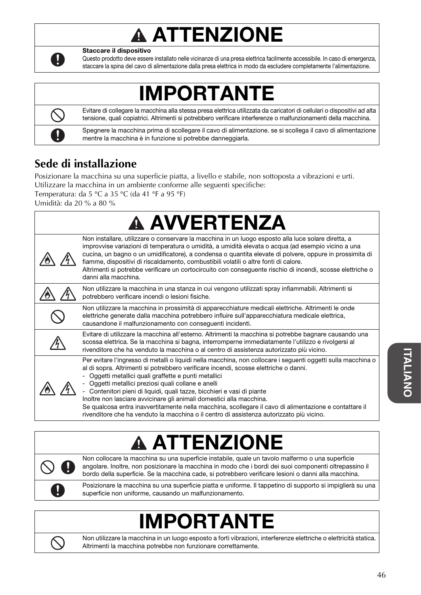## **A ATTENZIONE**



Staccare il dispositivo

Questo prodotto deve essere installato nelle vicinanze di una presa elettrica facilmente accessibile. In caso di emergenza, staccare la spina del cavo di alimentazione dalla presa elettrica in modo da escludere completamente l'alimentazione.

## IMPORTANTE



Evitare di collegare la macchina alla stessa presa elettrica utilizzata da caricatori di cellulari o dispositivi ad alta tensione, quali copiatrici. Altrimenti si potrebbero verificare interferenze o malfunzionamenti della macchina.

Spegnere la macchina prima di scollegare il cavo di alimentazione. se si scollega il cavo di alimentazione mentre la macchina è in funzione si potrebbe danneggiarla.

## **Sede di installazione**

Posizionare la macchina su una superficie piatta, a livello e stabile, non sottoposta a vibrazioni e urti. Utilizzare la macchina in un ambiente conforme alle seguenti specifiche:

Temperatura: da 5 °C a 35 °C (da 41 °F a 95 °F)

| <b>A AVVERTENZA</b>                                                                                                                                                                                                                                                                                                                                                                                                                                                                                                                                                                                                                                                          |
|------------------------------------------------------------------------------------------------------------------------------------------------------------------------------------------------------------------------------------------------------------------------------------------------------------------------------------------------------------------------------------------------------------------------------------------------------------------------------------------------------------------------------------------------------------------------------------------------------------------------------------------------------------------------------|
| Non installare, utilizzare o conservare la macchina in un luogo esposto alla luce solare diretta, a<br>improvvise variazioni di temperatura o umidità, a umidità elevata o acqua (ad esempio vicino a una<br>cucina, un bagno o un umidificatore), a condensa o quantita elevate di polvere, oppure in prossimita di<br>fiamme, dispositivi di riscaldamento, combustibili volatili o altre fonti di calore.<br>Altrimenti si potrebbe verificare un cortocircuito con conseguente rischio di incendi, scosse elettriche o<br>danni alla macchina.                                                                                                                           |
| Non utilizzare la macchina in una stanza in cui vengono utilizzati spray infiammabili. Altrimenti si<br>potrebbero verificare incendi o lesioni fisiche.                                                                                                                                                                                                                                                                                                                                                                                                                                                                                                                     |
| Non utilizzare la macchina in prossimità di apparecchiature medicali elettriche. Altrimenti le onde<br>elettriche generate dalla macchina potrebbero influire sull'apparecchiatura medicale elettrica,<br>causandone il malfunzionamento con conseguenti incidenti.                                                                                                                                                                                                                                                                                                                                                                                                          |
| Evitare di utilizzare la macchina all'esterno. Altrimenti la macchina si potrebbe bagnare causando una<br>scossa elettrica. Se la macchina si bagna, interromperne immediatamente l'utilizzo e rivolgersi al<br>rivenditore che ha venduto la macchina o al centro di assistenza autorizzato più vicino.                                                                                                                                                                                                                                                                                                                                                                     |
| Per evitare l'ingresso di metalli o liquidi nella macchina, non collocare i seguenti oggetti sulla macchina o<br>al di sopra. Altrimenti si potrebbero verificare incendi, scosse elettriche o danni.<br>Oggetti metallici quali graffette e punti metallici<br>- Oggetti metallici preziosi quali collane e anelli<br>- Contenitori pieni di liquidi, quali tazze, bicchieri e vasi di piante<br>Inoltre non lasciare avvicinare gli animali domestici alla macchina.<br>Se qualcosa entra inavvertitamente nella macchina, scollegare il cavo di alimentazione e contattare il<br>rivenditore che ha venduto la macchina o il centro di assistenza autorizzato più vicino. |

# ATTENZIONE

Non collocare la macchina su una superficie instabile, quale un tavolo malfermo o una superficie angolare. Inoltre, non posizionare la macchina in modo che i bordi dei suoi componenti oltrepassino il bordo della superficie. Se la macchina cade, si potrebbero verificare lesioni o danni alla macchina.

Posizionare la macchina su una superficie piatta e uniforme. Il tappetino di supporto si impiglierà su una superficie non uniforme, causando un malfunzionamento.

# IMPORTANTE



Non utilizzare la macchina in un luogo esposto a forti vibrazioni, interferenze elettriche o elettricità statica. Altrimenti la macchina potrebbe non funzionare correttamente.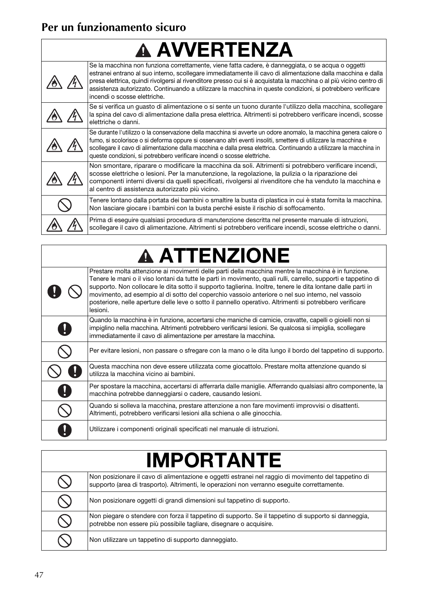## **Per un funzionamento sicuro**

 $\Box$ 

| <b>A AVVERTENZA</b> |                                                                                                                                                                                                                                                                                                                                                                                                                                                                                        |
|---------------------|----------------------------------------------------------------------------------------------------------------------------------------------------------------------------------------------------------------------------------------------------------------------------------------------------------------------------------------------------------------------------------------------------------------------------------------------------------------------------------------|
|                     | Se la macchina non funziona correttamente, viene fatta cadere, è danneggiata, o se acqua o oggetti<br>estranei entrano al suo interno, scollegare immediatamente ili cavo di alimentazione dalla macchina e dalla<br>presa elettrica, quindi rivolgersi al rivenditore presso cui si è acquistata la macchina o al più vicino centro di<br>assistenza autorizzato. Continuando a utilizzare la macchina in queste condizioni, si potrebbero verificare<br>incendi o scosse elettriche. |
|                     | Se si verifica un guasto di alimentazione o si sente un tuono durante l'utilizzo della macchina, scollegare<br>la spina del cavo di alimentazione dalla presa elettrica. Altrimenti si potrebbero verificare incendi, scosse<br>elettriche o danni.                                                                                                                                                                                                                                    |
|                     | Se durante l'utilizzo o la conservazione della macchina si avverte un odore anomalo, la macchina genera calore o<br>fumo, si scolorisce o si deforma oppure si osservano altri eventi insoliti, smettere di utilizzare la macchina e<br>scollegare il cavo di alimentazione dalla macchina e dalla presa elettrica. Continuando a utilizzare la macchina in<br>queste condizioni, si potrebbero verificare incendi o scosse elettriche.                                                |
|                     | Non smontare, riparare o modificare la macchina da soli. Altrimenti si potrebbero verificare incendi,<br>scosse elettriche o lesioni. Per la manutenzione, la regolazione, la pulizia o la riparazione dei<br>componenti interni diversi da quelli specificati, rivolgersi al rivenditore che ha venduto la macchina e<br>al centro di assistenza autorizzato più vicino.                                                                                                              |
|                     | Tenere lontano dalla portata dei bambini o smaltire la busta di plastica in cui è stata fornita la macchina.<br>Non lasciare giocare i bambini con la busta perché esiste il rischio di soffocamento.                                                                                                                                                                                                                                                                                  |
|                     | Prima di eseguire qualsiasi procedura di manutenzione descritta nel presente manuale di istruzioni,<br>scollegare il cavo di alimentazione. Altrimenti si potrebbero verificare incendi, scosse elettriche o danni.                                                                                                                                                                                                                                                                    |

# **A ATTENZIONE**

| Prestare molta attenzione ai movimenti delle parti della macchina mentre la macchina è in funzione.<br>Tenere le mani o il viso lontani da tutte le parti in movimento, quali rulli, carrello, supporti e tappetino di<br>supporto. Non collocare le dita sotto il supporto taglierina. Inoltre, tenere le dita lontane dalle parti in<br>movimento, ad esempio al di sotto del coperchio vassoio anteriore o nel suo interno, nel vassoio<br>posteriore, nelle aperture delle leve o sotto il pannello operativo. Altrimenti si potrebbero verificare<br>lesioni. |
|--------------------------------------------------------------------------------------------------------------------------------------------------------------------------------------------------------------------------------------------------------------------------------------------------------------------------------------------------------------------------------------------------------------------------------------------------------------------------------------------------------------------------------------------------------------------|
| Quando la macchina è in funzione, accertarsi che maniche di camicie, cravatte, capelli o gioielli non si<br>impiglino nella macchina. Altrimenti potrebbero verificarsi lesioni. Se qualcosa si impiglia, scollegare<br>immediatamente il cavo di alimentazione per arrestare la macchina.                                                                                                                                                                                                                                                                         |
| Per evitare lesioni, non passare o sfregare con la mano o le dita lungo il bordo del tappetino di supporto.                                                                                                                                                                                                                                                                                                                                                                                                                                                        |
| Questa macchina non deve essere utilizzata come giocattolo. Prestare molta attenzione quando si<br>utilizza la macchina vicino ai bambini.                                                                                                                                                                                                                                                                                                                                                                                                                         |
| Per spostare la macchina, accertarsi di afferrarla dalle maniglie. Afferrando qualsiasi altro componente, la<br>macchina potrebbe danneggiarsi o cadere, causando lesioni.                                                                                                                                                                                                                                                                                                                                                                                         |
| Quando si solleva la macchina, prestare attenzione a non fare movimenti improvvisi o disattenti.<br>Altrimenti, potrebbero verificarsi lesioni alla schiena o alle ginocchia.                                                                                                                                                                                                                                                                                                                                                                                      |
| Utilizzare i componenti originali specificati nel manuale di istruzioni.                                                                                                                                                                                                                                                                                                                                                                                                                                                                                           |

| <b>IMPORTANTE</b> |                                                                                                                                                                                                      |
|-------------------|------------------------------------------------------------------------------------------------------------------------------------------------------------------------------------------------------|
|                   | Non posizionare il cavo di alimentazione e oggetti estranei nel raggio di movimento del tappetino di<br>supporto (area di trasporto). Altrimenti, le operazioni non verranno eseguite correttamente. |
|                   | Non posizionare oggetti di grandi dimensioni sul tappetino di supporto.                                                                                                                              |
|                   | Non piegare o stendere con forza il tappetino di supporto. Se il tappetino di supporto si danneggia,<br>potrebbe non essere più possibile tagliare, disegnare o acquisire.                           |
|                   | Non utilizzare un tappetino di supporto danneggiato.                                                                                                                                                 |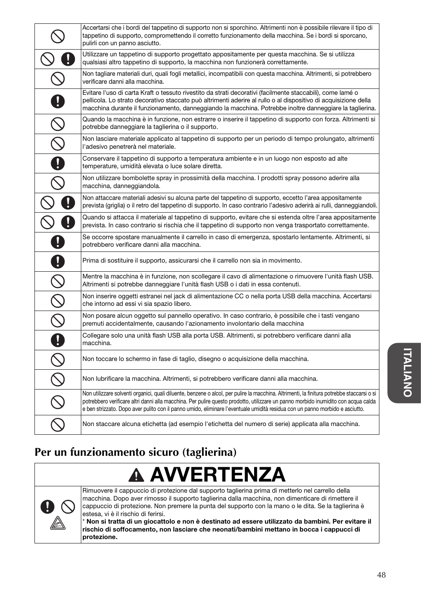|                                                           | Accertarsi che i bordi del tappetino di supporto non si sporchino. Altrimenti non è possibile rilevare il tipo di<br>tappetino di supporto, compromettendo il corretto funzionamento della macchina. Se i bordi si sporcano,                                                                                                                                                                                     |
|-----------------------------------------------------------|------------------------------------------------------------------------------------------------------------------------------------------------------------------------------------------------------------------------------------------------------------------------------------------------------------------------------------------------------------------------------------------------------------------|
|                                                           | pulirli con un panno asciutto.<br>Utilizzare un tappetino di supporto progettato appositamente per questa macchina. Se si utilizza<br>qualsiasi altro tappetino di supporto, la macchina non funzionerà correttamente.                                                                                                                                                                                           |
|                                                           | Non tagliare materiali duri, quali fogli metallici, incompatibili con questa macchina. Altrimenti, si potrebbero<br>verificare danni alla macchina.                                                                                                                                                                                                                                                              |
|                                                           | Evitare l'uso di carta Kraft o tessuto rivestito da strati decorativi (facilmente staccabili), come lamé o<br>pellicola. Lo strato decorativo staccato può altrimenti aderire al rullo o al dispositivo di acquisizione della<br>macchina durante il funzionamento, danneggiando la macchina. Potrebbe inoltre danneggiare la taglierina.                                                                        |
|                                                           | Quando la macchina è in funzione, non estrarre o inserire il tappetino di supporto con forza. Altrimenti si<br>potrebbe danneggiare la taglierina o il supporto.                                                                                                                                                                                                                                                 |
|                                                           | Non lasciare materiale applicato al tappetino di supporto per un periodo di tempo prolungato, altrimenti<br>l'adesivo penetrerà nel materiale.                                                                                                                                                                                                                                                                   |
| Ø                                                         | Conservare il tappetino di supporto a temperatura ambiente e in un luogo non esposto ad alte<br>temperature, umidità elevata o luce solare diretta.                                                                                                                                                                                                                                                              |
|                                                           | Non utilizzare bombolette spray in prossimità della macchina. I prodotti spray possono aderire alla<br>macchina, danneggiandola.                                                                                                                                                                                                                                                                                 |
|                                                           | Non attaccare materiali adesivi su alcuna parte del tappetino di supporto, eccetto l'area appositamente<br>prevista (griglia) o il retro del tappetino di supporto. In caso contrario l'adesivo aderirà ai rulli, danneggiandoli.                                                                                                                                                                                |
|                                                           | Quando si attacca il materiale al tappetino di supporto, evitare che si estenda oltre l'area appositamente<br>prevista. In caso contrario si rischia che il tappetino di supporto non venga trasportato correttamente.                                                                                                                                                                                           |
|                                                           | Se occorre spostare manualmente il carrello in caso di emergenza, spostarlo lentamente. Altrimenti, si<br>potrebbero verificare danni alla macchina.                                                                                                                                                                                                                                                             |
|                                                           | Prima di sostituire il supporto, assicurarsi che il carrello non sia in movimento.                                                                                                                                                                                                                                                                                                                               |
| $\mathcal{S}% _{M_{1},M_{2}}^{\alpha,\beta}(\varepsilon)$ | Mentre la macchina è in funzione, non scollegare il cavo di alimentazione o rimuovere l'unità flash USB.<br>Altrimenti si potrebbe danneggiare l'unità flash USB o i dati in essa contenuti.                                                                                                                                                                                                                     |
| $\overline{\mathcal{S}}$                                  | Non inserire oggetti estranei nel jack di alimentazione CC o nella porta USB della macchina. Accertarsi<br>che intorno ad essi vi sia spazio libero.                                                                                                                                                                                                                                                             |
|                                                           | Non posare alcun oggetto sul pannello operativo. In caso contrario, è possibile che i tasti vengano<br>premuti accidentalmente, causando l'azionamento involontario della macchina                                                                                                                                                                                                                               |
|                                                           | Collegare solo una unità flash USB alla porta USB. Altrimenti, si potrebbero verificare danni alla<br>macchina.                                                                                                                                                                                                                                                                                                  |
|                                                           | Non toccare lo schermo in fase di taglio, disegno o acquisizione della macchina.                                                                                                                                                                                                                                                                                                                                 |
|                                                           | Non lubrificare la macchina. Altrimenti, si potrebbero verificare danni alla macchina.                                                                                                                                                                                                                                                                                                                           |
|                                                           | Non utilizzare solventi organici, quali diluente, benzene o alcol, per pulire la macchina. Altrimenti, la finitura potrebbe staccarsi o si<br>potrebbero verificare altri danni alla macchina. Per pulire questo prodotto, utilizzare un panno morbido inumidito con acqua calda<br>e ben strizzato. Dopo aver pulito con il panno umido, eliminare l'eventuale umidità residua con un panno morbido e asciutto. |
|                                                           | Non staccare alcuna etichetta (ad esempio l'etichetta del numero di serie) applicata alla macchina.                                                                                                                                                                                                                                                                                                              |

## **Per un funzionamento sicuro (taglierina)**





Rimuovere il cappuccio di protezione dal supporto taglierina prima di metterlo nel carrello della macchina. Dopo aver rimosso il supporto taglierina dalla macchina, non dimenticare di rimettere il cappuccio di protezione. Non premere la punta del supporto con la mano o le dita. Se la taglierina è estesa, vi è il rischio di ferirsi.

\* Non si tratta di un giocattolo e non è destinato ad essere utilizzato da bambini. Per evitare il rischio di soffocamento, non lasciare che neonati/bambini mettano in bocca i cappucci di protezione.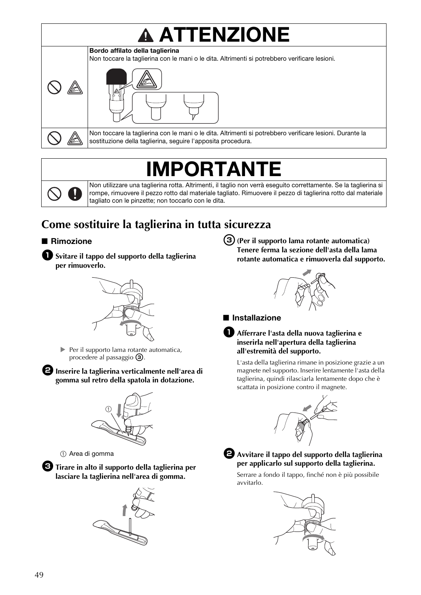# **ATTENZIONE**



Non toccare la taglierina con le mani o le dita. Altrimenti si potrebbero verificare lesioni. Durante la sostituzione della taglierina, seguire l'apposita procedura.

## IMPORTANTE

Non utilizzare una taglierina rotta. Altrimenti, il taglio non verrà eseguito correttamente. Se la taglierina si rompe, rimuovere il pezzo rotto dal materiale tagliato. Rimuovere il pezzo di taglierina rotto dal materiale tagliato con le pinzette; non toccarlo con le dita.

## **Come sostituire la taglierina in tutta sicurezza**

#### ■ Rimozione





Per il supporto lama rotante automatica, procedere al passaggio  $\circled{3}$ .

 $\Theta$  Inserire la taglierina verticalmente nell'area di **gomma sul retro della spatola in dotazione.**



a Area di gomma

**G** Tirare in alto il supporto della taglierina per **lasciare la taglierina nell'area di gomma.**



<sup>c</sup>**(Per il supporto lama rotante automatica) Tenere ferma la sezione dell'asta della lama rotante automatica e rimuoverla dal supporto.**



■ Installazione

#### <sup>a</sup>**Afferrare l'asta della nuova taglierina e inserirla nell'apertura della taglierina all'estremità del supporto.**

L'asta della taglierina rimane in posizione grazie a un magnete nel supporto. Inserire lentamente l'asta della taglierina, quindi rilasciarla lentamente dopo che è scattata in posizione contro il magnete.





<sup>b</sup>**Avvitare il tappo del supporto della taglierina per applicarlo sul supporto della taglierina.**

Serrare a fondo il tappo, finché non è più possibile avvitarlo.

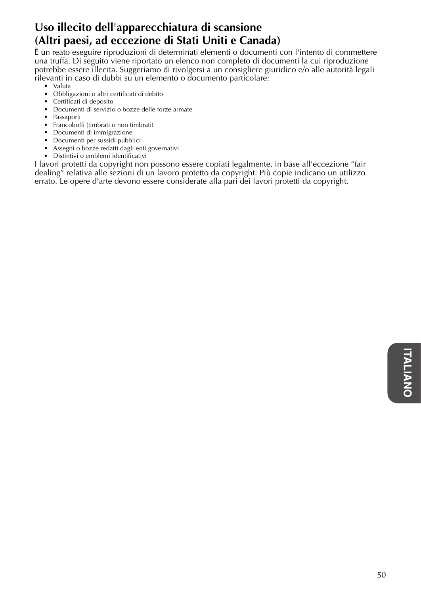### **Uso illecito dell'apparecchiatura di scansione (Altri paesi, ad eccezione di Stati Uniti e Canada)**

È un reato eseguire riproduzioni di determinati elementi o documenti con l'intento di commettere una truffa. Di seguito viene riportato un elenco non completo di documenti la cui riproduzione potrebbe essere illecita. Suggeriamo di rivolgersi a un consigliere giuridico e/o alle autorità legali rilevanti in caso di dubbi su un elemento o documento particolare:

- Valuta
- Obbligazioni o altri certificati di debito
- Certificati di deposito
- Documenti di servizio o bozze delle forze armate
- Passaporti
- Francobolli (timbrati o non timbrati)
- Documenti di immigrazione
- Documenti per sussidi pubblici
- Assegni o bozze redatti dagli enti governativi
- Distintivi o emblemi identificativi

I lavori protetti da copyright non possono essere copiati legalmente, in base all'eccezione "fair dealing" relativa alle sezioni di un lavoro protetto da copyright. Più copie indicano un utilizzo errato. Le opere d'arte devono essere considerate alla pari dei lavori protetti da copyright.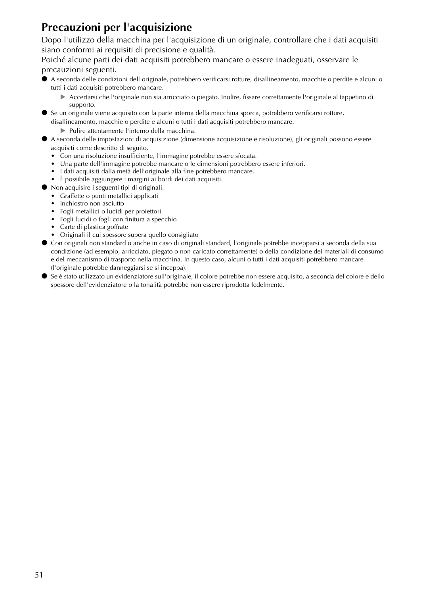## **Precauzioni per l'acquisizione**

Dopo l'utilizzo della macchina per l'acquisizione di un originale, controllare che i dati acquisiti siano conformi ai requisiti di precisione e qualità.

Poiché alcune parti dei dati acquisiti potrebbero mancare o essere inadeguati, osservare le precauzioni seguenti.

- A seconda delle condizioni dell'originale, potrebbero verificarsi rotture, disallineamento, macchie o perdite e alcuni o tutti i dati acquisiti potrebbero mancare.
	- Accertarsi che l'originale non sia arricciato o piegato. Inoltre, fissare correttamente l'originale al tappetino di supporto.
- Se un originale viene acquisito con la parte interna della macchina sporca, potrebbero verificarsi rotture, disallineamento, macchie o perdite e alcuni o tutti i dati acquisiti potrebbero mancare.
	- Pulire attentamente l'interno della macchina.
- A seconda delle impostazioni di acquisizione (dimensione acquisizione e risoluzione), gli originali possono essere acquisiti come descritto di seguito.
	- Con una risoluzione insufficiente, l'immagine potrebbe essere sfocata.
	- Una parte dell'immagine potrebbe mancare o le dimensioni potrebbero essere inferiori.
	- I dati acquisiti dalla metà dell'originale alla fine potrebbero mancare.
	- È possibile aggiungere i margini ai bordi dei dati acquisiti.
- Non acquisire i seguenti tipi di originali.
	- Graffette o punti metallici applicati
	- Inchiostro non asciutto
	- Fogli metallici o lucidi per proiettori
	- Fogli lucidi o fogli con finitura a specchio
	- Carte di plastica goffrate
	- Originali il cui spessore supera quello consigliato
- Con originali non standard o anche in caso di originali standard, l'originale potrebbe incepparsi a seconda della sua condizione (ad esempio, arricciato, piegato o non caricato correttamente) o della condizione dei materiali di consumo e del meccanismo di trasporto nella macchina. In questo caso, alcuni o tutti i dati acquisiti potrebbero mancare (l'originale potrebbe danneggiarsi se si inceppa).
- Se è stato utilizzato un evidenziatore sull'originale, il colore potrebbe non essere acquisito, a seconda del colore e dello spessore dell'evidenziatore o la tonalità potrebbe non essere riprodotta fedelmente.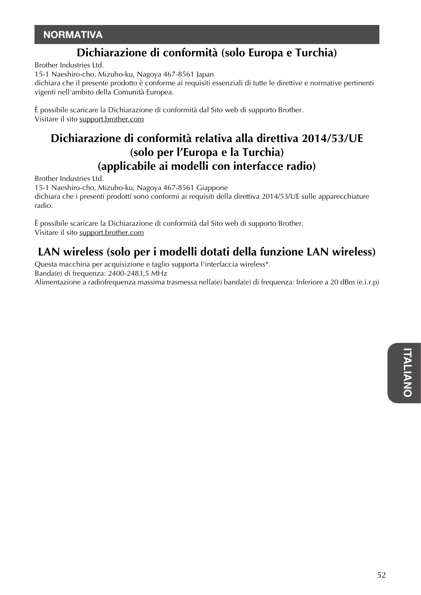### **NORMATIVA**

### **Dichiarazione di conformità (solo Europa e Turchia)**

Brother Industries Ltd.

15-1 Naeshiro-cho, Mizuho-ku, Nagoya 467-8561 Japan

dichiara che il presente prodotto è conforme ai requisiti essenziali di tutte le direttive e normative pertinenti vigenti nell'ambito della Comunità Europea.

È possibile scaricare la Dichiarazione di conformità dal Sito web di supporto Brother. Visitare il sito support.brother.com

### **Dichiarazione di conformità relativa alla direttiva 2014/53/UE (solo per l'Europa e la Turchia) (applicabile ai modelli con interfacce radio)**

Brother Industries Ltd.

15-1 Naeshiro-cho, Mizuho-ku, Nagoya 467-8561 Giappone dichiara che i presenti prodotti sono conformi ai requisiti della direttiva 2014/53/UE sulle apparecchiature radio.

È possibile scaricare la Dichiarazione di conformità dal Sito web di supporto Brother. Visitare il sito support.brother.com

### **LAN wireless (solo per i modelli dotati della funzione LAN wireless)**

Questa macchina per acquisizione e taglio supporta l'interfaccia wireless\*. Banda(e) di frequenza: 2400-2483,5 MHz Alimentazione a radiofrequenza massima trasmessa nella(e) banda(e) di frequenza: Inferiore a 20 dBm (e.i.r.p)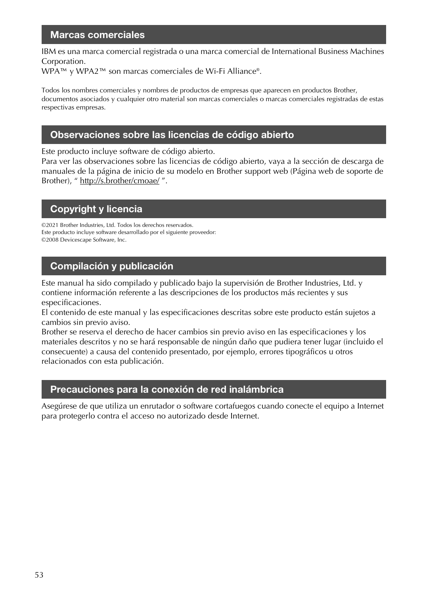#### Marcas comerciales

IBM es una marca comercial registrada o una marca comercial de International Business Machines Corporation.

WPA™ y WPA2™ son marcas comerciales de Wi-Fi Alliance®.

Todos los nombres comerciales y nombres de productos de empresas que aparecen en productos Brother, documentos asociados y cualquier otro material son marcas comerciales o marcas comerciales registradas de estas respectivas empresas.

#### Observaciones sobre las licencias de código abierto

Este producto incluye software de código abierto.

Para ver las observaciones sobre las licencias de código abierto, vaya a la sección de descarga de manuales de la página de inicio de su modelo en Brother support web (Página web de soporte de Brother), " http://s.brother/cmoae/".

#### Copyright y licencia

©2021 Brother Industries, Ltd. Todos los derechos reservados. Este producto incluye software desarrollado por el siguiente proveedor: ©2008 Devicescape Software, Inc.

#### Compilación y publicación

Este manual ha sido compilado y publicado bajo la supervisión de Brother Industries, Ltd. y contiene información referente a las descripciones de los productos más recientes y sus especificaciones.

El contenido de este manual y las especificaciones descritas sobre este producto están sujetos a cambios sin previo aviso.

Brother se reserva el derecho de hacer cambios sin previo aviso en las especificaciones y los materiales descritos y no se hará responsable de ningún daño que pudiera tener lugar (incluido el consecuente) a causa del contenido presentado, por ejemplo, errores tipográficos u otros relacionados con esta publicación.

#### Precauciones para la conexión de red inalámbrica

Asegúrese de que utiliza un enrutador o software cortafuegos cuando conecte el equipo a Internet para protegerlo contra el acceso no autorizado desde Internet.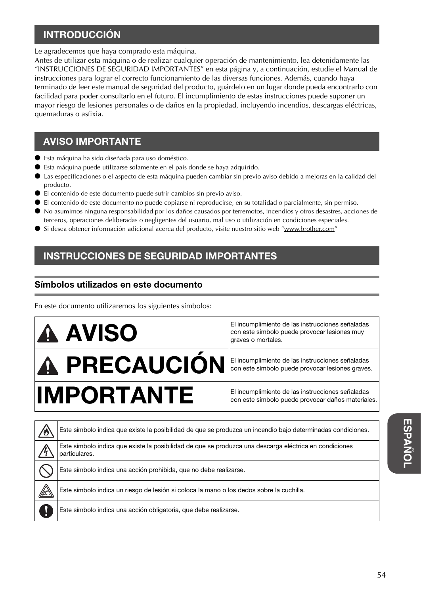### INTRODUCCIÓN

Le agradecemos que haya comprado esta máquina.

Antes de utilizar esta máquina o de realizar cualquier operación de mantenimiento, lea detenidamente las "INSTRUCCIONES DE SEGURIDAD IMPORTANTES" en esta página y, a continuación, estudie el Manual de instrucciones para lograr el correcto funcionamiento de las diversas funciones. Además, cuando haya terminado de leer este manual de seguridad del producto, guárdelo en un lugar donde pueda encontrarlo con facilidad para poder consultarlo en el futuro. El incumplimiento de estas instrucciones puede suponer un mayor riesgo de lesiones personales o de daños en la propiedad, incluyendo incendios, descargas eléctricas, quemaduras o asfixia.

### AVISO IMPORTANTE

- Esta máquina ha sido diseñada para uso doméstico.
- Esta máquina puede utilizarse solamente en el país donde se haya adquirido.
- Las especificaciones o el aspecto de esta máquina pueden cambiar sin previo aviso debido a mejoras en la calidad del producto.
- El contenido de este documento puede sufrir cambios sin previo aviso.
- El contenido de este documento no puede copiarse ni reproducirse, en su totalidad o parcialmente, sin permiso.
- No asumimos ninguna responsabilidad por los daños causados por terremotos, incendios y otros desastres, acciones de terceros, operaciones deliberadas o negligentes del usuario, mal uso o utilización en condiciones especiales.
- Si desea obtener información adicional acerca del producto, visite nuestro sitio web "www.brother.com"

### INSTRUCCIONES DE SEGURIDAD IMPORTANTES

#### Símbolos utilizados en este documento

En este documento utilizaremos los siguientes símbolos:



Este símbolo indica una acción prohibida, que no debe realizarse.

Este símbolo indica un riesgo de lesión si coloca la mano o los dedos sobre la cuchilla.

Este símbolo indica una acción obligatoria, que debe realizarse.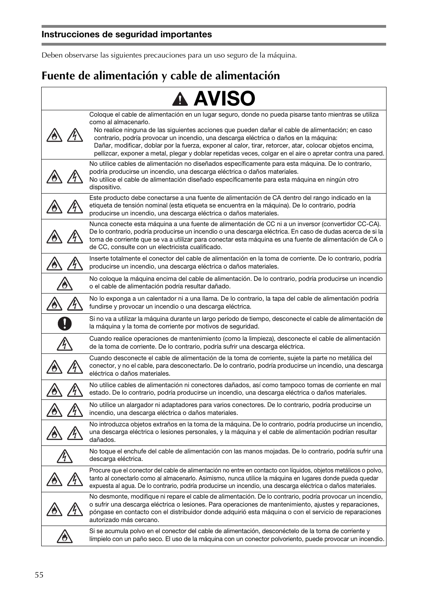Deben observarse las siguientes precauciones para un uso seguro de la máquina.

#### **Fuente de alimentación y cable de alimentación**  $\overline{r}$

|                    | <b>A AVISO</b>                                                                                                                                                                                                                                                                                                                                                                                                                                                                                                                                       |
|--------------------|------------------------------------------------------------------------------------------------------------------------------------------------------------------------------------------------------------------------------------------------------------------------------------------------------------------------------------------------------------------------------------------------------------------------------------------------------------------------------------------------------------------------------------------------------|
|                    | Coloque el cable de alimentación en un lugar seguro, donde no pueda pisarse tanto mientras se utiliza<br>como al almacenarlo.<br>No realice ninguna de las siguientes acciones que pueden dañar el cable de alimentación; en caso<br>contrario, podría provocar un incendio, una descarga eléctrica o daños en la máquina:<br>Dañar, modificar, doblar por la fuerza, exponer al calor, tirar, retorcer, atar, colocar objetos encima,<br>pellizcar, exponer a metal, plegar y doblar repetidas veces, colgar en el aire o apretar contra una pared. |
|                    | No utilice cables de alimentación no diseñados específicamente para esta máquina. De lo contrario,<br>podría producirse un incendio, una descarga eléctrica o daños materiales.<br>No utilice el cable de alimentación diseñado específicamente para esta máquina en ningún otro<br>dispositivo.                                                                                                                                                                                                                                                     |
|                    | Este producto debe conectarse a una fuente de alimentación de CA dentro del rango indicado en la<br>etiqueta de tensión nominal (esta etiqueta se encuentra en la máquina). De lo contrario, podría<br>producirse un incendio, una descarga eléctrica o daños materiales.                                                                                                                                                                                                                                                                            |
|                    | Nunca conecte esta máquina a una fuente de alimentación de CC ni a un inversor (convertidor CC-CA).<br>De lo contrario, podría producirse un incendio o una descarga eléctrica. En caso de dudas acerca de si la<br>toma de corriente que se va a utilizar para conectar esta máquina es una fuente de alimentación de CA o<br>de CC, consulte con un electricista cualificado.                                                                                                                                                                      |
|                    | Inserte totalmente el conector del cable de alimentación en la toma de corriente. De lo contrario, podría<br>producirse un incendio, una descarga eléctrica o daños materiales.                                                                                                                                                                                                                                                                                                                                                                      |
|                    | No coloque la máquina encima del cable de alimentación. De lo contrario, podría producirse un incendio<br>o el cable de alimentación podría resultar dañado.                                                                                                                                                                                                                                                                                                                                                                                         |
|                    | No lo exponga a un calentador ni a una llama. De lo contrario, la tapa del cable de alimentación podría<br>fundirse y provocar un incendio o una descarga eléctrica.                                                                                                                                                                                                                                                                                                                                                                                 |
|                    | Si no va a utilizar la máquina durante un largo período de tiempo, desconecte el cable de alimentación de<br>la máquina y la toma de corriente por motivos de seguridad.                                                                                                                                                                                                                                                                                                                                                                             |
|                    | Cuando realice operaciones de mantenimiento (como la limpieza), desconecte el cable de alimentación<br>de la toma de corriente. De lo contrario, podría sufrir una descarga eléctrica.                                                                                                                                                                                                                                                                                                                                                               |
|                    | Cuando desconecte el cable de alimentación de la toma de corriente, sujete la parte no metálica del<br>conector, y no el cable, para desconectarlo. De lo contrario, podría producirse un incendio, una descarga<br>eléctrica o daños materiales.                                                                                                                                                                                                                                                                                                    |
|                    | No utilice cables de alimentación ni conectores dañados, así como tampoco tomas de corriente en mal<br>estado. De lo contrario, podría producirse un incendio, una descarga eléctrica o daños materiales.                                                                                                                                                                                                                                                                                                                                            |
|                    | No utilice un alargador ni adaptadores para varios conectores. De lo contrario, podría producirse un<br>incendio, una descarga eléctrica o daños materiales.                                                                                                                                                                                                                                                                                                                                                                                         |
|                    | No introduzca objetos extraños en la toma de la máquina. De lo contrario, podría producirse un incendio,<br>una descarga eléctrica o lesiones personales, y la máquina y el cable de alimentación podrían resultar<br>dañados.                                                                                                                                                                                                                                                                                                                       |
| $\angle 4 \rangle$ | No toque el enchufe del cable de alimentación con las manos mojadas. De lo contrario, podría sufrir una<br>descarga eléctrica.                                                                                                                                                                                                                                                                                                                                                                                                                       |
|                    | Procure que el conector del cable de alimentación no entre en contacto con líquidos, objetos metálicos o polvo,<br>tanto al conectarlo como al almacenarlo. Asimismo, nunca utilice la máquina en lugares donde pueda quedar<br>expuesta al agua. De lo contrario, podría producirse un incendio, una descarga eléctrica o daños materiales.                                                                                                                                                                                                         |
|                    | No desmonte, modifique ni repare el cable de alimentación. De lo contrario, podría provocar un incendio,<br>o sufrir una descarga eléctrica o lesiones. Para operaciones de mantenimiento, ajustes y reparaciones,<br>póngase en contacto con el distribuidor donde adquirió esta máquina o con el servicio de reparaciones<br>autorizado más cercano.                                                                                                                                                                                               |
|                    | Si se acumula polvo en el conector del cable de alimentación, desconéctelo de la toma de corriente y<br>límpielo con un paño seco. El uso de la máquina con un conector polvoriento, puede provocar un incendio.                                                                                                                                                                                                                                                                                                                                     |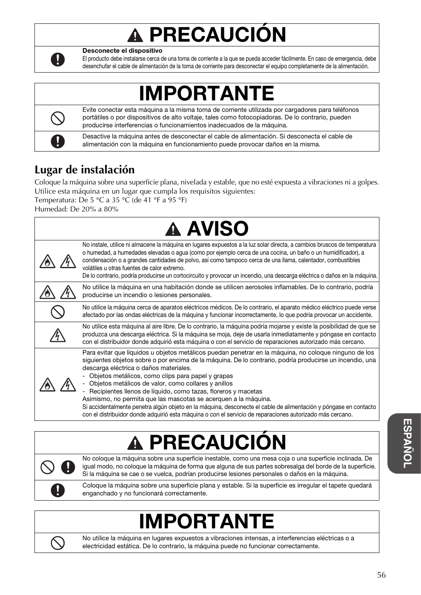# PRECAUCIÓN



Desconecte el dispositivo

El producto debe instalarse cerca de una toma de corriente a la que se pueda acceder fácilmente. En caso de emergencia, debe desenchufar el cable de alimentación de la toma de corriente para desconectar el equipo completamente de la alimentación.

## **MPORTANTE**

Evite conectar esta máquina a la misma toma de corriente utilizada por cargadores para teléfonos portátiles o por dispositivos de alto voltaje, tales como fotocopiadoras. De lo contrario, pueden producirse interferencias o funcionamientos inadecuados de la máquina.

Desactive la máquina antes de desconectar el cable de alimentación. Si desconecta el cable de alimentación con la máquina en funcionamiento puede provocar daños en la misma.

## **Lugar de instalación**

Coloque la máquina sobre una superficie plana, nivelada y estable, que no esté expuesta a vibraciones ni a golpes. Utilice esta máquina en un lugar que cumpla los requisitos siguientes:

Temperatura: De 5 °C a 35 °C (de 41 °F a 95 °F)

Humedad: De 20% a 80%

| <b>A AVISO</b>                                                                                                                                                                                                                                                                                                                                                                                                                                                                                                                                                                                                                                                                                                                                   |
|--------------------------------------------------------------------------------------------------------------------------------------------------------------------------------------------------------------------------------------------------------------------------------------------------------------------------------------------------------------------------------------------------------------------------------------------------------------------------------------------------------------------------------------------------------------------------------------------------------------------------------------------------------------------------------------------------------------------------------------------------|
| No instale, utilice ni almacene la máquina en lugares expuestos a la luz solar directa, a cambios bruscos de temperatura<br>o humedad, a humedades elevadas o agua (como por ejemplo cerca de una cocina, un baño o un humidificador), a<br>condensación o a grandes cantidades de polvo, así como tampoco cerca de una llama, calentador, combustibles<br>volátiles u otras fuentes de calor extremo.<br>De lo contrario, podría producirse un cortocircuito y provocar un incendio, una descarga eléctrica o daños en la máquina.                                                                                                                                                                                                              |
| No utilice la máquina en una habitación donde se utilicen aerosoles inflamables. De lo contrario, podría<br>producirse un incendio o lesiones personales.                                                                                                                                                                                                                                                                                                                                                                                                                                                                                                                                                                                        |
| No utilice la máquina cerca de aparatos eléctricos médicos. De lo contrario, el aparato médico eléctrico puede verse<br>afectado por las ondas eléctricas de la máquina y funcionar incorrectamente, lo que podría provocar un accidente.                                                                                                                                                                                                                                                                                                                                                                                                                                                                                                        |
| No utilice esta máquina al aire libre. De lo contrario, la máquina podría mojarse y existe la posibilidad de que se<br>produzca una descarga eléctrica. Si la máquina se moja, deje de usarla inmediatamente y póngase en contacto<br>con el distribuidor donde adquirió esta máquina o con el servicio de reparaciones autorizado más cercano.                                                                                                                                                                                                                                                                                                                                                                                                  |
| Para evitar que líquidos u objetos metálicos puedan penetrar en la máquina, no coloque ninguno de los<br>siguientes objetos sobre o por encima de la máquina. De lo contrario, podría producirse un incendio, una<br>descarga eléctrica o daños materiales.<br>- Objetos metálicos, como clips para papel y grapas<br>- Objetos metálicos de valor, como collares y anillos<br>Recipientes llenos de líquido, como tazas, floreros y macetas<br>Asimismo, no permita que las mascotas se acerquen a la máquina.<br>Si accidentalmente penetra algún objeto en la máquina, desconecte el cable de alimentación y póngase en contacto<br>con el distribuidor donde adquirió esta máquina o con el servicio de reparaciones autorizado más cercano. |

# **PRECAUCIO**

No coloque la máquina sobre una superficie inestable, como una mesa coja o una superficie inclinada. De igual modo, no coloque la máquina de forma que alguna de sus partes sobresalga del borde de la superficie. Si la máquina se cae o se vuelca, podrían producirse lesiones personales o daños en la máquina.

Coloque la máquina sobre una superficie plana y estable. Si la superficie es irregular el tapete quedará enganchado y no funcionará correctamente.

## **IMPORTANT**



No utilice la máquina en lugares expuestos a vibraciones intensas, a interferencias eléctricas o a electricidad estática. De lo contrario, la máquina puede no funcionar correctamente.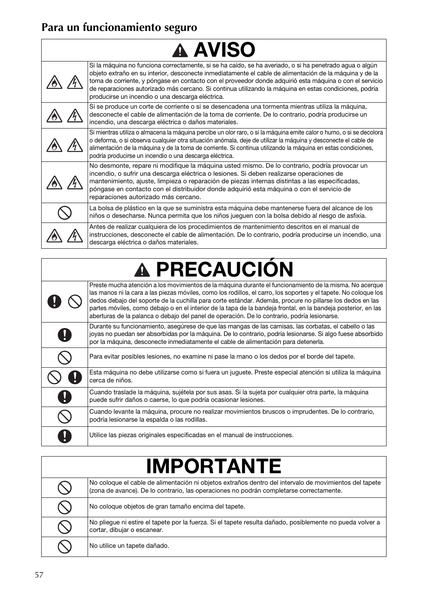## **Para un funcionamiento seguro**

| <b>A AVISO</b> |                                                                                                                                                                                                                                                                                                                                                                                                                                                                                             |  |
|----------------|---------------------------------------------------------------------------------------------------------------------------------------------------------------------------------------------------------------------------------------------------------------------------------------------------------------------------------------------------------------------------------------------------------------------------------------------------------------------------------------------|--|
|                | Si la máquina no funciona correctamente, si se ha caído, se ha averiado, o si ha penetrado agua o algún<br>objeto extraño en su interior, desconecte inmediatamente el cable de alimentación de la máquina y de la<br>toma de corriente, y póngase en contacto con el proveedor donde adquirió esta máquina o con el servicio<br>de reparaciones autorizado más cercano. Si continua utilizando la máquina en estas condiciones, podría<br>producirse un incendio o una descarga eléctrica. |  |
|                | Si se produce un corte de corriente o si se desencadena una tormenta mientras utiliza la máquina,<br>desconecte el cable de alimentación de la toma de corriente. De lo contrario, podría producirse un<br>incendio, una descarga eléctrica o daños materiales.                                                                                                                                                                                                                             |  |
|                | Si mientras utiliza o almacena la máquina percibe un olor raro, o si la máquina emite calor o humo, o si se decolora<br>o deforma, o si observa cualquier otra situación anómala, deje de utilizar la máquina y desconecte el cable de<br>alimentación de la máquina y de la toma de corriente. Si continua utilizando la máquina en estas condiciones,<br>podría producirse un incendio o una descarga eléctrica.                                                                          |  |
|                | No desmonte, repare ni modifique la máquina usted mismo. De lo contrario, podría provocar un<br>incendio, o sufrir una descarga eléctrica o lesiones. Si deben realizarse operaciones de<br>mantenimiento, ajuste, limpieza o reparación de piezas internas distintas a las especificadas,<br>póngase en contacto con el distribuidor donde adquirió esta máquina o con el servicio de<br>reparaciones autorizado más cercano.                                                              |  |
|                | La bolsa de plástico en la que se suministra esta máquina debe mantenerse fuera del alcance de los<br>niños o desecharse. Nunca permita que los niños jueguen con la bolsa debido al riesgo de asfixia.                                                                                                                                                                                                                                                                                     |  |
|                | Antes de realizar cualquiera de los procedimientos de mantenimiento descritos en el manual de<br>instrucciones, desconecte el cable de alimentación. De lo contrario, podría producirse un incendio, una<br>descarga eléctrica o daños materiales.                                                                                                                                                                                                                                          |  |

٦

# A PRECAUCIÓN

|                       | Preste mucha atención a los movimientos de la máquina durante el funcionamiento de la misma. No acerque<br>las manos ni la cara a las piezas móviles, como los rodillos, el carro, los soportes y el tapete. No cologue los<br>dedos debajo del soporte de la cuchilla para corte estándar. Además, procure no pillarse los dedos en las<br>partes móviles, como debajo o en el interior de la tapa de la bandeja frontal, en la bandeja posterior, en las |
|-----------------------|------------------------------------------------------------------------------------------------------------------------------------------------------------------------------------------------------------------------------------------------------------------------------------------------------------------------------------------------------------------------------------------------------------------------------------------------------------|
| $\boldsymbol{\theta}$ | aberturas de la palanca o debajo del panel de operación. De lo contrario, podría lesionarse.<br>Durante su funcionamiento, asegúrese de que las mangas de las camisas, las corbatas, el cabello o las<br>joyas no puedan ser absorbidas por la máquina. De lo contrario, podría lesionarse. Si algo fuese absorbido<br>por la máquina, desconecte inmediatamente el cable de alimentación para detenerla.                                                  |
|                       | Para evitar posibles lesiones, no examine ni pase la mano o los dedos por el borde del tapete.                                                                                                                                                                                                                                                                                                                                                             |
|                       | Esta máquina no debe utilizarse como si fuera un juguete. Preste especial atención si utiliza la máquina<br>cerca de niños.                                                                                                                                                                                                                                                                                                                                |
| $\mathbf{a}$          | Cuando traslade la máquina, sujétela por sus asas. Si la sujeta por cualquier otra parte, la máquina<br>puede sufrir daños o caerse, lo que podría ocasionar lesiones.                                                                                                                                                                                                                                                                                     |
|                       | Cuando levante la máquina, procure no realizar movimientos bruscos o imprudentes. De lo contrario,<br>podría lesionarse la espalda o las rodillas.                                                                                                                                                                                                                                                                                                         |
|                       | Utilice las piezas originales especificadas en el manual de instrucciones.                                                                                                                                                                                                                                                                                                                                                                                 |

# IMPORTANTE

| No cologue el cable de alimentación ni objetos extraños dentro del intervalo de movimientos del tapete<br>(zona de avance). De lo contrario, las operaciones no podrán completarse correctamente. |
|---------------------------------------------------------------------------------------------------------------------------------------------------------------------------------------------------|
| No coloque objetos de gran tamaño encima del tapete.                                                                                                                                              |
| No plieque ni estire el tapete por la fuerza. Si el tapete resulta dañado, posiblemente no pueda volver a<br>cortar, dibujar o escanear.                                                          |
| No utilice un tapete dañado.                                                                                                                                                                      |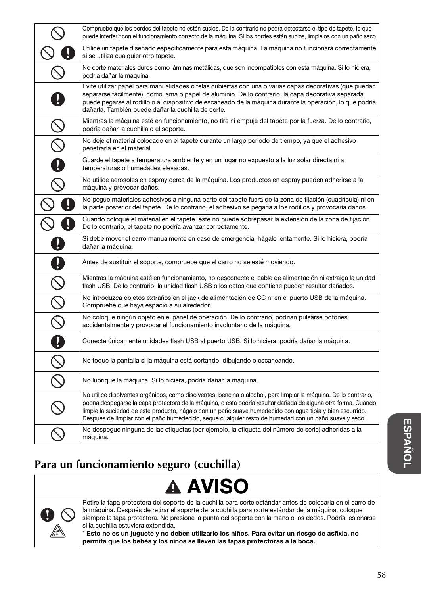|                                                                                                                 | Compruebe que los bordes del tapete no estén sucios. De lo contrario no podrá detectarse el tipo de tapete, lo que<br>puede interferir con el funcionamiento correcto de la máquina. Si los bordes están sucios, límpielos con un paño seco.                                                                                                                                                                                                             |
|-----------------------------------------------------------------------------------------------------------------|----------------------------------------------------------------------------------------------------------------------------------------------------------------------------------------------------------------------------------------------------------------------------------------------------------------------------------------------------------------------------------------------------------------------------------------------------------|
|                                                                                                                 | Utilice un tapete diseñado específicamente para esta máquina. La máquina no funcionará correctamente<br>si se utiliza cualquier otro tapete.                                                                                                                                                                                                                                                                                                             |
|                                                                                                                 | No corte materiales duros como láminas metálicas, que son incompatibles con esta máquina. Si lo hiciera,<br>podría dañar la máquina.                                                                                                                                                                                                                                                                                                                     |
|                                                                                                                 | Evite utilizar papel para manualidades o telas cubiertas con una o varias capas decorativas (que puedan<br>separarse fácilmente), como lama o papel de aluminio. De lo contrario, la capa decorativa separada<br>puede pegarse al rodillo o al dispositivo de escaneado de la máquina durante la operación, lo que podría<br>dañarla. También puede dañar la cuchilla de corte.                                                                          |
|                                                                                                                 | Mientras la máquina esté en funcionamiento, no tire ni empuje del tapete por la fuerza. De lo contrario,<br>podría dañar la cuchilla o el soporte.                                                                                                                                                                                                                                                                                                       |
|                                                                                                                 | No deje el material colocado en el tapete durante un largo periodo de tiempo, ya que el adhesivo<br>penetraría en el material.                                                                                                                                                                                                                                                                                                                           |
| 0                                                                                                               | Guarde el tapete a temperatura ambiente y en un lugar no expuesto a la luz solar directa ni a<br>temperaturas o humedades elevadas.                                                                                                                                                                                                                                                                                                                      |
|                                                                                                                 | No utilice aerosoles en espray cerca de la máquina. Los productos en espray pueden adherirse a la<br>máquina y provocar daños.                                                                                                                                                                                                                                                                                                                           |
|                                                                                                                 | No pegue materiales adhesivos a ninguna parte del tapete fuera de la zona de fijación (cuadrícula) ni en<br>la parte posterior del tapete. De lo contrario, el adhesivo se pegaría a los rodillos y provocaría daños.                                                                                                                                                                                                                                    |
|                                                                                                                 | Cuando coloque el material en el tapete, éste no puede sobrepasar la extensión de la zona de fijación.<br>De lo contrario, el tapete no podría avanzar correctamente.                                                                                                                                                                                                                                                                                    |
|                                                                                                                 | Si debe mover el carro manualmente en caso de emergencia, hágalo lentamente. Si lo hiciera, podría<br>dañar la máquina.                                                                                                                                                                                                                                                                                                                                  |
| 0                                                                                                               | Antes de sustituir el soporte, compruebe que el carro no se esté moviendo.                                                                                                                                                                                                                                                                                                                                                                               |
| $\overline{C}$                                                                                                  | Mientras la máquina esté en funcionamiento, no desconecte el cable de alimentación ni extraiga la unidad<br>flash USB. De lo contrario, la unidad flash USB o los datos que contiene pueden resultar dañados.                                                                                                                                                                                                                                            |
|                                                                                                                 | No introduzca objetos extraños en el jack de alimentación de CC ni en el puerto USB de la máquina.<br>Compruebe que haya espacio a su alrededor.                                                                                                                                                                                                                                                                                                         |
| $\frac{\infty}{\infty}$                                                                                         | No coloque ningún objeto en el panel de operación. De lo contrario, podrían pulsarse botones<br>accidentalmente y provocar el funcionamiento involuntario de la máquina.                                                                                                                                                                                                                                                                                 |
| 0                                                                                                               | Conecte únicamente unidades flash USB al puerto USB. Si lo hiciera, podría dañar la máquina.                                                                                                                                                                                                                                                                                                                                                             |
| $\mathcal{S}% _{M_{1},M_{2}}^{\alpha,\beta}(\varepsilon)=\mathcal{S}_{M_{1},M_{2}}^{\alpha,\beta}(\varepsilon)$ | No toque la pantalla si la máquina está cortando, dibujando o escaneando.                                                                                                                                                                                                                                                                                                                                                                                |
|                                                                                                                 | No lubrique la máquina. Si lo hiciera, podría dañar la máquina.                                                                                                                                                                                                                                                                                                                                                                                          |
|                                                                                                                 | No utilice disolventes orgánicos, como disolventes, bencina o alcohol, para limpiar la máquina. De lo contrario,<br>podría despegarse la capa protectora de la máquina, o ésta podría resultar dañada de alguna otra forma. Cuando<br>limpie la suciedad de este producto, hágalo con un paño suave humedecido con agua tibia y bien escurrido.<br>Después de limpiar con el paño humedecido, seque cualquier resto de humedad con un paño suave y seco. |
|                                                                                                                 | No despegue ninguna de las etiquetas (por ejemplo, la etiqueta del número de serie) adheridas a la<br>máquina.                                                                                                                                                                                                                                                                                                                                           |

## **Para un funcionamiento seguro (cuchilla)**

#### AVISO  $\blacktriangle$



Retire la tapa protectora del soporte de la cuchilla para corte estándar antes de colocarla en el carro de la máquina. Después de retirar el soporte de la cuchilla para corte estándar de la máquina, coloque siempre la tapa protectora. No presione la punta del soporte con la mano o los dedos. Podría lesionarse si la cuchilla estuviera extendida.

\* Esto no es un juguete y no deben utilizarlo los niños. Para evitar un riesgo de asfixia, no permita que los bebés y los niños se lleven las tapas protectoras a la boca.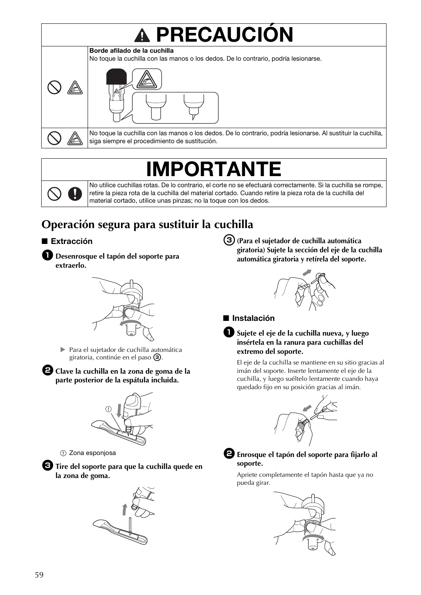# **A PRECAUCIÓN**



No toque la cuchilla con las manos o los dedos. De lo contrario, podría lesionarse. Al sustituir la cuchilla, siga siempre el procedimiento de sustitución.

## IMPORTANTE

No utilice cuchillas rotas. De lo contrario, el corte no se efectuará correctamente. Si la cuchilla se rompe, retire la pieza rota de la cuchilla del material cortado. Cuando retire la pieza rota de la cuchilla del material cortado, utilice unas pinzas; no la toque con los dedos.

## **Operación segura para sustituir la cuchilla**

#### ■ Extracción





 Para el sujetador de cuchilla automática giratoria, continúe en el paso  $\circled{3}$ .

<sup>b</sup>**Clave la cuchilla en la zona de goma de la parte posterior de la espátula incluida.**



 $\textcircled{\scriptsize{1}}$  Zona esponjosa

<sup>c</sup>**Tire del soporte para que la cuchilla quede en la zona de goma.**



c**(Para el sujetador de cuchilla automática giratoria) Sujete la sección del eje de la cuchilla automática giratoria y retírela del soporte.**



■ Instalación

#### <sup>a</sup>**Sujete el eje de la cuchilla nueva, y luego insértela en la ranura para cuchillas del extremo del soporte.**

El eje de la cuchilla se mantiene en su sitio gracias al imán del soporte. Inserte lentamente el eje de la cuchilla, y luego suéltelo lentamente cuando haya quedado fijo en su posición gracias al imán.





#### <sup>b</sup>**Enrosque el tapón del soporte para fijarlo al soporte.**

Apriete completamente el tapón hasta que ya no pueda girar.

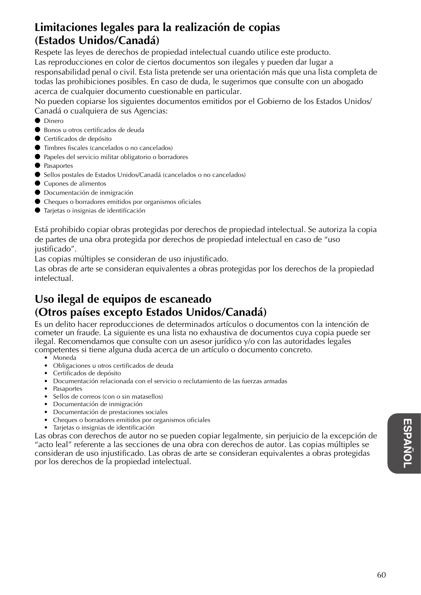### **Limitaciones legales para la realización de copias (Estados Unidos/Canadá)**

Respete las leyes de derechos de propiedad intelectual cuando utilice este producto. Las reproducciones en color de ciertos documentos son ilegales y pueden dar lugar a responsabilidad penal o civil. Esta lista pretende ser una orientación más que una lista completa de todas las prohibiciones posibles. En caso de duda, le sugerimos que consulte con un abogado acerca de cualquier documento cuestionable en particular.

No pueden copiarse los siguientes documentos emitidos por el Gobierno de los Estados Unidos/ Canadá o cualquiera de sus Agencias:

- Dinero
- Bonos u otros certificados de deuda
- Certificados de depósito
- Timbres fiscales (cancelados o no cancelados)
- Papeles del servicio militar obligatorio o borradores
- Pasaportes
- Sellos postales de Estados Unidos/Canadá (cancelados o no cancelados)
- Cupones de alimentos
- Documentación de inmigración
- Cheques o borradores emitidos por organismos oficiales
- Tarjetas o insignias de identificación

Está prohibido copiar obras protegidas por derechos de propiedad intelectual. Se autoriza la copia de partes de una obra protegida por derechos de propiedad intelectual en caso de "uso justificado".

Las copias múltiples se consideran de uso injustificado.

Las obras de arte se consideran equivalentes a obras protegidas por los derechos de la propiedad intelectual.

### **Uso ilegal de equipos de escaneado (Otros países excepto Estados Unidos/Canadá)**

Es un delito hacer reproducciones de determinados artículos o documentos con la intención de cometer un fraude. La siguiente es una lista no exhaustiva de documentos cuya copia puede ser ilegal. Recomendamos que consulte con un asesor jurídico y/o con las autoridades legales competentes si tiene alguna duda acerca de un artículo o documento concreto.

- Moneda
- Obligaciones u otros certificados de deuda
- Certificados de depósito
- Documentación relacionada con el servicio o reclutamiento de las fuerzas armadas
- Pasaportes
- Sellos de correos (con o sin matasellos)
- Documentación de inmigración
- Documentación de prestaciones sociales
- Cheques o borradores emitidos por organismos oficiales
- Tarjetas o insignias de identificación

Las obras con derechos de autor no se pueden copiar legalmente, sin perjuicio de la excepción de "acto leal" referente a las secciones de una obra con derechos de autor. Las copias múltiples se consideran de uso injustificado. Las obras de arte se consideran equivalentes a obras protegidas por los derechos de la propiedad intelectual.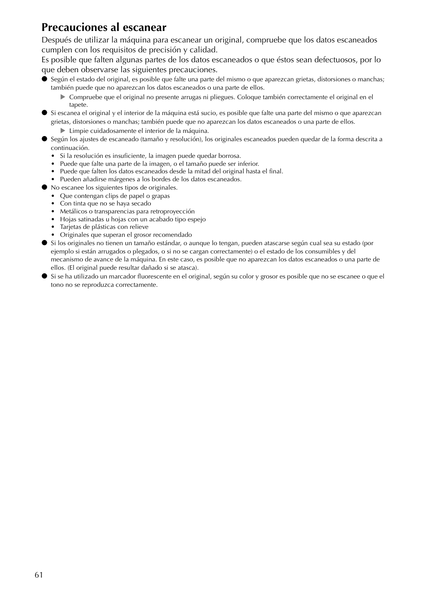### **Precauciones al escanear**

Después de utilizar la máquina para escanear un original, compruebe que los datos escaneados cumplen con los requisitos de precisión y calidad.

Es posible que falten algunas partes de los datos escaneados o que éstos sean defectuosos, por lo que deben observarse las siguientes precauciones.

- Según el estado del original, es posible que falte una parte del mismo o que aparezcan grietas, distorsiones o manchas; también puede que no aparezcan los datos escaneados o una parte de ellos.
	- Compruebe que el original no presente arrugas ni pliegues. Coloque también correctamente el original en el tapete.
- Si escanea el original y el interior de la máquina está sucio, es posible que falte una parte del mismo o que aparezcan grietas, distorsiones o manchas; también puede que no aparezcan los datos escaneados o una parte de ellos.
	- Limpie cuidadosamente el interior de la máquina.
- Según los ajustes de escaneado (tamaño y resolución), los originales escaneados pueden quedar de la forma descrita a continuación.
	- Si la resolución es insuficiente, la imagen puede quedar borrosa.
	- Puede que falte una parte de la imagen, o el tamaño puede ser inferior.
	- Puede que falten los datos escaneados desde la mitad del original hasta el final.
	- Pueden añadirse márgenes a los bordes de los datos escaneados.
- No escanee los siguientes tipos de originales.
	- Que contengan clips de papel o grapas
	- Con tinta que no se haya secado
	- Metálicos o transparencias para retroproyección
	- Hojas satinadas u hojas con un acabado tipo espejo
	- Tarjetas de plásticas con relieve
	- Originales que superan el grosor recomendado
- Si los originales no tienen un tamaño estándar, o aunque lo tengan, pueden atascarse según cual sea su estado (por ejemplo si están arrugados o plegados, o si no se cargan correctamente) o el estado de los consumibles y del mecanismo de avance de la máquina. En este caso, es posible que no aparezcan los datos escaneados o una parte de ellos. (El original puede resultar dañado si se atasca).
- Si se ha utilizado un marcador fluorescente en el original, según su color y grosor es posible que no se escanee o que el tono no se reproduzca correctamente.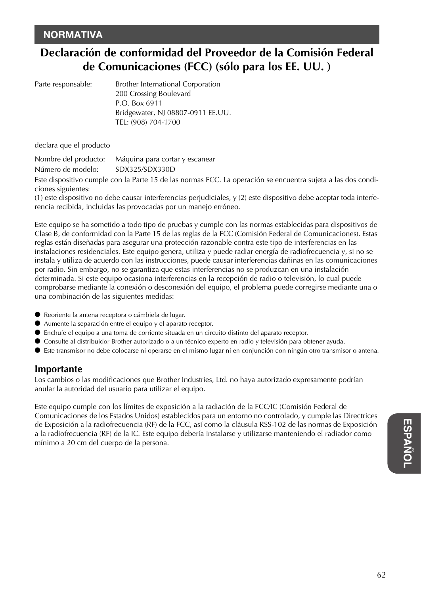### **NORMATIVA**

## **Declaración de conformidad del Proveedor de la Comisión Federal de Comunicaciones (FCC) (sólo para los EE. UU. )**

| Parte responsable: | Brother International Corporation |
|--------------------|-----------------------------------|
|                    | 200 Crossing Boulevard            |
|                    | P.O. Box 6911                     |
|                    | Bridgewater, NJ 08807-0911 EE.UU. |
|                    | TEL: (908) 704-1700               |

declara que el producto

Nombre del producto: Máquina para cortar y escanear Número de modelo: SDX325/SDX330D

Este dispositivo cumple con la Parte 15 de las normas FCC. La operación se encuentra sujeta a las dos condiciones siguientes:

(1) este dispositivo no debe causar interferencias perjudiciales, y (2) este dispositivo debe aceptar toda interferencia recibida, incluidas las provocadas por un manejo erróneo.

Este equipo se ha sometido a todo tipo de pruebas y cumple con las normas establecidas para dispositivos de Clase B, de conformidad con la Parte 15 de las reglas de la FCC (Comisión Federal de Comunicaciones). Estas reglas están diseñadas para asegurar una protección razonable contra este tipo de interferencias en las instalaciones residenciales. Este equipo genera, utiliza y puede radiar energía de radiofrecuencia y, si no se instala y utiliza de acuerdo con las instrucciones, puede causar interferencias dañinas en las comunicaciones por radio. Sin embargo, no se garantiza que estas interferencias no se produzcan en una instalación determinada. Si este equipo ocasiona interferencias en la recepción de radio o televisión, lo cual puede comprobarse mediante la conexión o desconexión del equipo, el problema puede corregirse mediante una o una combinación de las siguientes medidas:

- Reoriente la antena receptora o cámbiela de lugar.
- Aumente la separación entre el equipo y el aparato receptor.
- Enchufe el equipo a una toma de corriente situada en un circuito distinto del aparato receptor.
- Consulte al distribuidor Brother autorizado o a un técnico experto en radio y televisión para obtener ayuda.
- Este transmisor no debe colocarse ni operarse en el mismo lugar ni en conjunción con ningún otro transmisor o antena.

#### **Importante**

Los cambios o las modificaciones que Brother Industries, Ltd. no haya autorizado expresamente podrían anular la autoridad del usuario para utilizar el equipo.

Este equipo cumple con los límites de exposición a la radiación de la FCC/IC (Comisión Federal de Comunicaciones de los Estados Unidos) establecidos para un entorno no controlado, y cumple las Directrices de Exposición a la radiofrecuencia (RF) de la FCC, así como la cláusula RSS-102 de las normas de Exposición a la radiofrecuencia (RF) de la IC. Este equipo debería instalarse y utilizarse manteniendo el radiador como mínimo a 20 cm del cuerpo de la persona.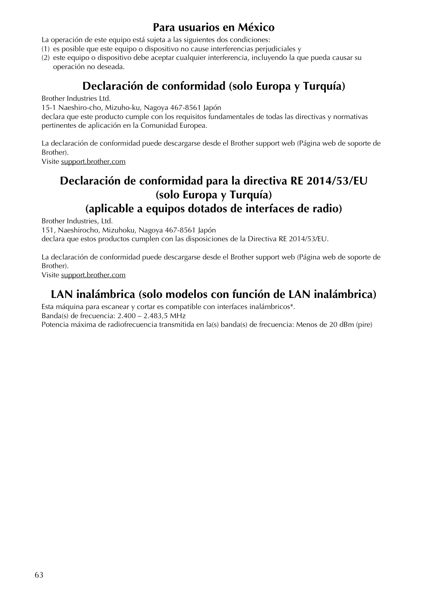### **Para usuarios en México**

La operación de este equipo está sujeta a las siguientes dos condiciones:

- (1) es posible que este equipo o dispositivo no cause interferencias perjudiciales y
- (2) este equipo o dispositivo debe aceptar cualquier interferencia, incluyendo la que pueda causar su operación no deseada.

## **Declaración de conformidad (solo Europa y Turquía)**

Brother Industries Ltd.

15-1 Naeshiro-cho, Mizuho-ku, Nagoya 467-8561 Japón

declara que este producto cumple con los requisitos fundamentales de todas las directivas y normativas pertinentes de aplicación en la Comunidad Europea.

La declaración de conformidad puede descargarse desde el Brother support web (Página web de soporte de Brother).

Visite support.brother.com

### **Declaración de conformidad para la directiva RE 2014/53/EU (solo Europa y Turquía) (aplicable a equipos dotados de interfaces de radio)**

Brother Industries, Ltd.

151, Naeshirocho, Mizuhoku, Nagoya 467-8561 Japón

declara que estos productos cumplen con las disposiciones de la Directiva RE 2014/53/EU.

La declaración de conformidad puede descargarse desde el Brother support web (Página web de soporte de Brother).

Visite support.brother.com

### **LAN inalámbrica (solo modelos con función de LAN inalámbrica)**

Esta máquina para escanear y cortar es compatible con interfaces inalámbricos\*.

Banda(s) de frecuencia: 2.400 – 2.483,5 MHz

Potencia máxima de radiofrecuencia transmitida en la(s) banda(s) de frecuencia: Menos de 20 dBm (pire)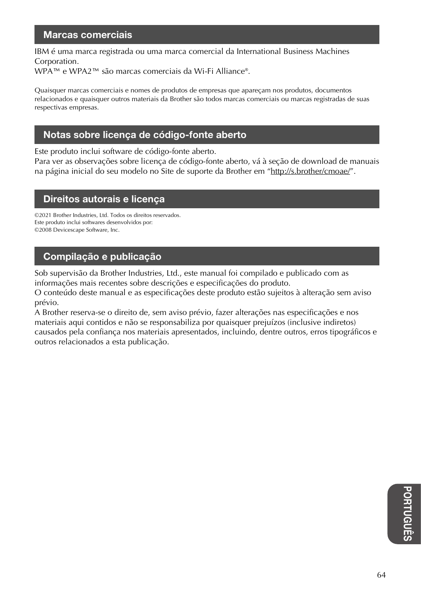#### Marcas comerciais

IBM é uma marca registrada ou uma marca comercial da International Business Machines Corporation.

WPA™ e WPA2™ são marcas comerciais da Wi-Fi Alliance®.

Quaisquer marcas comerciais e nomes de produtos de empresas que apareçam nos produtos, documentos relacionados e quaisquer outros materiais da Brother são todos marcas comerciais ou marcas registradas de suas respectivas empresas.

#### Notas sobre licença de código-fonte aberto

Este produto inclui software de código-fonte aberto.

Para ver as observações sobre licença de código-fonte aberto, vá à seção de download de manuais na página inicial do seu modelo no Site de suporte da Brother em "http://s.brother/cmoae/".

#### Direitos autorais e licença

©2021 Brother Industries, Ltd. Todos os direitos reservados. Este produto inclui softwares desenvolvidos por: ©2008 Devicescape Software, Inc.

#### Compilação e publicação

Sob supervisão da Brother Industries, Ltd., este manual foi compilado e publicado com as informações mais recentes sobre descrições e especificações do produto.

O conteúdo deste manual e as especificações deste produto estão sujeitos à alteração sem aviso prévio.

A Brother reserva-se o direito de, sem aviso prévio, fazer alterações nas especificações e nos materiais aqui contidos e não se responsabiliza por quaisquer prejuízos (inclusive indiretos) causados pela confiança nos materiais apresentados, incluindo, dentre outros, erros tipográficos e outros relacionados a esta publicação.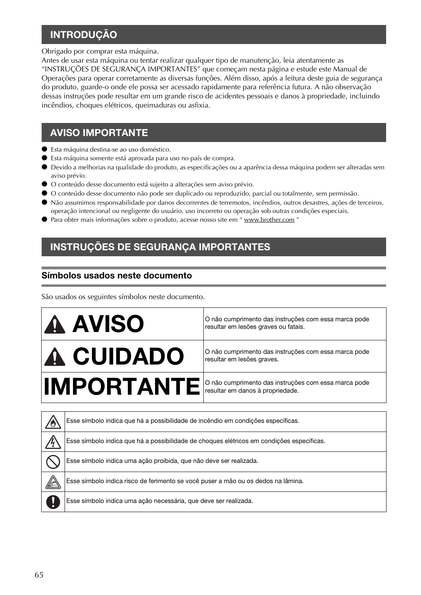### **INTRODUÇÃO**

Obrigado por comprar esta máquina.

Antes de usar esta máquina ou tentar realizar qualquer tipo de manutenção, leia atentamente as "INSTRUÇÕES DE SEGURANÇA IMPORTANTES" que começam nesta página e estude este Manual de Operações para operar corretamente as diversas funções. Além disso, após a leitura deste guia de segurança do produto, guarde-o onde ele possa ser acessado rapidamente para referência futura. A não observação dessas instruções pode resultar em um grande risco de acidentes pessoais e danos à propriedade, incluindo incêndios, choques elétricos, queimaduras ou asfixia.

#### AVISO IMPORTANTE

- Esta máquina destina-se ao uso doméstico.
- Esta máquina somente está aprovada para uso no país de compra.
- Devido a melhorias na qualidade do produto, as especificações ou a aparência dessa máquina podem ser alteradas sem aviso prévio.
- O conteúdo desse documento está sujeito a alterações sem aviso prévio.
- O conteúdo desse documento não pode ser duplicado ou reproduzido, parcial ou totalmente, sem permissão.
- Não assumimos responsabilidade por danos decorrentes de terremotos, incêndios, outros desastres, ações de terceiros, operação intencional ou negligente do usuário, uso incorreto ou operação sob outras condições especiais.
- Para obter mais informações sobre o produto, acesse nosso site em " www.brother.com "

### INSTRUÇÕES DE SEGURANÇA IMPORTANTES

#### Símbolos usados neste documento

São usados os seguintes símbolos neste documento.

| <b>A AVISO</b>   | O não cumprimento das instruções com essa marca pode<br>resultar em lesões graves ou fatais. |
|------------------|----------------------------------------------------------------------------------------------|
| <b>A CUIDADO</b> | O não cumprimento das instruções com essa marca pode<br>resultar em lesões graves.           |
|                  | IMPORTANTE  O não cumprimento das instruções com essa marca pode                             |

| Esse símbolo indica que há a possibilidade de incêndio em condições específicas.          |
|-------------------------------------------------------------------------------------------|
| Esse símbolo indica que há a possibilidade de choques elétricos em condições específicas. |
| Esse símbolo indica uma ação proibida, que não deve ser realizada.                        |
| Esse símbolo indica risco de ferimento se você puser a mão ou os dedos na lâmina.         |
| Esse símbolo indica uma ação necessária, que deve ser realizada.                          |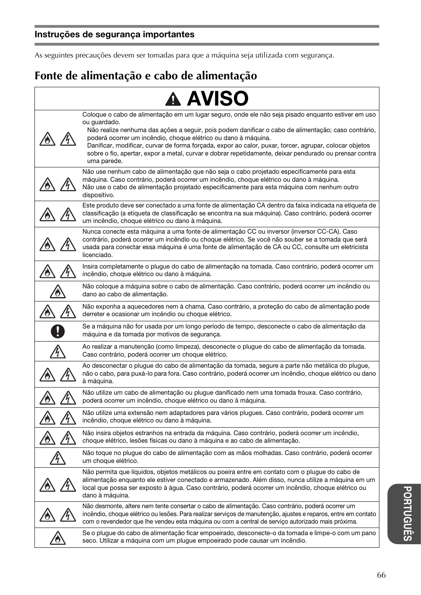As seguintes precauções devem ser tomadas para que a máquina seja utilizada com segurança.

## **Fonte de alimentação e cabo de alimentação**

|                        | <b>A AVISO</b>                                                                                                                                                                                                                                                                                                                                                                                                                                                                                                                 |
|------------------------|--------------------------------------------------------------------------------------------------------------------------------------------------------------------------------------------------------------------------------------------------------------------------------------------------------------------------------------------------------------------------------------------------------------------------------------------------------------------------------------------------------------------------------|
|                        | Coloque o cabo de alimentação em um lugar seguro, onde ele não seja pisado enquanto estiver em uso<br>ou guardado.<br>Não realize nenhuma das ações a seguir, pois podem danificar o cabo de alimentação; caso contrário,<br>poderá ocorrer um incêndio, choque elétrico ou dano à máquina.<br>Danificar, modificar, curvar de forma forçada, expor ao calor, puxar, torcer, agrupar, colocar objetos<br>sobre o fio, apertar, expor a metal, curvar e dobrar repetidamente, deixar pendurado ou prensar contra<br>uma parede. |
|                        | Não use nenhum cabo de alimentação que não seja o cabo projetado especificamente para esta<br>máquina. Caso contrário, poderá ocorrer um incêndio, choque elétrico ou dano à máquina.<br>Não use o cabo de alimentação projetado especificamente para esta máquina com nenhum outro<br>dispositivo.                                                                                                                                                                                                                            |
|                        | Este produto deve ser conectado a uma fonte de alimentação CA dentro da faixa indicada na etiqueta de<br>classificação (a etiqueta de classificação se encontra na sua máquina). Caso contrário, poderá ocorrer<br>um incêndio, choque elétrico ou dano à máquina.                                                                                                                                                                                                                                                             |
|                        | Nunca conecte esta máquina a uma fonte de alimentação CC ou inversor (inversor CC-CA). Caso<br>contrário, poderá ocorrer um incêndio ou choque elétrico. Se você não souber se a tomada que será<br>usada para conectar essa máquina é uma fonte de alimentação de CA ou CC, consulte um eletricista<br>licenciado.                                                                                                                                                                                                            |
|                        | Insira completamente o plugue do cabo de alimentação na tomada. Caso contrário, poderá ocorrer um<br>incêndio, choque elétrico ou dano à máquina.                                                                                                                                                                                                                                                                                                                                                                              |
|                        | Não coloque a máquina sobre o cabo de alimentação. Caso contrário, poderá ocorrer um incêndio ou<br>dano ao cabo de alimentação.                                                                                                                                                                                                                                                                                                                                                                                               |
|                        | Não exponha a aquecedores nem à chama. Caso contrário, a proteção do cabo de alimentação pode<br>derreter e ocasionar um incêndio ou choque elétrico.                                                                                                                                                                                                                                                                                                                                                                          |
|                        | Se a máquina não for usada por um longo período de tempo, desconecte o cabo de alimentação da<br>máquina e da tomada por motivos de segurança.                                                                                                                                                                                                                                                                                                                                                                                 |
|                        | Ao realizar a manutenção (como limpeza), desconecte o plugue do cabo de alimentação da tomada.<br>Caso contrário, poderá ocorrer um choque elétrico.                                                                                                                                                                                                                                                                                                                                                                           |
|                        | Ao desconectar o plugue do cabo de alimentação da tomada, segure a parte não metálica do plugue,<br>não o cabo, para puxá-lo para fora. Caso contrário, poderá ocorrer um incêndio, choque elétrico ou dano<br>à máquina.                                                                                                                                                                                                                                                                                                      |
|                        | Não utilize um cabo de alimentação ou plugue danificado nem uma tomada frouxa. Caso contrário,<br>poderá ocorrer um incêndio, choque elétrico ou dano à máquina.                                                                                                                                                                                                                                                                                                                                                               |
|                        | Não utilize uma extensão nem adaptadores para vários plugues. Caso contrário, poderá ocorrer um<br>incêndio, choque elétrico ou dano à máquina.                                                                                                                                                                                                                                                                                                                                                                                |
|                        | Não insira objetos estranhos na entrada da máquina. Caso contrário, poderá ocorrer um incêndio,<br>choque elétrico, lesões físicas ou dano à máquina e ao cabo de alimentação.                                                                                                                                                                                                                                                                                                                                                 |
| $\mathcal{L}^{\prime}$ | Não toque no plugue do cabo de alimentação com as mãos molhadas. Caso contrário, poderá ocorrer<br>um choque elétrico.                                                                                                                                                                                                                                                                                                                                                                                                         |
|                        | Não permita que líquidos, objetos metálicos ou poeira entre em contato com o plugue do cabo de<br>alimentação enquanto ele estiver conectado e armazenado. Além disso, nunca utilize a máquina em um<br>local que possa ser exposto à água. Caso contrário, poderá ocorrer um incêndio, choque elétrico ou<br>dano à máquina.                                                                                                                                                                                                  |
|                        | Não desmonte, altere nem tente consertar o cabo de alimentação. Caso contrário, poderá ocorrer um<br>incêndio, choque elétrico ou lesões. Para realizar serviços de manutenção, ajustes e reparos, entre em contato<br>com o revendedor que lhe vendeu esta máquina ou com a central de serviço autorizado mais próxima.                                                                                                                                                                                                       |
|                        | Se o plugue do cabo de alimentação ficar empoeirado, desconecte-o da tomada e limpe-o com um pano<br>seco. Utilizar a máquina com um plugue empoeirado pode causar um incêndio.                                                                                                                                                                                                                                                                                                                                                |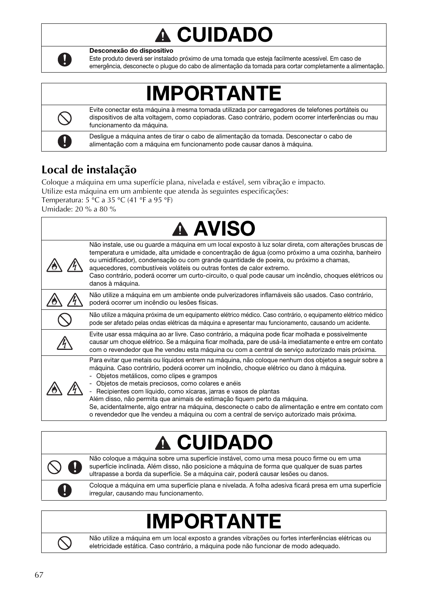### CUIDADO  $\boldsymbol{0}$



Desconexão do dispositivo

Este produto deverá ser instalado próximo de uma tomada que esteja facilmente acessível. Em caso de emergência, desconecte o plugue do cabo de alimentação da tomada para cortar completamente a alimentação.

## IMPORTANTE

Evite conectar esta máquina à mesma tomada utilizada por carregadores de telefones portáteis ou dispositivos de alta voltagem, como copiadoras. Caso contrário, podem ocorrer interferências ou mau funcionamento da máquina.

Desligue a máquina antes de tirar o cabo de alimentação da tomada. Desconectar o cabo de alimentação com a máquina em funcionamento pode causar danos à máquina.

## **Local de instalação**

Coloque a máquina em uma superfície plana, nivelada e estável, sem vibração e impacto. Utilize esta máquina em um ambiente que atenda às seguintes especificações:

Temperatura:  $5 \text{ °C}$  a 35  $\text{ °C}$  (41  $\text{ °F}$  a 95  $\text{ °F}$ )

Umidade: 20 % a 80 %

| <b>A AVISO</b>                                                                                                                                                                                                                                                                                                                                                                                                                                                                                                                                                                                                                                          |
|---------------------------------------------------------------------------------------------------------------------------------------------------------------------------------------------------------------------------------------------------------------------------------------------------------------------------------------------------------------------------------------------------------------------------------------------------------------------------------------------------------------------------------------------------------------------------------------------------------------------------------------------------------|
| Não instale, use ou guarde a máquina em um local exposto à luz solar direta, com alterações bruscas de<br>temperatura e umidade, alta umidade e concentração de água (como próximo a uma cozinha, banheiro<br>ou umidificador), condensação ou com grande quantidade de poeira, ou próximo a chamas,<br>aquecedores, combustíveis voláteis ou outras fontes de calor extremo.<br>Caso contrário, poderá ocorrer um curto-circuito, o qual pode causar um incêndio, choques elétricos ou<br>danos à máquina.                                                                                                                                             |
| Não utilize a máquina em um ambiente onde pulverizadores inflamáveis são usados. Caso contrário,<br>poderá ocorrer um incêndio ou lesões físicas.                                                                                                                                                                                                                                                                                                                                                                                                                                                                                                       |
| Não utilize a máquina próxima de um equipamento elétrico médico. Caso contrário, o equipamento elétrico médico<br>pode ser afetado pelas ondas elétricas da máquina e apresentar mau funcionamento, causando um acidente.                                                                                                                                                                                                                                                                                                                                                                                                                               |
| Evite usar essa máquina ao ar livre. Caso contrário, a máquina pode ficar molhada e possivelmente<br>causar um choque elétrico. Se a máquina ficar molhada, pare de usá-la imediatamente e entre em contato<br>com o revendedor que lhe vendeu esta máquina ou com a central de serviço autorizado mais próxima.                                                                                                                                                                                                                                                                                                                                        |
| Para evitar que metais ou líquidos entrem na máquina, não coloque nenhum dos objetos a seguir sobre a<br>máquina. Caso contrário, poderá ocorrer um incêndio, choque elétrico ou dano à máquina.<br>Objetos metálicos, como clipes e grampos<br>Objetos de metais preciosos, como colares e anéis<br>Recipientes com líquido, como xícaras, jarras e vasos de plantas<br>Além disso, não permita que animais de estimação fiquem perto da máquina.<br>Se, acidentalmente, algo entrar na máquina, desconecte o cabo de alimentação e entre em contato com<br>o revendedor que lhe vendeu a máquina ou com a central de servico autorizado mais próxima. |

### CUIDADO Ω



Não coloque a máquina sobre uma superfície instável, como uma mesa pouco firme ou em uma superfície inclinada. Além disso, não posicione a máquina de forma que qualquer de suas partes ultrapasse a borda da superfície. Se a máquina cair, poderá causar lesões ou danos.

Coloque a máquina em uma superfície plana e nivelada. A folha adesiva ficará presa em uma superfície irregular, causando mau funcionamento.

## IMPORTANTE



Não utilize a máquina em um local exposto a grandes vibrações ou fortes interferências elétricas ou eletricidade estática. Caso contrário, a máquina pode não funcionar de modo adequado.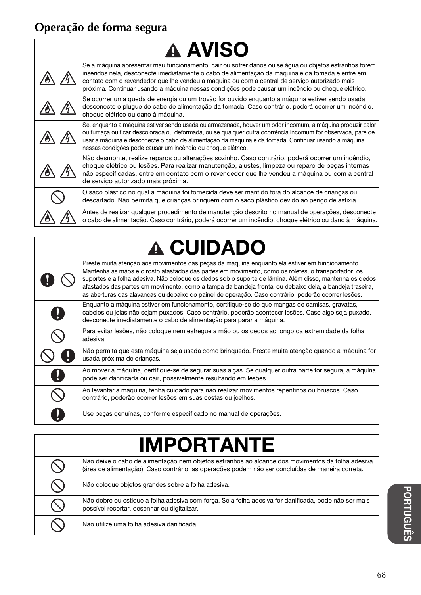## **Operação de forma segura**

| <b>A AVISO</b> |  |                                                                                                                                                                                                                                                                                                                                                                                                                |
|----------------|--|----------------------------------------------------------------------------------------------------------------------------------------------------------------------------------------------------------------------------------------------------------------------------------------------------------------------------------------------------------------------------------------------------------------|
|                |  | Se a máquina apresentar mau funcionamento, cair ou sofrer danos ou se água ou objetos estranhos forem<br>inseridos nela, desconecte imediatamente o cabo de alimentação da máquina e da tomada e entre em<br>contato com o revendedor que lhe vendeu a máquina ou com a central de serviço autorizado mais<br>próxima. Continuar usando a máquina nessas condições pode causar um incêndio ou choque elétrico. |
|                |  | Se ocorrer uma queda de energia ou um trovão for ouvido enquanto a máquina estiver sendo usada,<br>desconecte o plugue do cabo de alimentação da tomada. Caso contrário, poderá ocorrer um incêndio,<br>choque elétrico ou dano à máquina.                                                                                                                                                                     |
|                |  | Se, enguanto a máquina estiver sendo usada ou armazenada, houver um odor incomum, a máquina produzir calor<br>ou fumaça ou ficar descolorada ou deformada, ou se qualquer outra ocorrência incomum for observada, pare de<br>usar a máquina e desconecte o cabo de alimentação da máquina e da tomada. Continuar usando a máquina<br>nessas condições pode causar um incêndio ou choque elétrico.              |
|                |  | Não desmonte, realize reparos ou alterações sozinho. Caso contrário, poderá ocorrer um incêndio,<br>choque elétrico ou lesões. Para realizar manutenção, ajustes, limpeza ou reparo de peças internas<br>não especificadas, entre em contato com o revendedor que lhe vendeu a máquina ou com a central<br>de serviço autorizado mais próxima.                                                                 |
|                |  | O saco plástico no qual a máquina foi fornecida deve ser mantido fora do alcance de crianças ou<br>descartado. Não permita que crianças bringuem com o saco plástico devido ao perigo de asfixia.                                                                                                                                                                                                              |
|                |  | Antes de realizar qualquer procedimento de manutenção descrito no manual de operações, desconecte<br>o cabo de alimentação. Caso contrário, poderá ocorrer um incêndio, choque elétrico ou dano à máquina.                                                                                                                                                                                                     |

# A CUIDADO

|              | Preste muita atenção aos movimentos das pecas da máquina enquanto ela estiver em funcionamento.<br>Mantenha as mãos e o rosto afastados das partes em movimento, como os roletes, o transportador, os<br>suportes e a folha adesiva. Não coloque os dedos sob o suporte de lâmina. Além disso, mantenha os dedos<br>afastados das partes em movimento, como a tampa da bandeja frontal ou debaixo dela, a bandeja traseira,<br>as aberturas das alavancas ou debaixo do painel de operação. Caso contrário, poderão ocorrer lesões. |
|--------------|-------------------------------------------------------------------------------------------------------------------------------------------------------------------------------------------------------------------------------------------------------------------------------------------------------------------------------------------------------------------------------------------------------------------------------------------------------------------------------------------------------------------------------------|
|              | Enguanto a máguina estiver em funcionamento, certifique-se de que mangas de camisas, gravatas,<br>cabelos ou joias não sejam puxados. Caso contrário, poderão acontecer lesões. Caso algo seja puxado,<br>desconecte imediatamente o cabo de alimentação para parar a máquina.                                                                                                                                                                                                                                                      |
|              | Para evitar lesões, não coloque nem esfregue a mão ou os dedos ao longo da extremidade da folha<br>adesiva.                                                                                                                                                                                                                                                                                                                                                                                                                         |
|              | Não permita que esta máquina seja usada como bringuedo. Preste muita atenção quando a máquina for<br>usada próxima de crianças.                                                                                                                                                                                                                                                                                                                                                                                                     |
| $\mathbf{J}$ | Ao mover a máquina, certifique-se de segurar suas alças. Se qualquer outra parte for segura, a máquina<br>pode ser danificada ou cair, possivelmente resultando em lesões.                                                                                                                                                                                                                                                                                                                                                          |
|              | Ao levantar a máquina, tenha cuidado para não realizar movimentos repentinos ou bruscos. Caso<br>contrário, poderão ocorrer lesões em suas costas ou joelhos.                                                                                                                                                                                                                                                                                                                                                                       |
|              | Use pecas genuínas, conforme especificado no manual de operações.                                                                                                                                                                                                                                                                                                                                                                                                                                                                   |

| <b>IMPORTANTE</b> |                                                                                                                                                                                                      |  |
|-------------------|------------------------------------------------------------------------------------------------------------------------------------------------------------------------------------------------------|--|
|                   | Não deixe o cabo de alimentação nem objetos estranhos ao alcance dos movimentos da folha adesiva<br>(área de alimentação). Caso contrário, as operações podem não ser concluídas de maneira correta. |  |
|                   | Não coloque objetos grandes sobre a folha adesiva.                                                                                                                                                   |  |
|                   | Não dobre ou estique a folha adesiva com força. Se a folha adesiva for danificada, pode não ser mais<br>possível recortar, desenhar ou digitalizar.                                                  |  |
|                   | Não utilize uma folha adesiva danificada.                                                                                                                                                            |  |

**PORTUGUÊS PORTUGUÊS**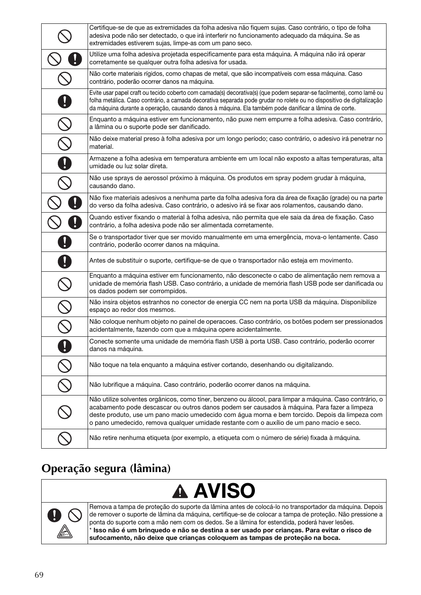|                         | Certifique-se de que as extremidades da folha adesiva não fiquem sujas. Caso contrário, o tipo de folha<br>adesiva pode não ser detectado, o que irá interferir no funcionamento adequado da máquina. Se as<br>extremidades estiverem sujas, limpe-as com um pano seco.                                                                                                                                 |
|-------------------------|---------------------------------------------------------------------------------------------------------------------------------------------------------------------------------------------------------------------------------------------------------------------------------------------------------------------------------------------------------------------------------------------------------|
|                         | Utilize uma folha adesiva projetada especificamente para esta máquina. A máquina não irá operar<br>corretamente se qualquer outra folha adesiva for usada.                                                                                                                                                                                                                                              |
|                         | Não corte materiais rígidos, como chapas de metal, que são incompatíveis com essa máquina. Caso<br>contrário, poderão ocorrer danos na máquina.                                                                                                                                                                                                                                                         |
|                         | Evite usar papel craft ou tecido coberto com camada(s) decorativa(s) (que podem separar-se facilmente), como lamê ou<br>folha metálica. Caso contrário, a camada decorativa separada pode grudar no rolete ou no dispositivo de digitalização<br>da máquina durante a operação, causando danos à máquina. Ela também pode danificar a lâmina de corte.                                                  |
|                         | Enquanto a máquina estiver em funcionamento, não puxe nem empurre a folha adesiva. Caso contrário,<br>a lâmina ou o suporte pode ser danificado.                                                                                                                                                                                                                                                        |
|                         | Não deixe material preso à folha adesiva por um longo período; caso contrário, o adesivo irá penetrar no<br>material.                                                                                                                                                                                                                                                                                   |
|                         | Armazene a folha adesiva em temperatura ambiente em um local não exposto a altas temperaturas, alta<br>umidade ou luz solar direta.                                                                                                                                                                                                                                                                     |
|                         | Não use sprays de aerossol próximo à máquina. Os produtos em spray podem grudar à máquina,<br>causando dano.                                                                                                                                                                                                                                                                                            |
|                         | Não fixe materiais adesivos a nenhuma parte da folha adesiva fora da área de fixação (grade) ou na parte<br>do verso da folha adesiva. Caso contrário, o adesivo irá se fixar aos rolamentos, causando dano.                                                                                                                                                                                            |
|                         | Quando estiver fixando o material à folha adesiva, não permita que ele saia da área de fixação. Caso<br>contrário, a folha adesiva pode não ser alimentada corretamente.                                                                                                                                                                                                                                |
|                         | Se o transportador tiver que ser movido manualmente em uma emergência, mova-o lentamente. Caso<br>contrário, poderão ocorrer danos na máquina.                                                                                                                                                                                                                                                          |
|                         | Antes de substituir o suporte, certifique-se de que o transportador não esteja em movimento.                                                                                                                                                                                                                                                                                                            |
|                         | Enquanto a máquina estiver em funcionamento, não desconecte o cabo de alimentação nem remova a<br>unidade de memória flash USB. Caso contrário, a unidade de memória flash USB pode ser danificada ou<br>os dados podem ser corrompidos.                                                                                                                                                                |
|                         | Não insira objetos estranhos no conector de energia CC nem na porta USB da máquina. Disponibilize<br>espaço ao redor dos mesmos.                                                                                                                                                                                                                                                                        |
| $\frac{\infty}{\infty}$ | Não coloque nenhum objeto no painel de operacoes. Caso contrário, os botões podem ser pressionados<br>acidentalmente, fazendo com que a máquina opere acidentalmente.                                                                                                                                                                                                                                   |
| 0                       | Conecte somente uma unidade de memória flash USB à porta USB. Caso contrário, poderão ocorrer<br>danos na máquina.                                                                                                                                                                                                                                                                                      |
|                         | Não toque na tela enquanto a máquina estiver cortando, desenhando ou digitalizando.                                                                                                                                                                                                                                                                                                                     |
|                         | Não lubrifique a máquina. Caso contrário, poderão ocorrer danos na máquina.                                                                                                                                                                                                                                                                                                                             |
|                         | Não utilize solventes orgânicos, como tíner, benzeno ou álcool, para limpar a máquina. Caso contrário, o<br>acabamento pode descascar ou outros danos podem ser causados à máquina. Para fazer a limpeza<br>deste produto, use um pano macio umedecido com água morna e bem torcido. Depois da limpeza com<br>o pano umedecido, remova qualquer umidade restante com o auxílio de um pano macio e seco. |
|                         | Não retire nenhuma etiqueta (por exemplo, a etiqueta com o número de série) fixada à máquina.                                                                                                                                                                                                                                                                                                           |

## **Operação segura (lâmina)**





Remova a tampa de proteção do suporte da lâmina antes de colocá-lo no transportador da máquina. Depois de remover o suporte de lâmina da máquina, certifique-se de colocar a tampa de proteção. Não pressione a ponta do suporte com a mão nem com os dedos. Se a lâmina for estendida, poderá haver lesões. \* Isso não é um brinquedo e não se destina a ser usado por crianças. Para evitar o risco de sufocamento, não deixe que crianças coloquem as tampas de proteção na boca.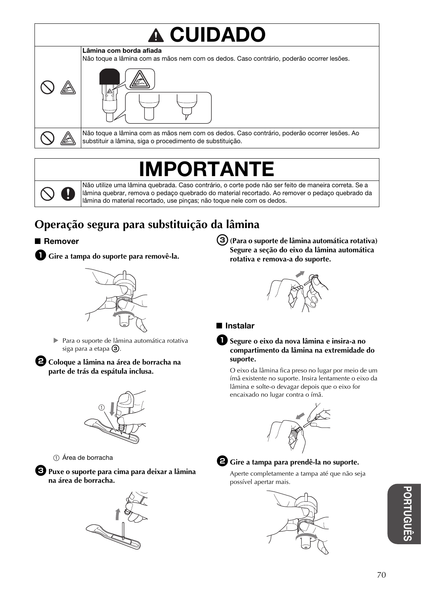# CUIDADO





Não toque a lâmina com as mãos nem com os dedos. Caso contrário, poderão ocorrer lesões. Ao substituir a lâmina, siga o procedimento de substituição.

## RTAN



Não utilize uma lâmina quebrada. Caso contrário, o corte pode não ser feito de maneira correta. Se a lâmina quebrar, remova o pedaço quebrado do material recortado. Ao remover o pedaço quebrado da lâmina do material recortado, use pinças; não toque nele com os dedos.

## **Operação segura para substituição da lâmina**

#### ■ Remover



<sup>a</sup>**Gire a tampa do suporte para removê-la.**



 Para o suporte de lâmina automática rotativa siga para a etapa  $\circled{3}$ .

 $\bullet$  **Coloque a lâmina na área de borracha na parte de trás da espátula inclusa.**



a Área de borracha

<sup>c</sup>**Puxe o suporte para cima para deixar a lâmina na área de borracha.**



<sup>c</sup>**(Para o suporte de lâmina automática rotativa) Segure a seção do eixo da lâmina automática rotativa e remova-a do suporte.**



#### ■ Instalar



#### <sup>a</sup>**Segure o eixo da nova lâmina e insira-a no compartimento da lâmina na extremidade do suporte.**

O eixo da lâmina fica preso no lugar por meio de um ímã existente no suporte. Insira lentamente o eixo da lâmina e solte-o devagar depois que o eixo for encaixado no lugar contra o ímã.





<sup>b</sup>**Gire a tampa para prendê-la no suporte.**

Aperte completamente a tampa até que não seja possível apertar mais.

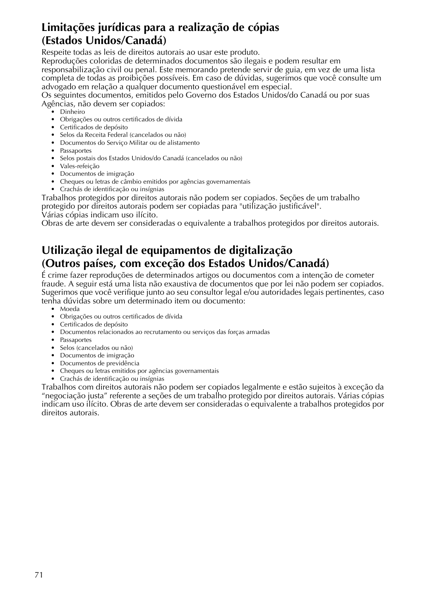### **Limitações jurídicas para a realização de cópias (Estados Unidos/Canadá)**

Respeite todas as leis de direitos autorais ao usar este produto.

Reproduções coloridas de determinados documentos são ilegais e podem resultar em responsabilização civil ou penal. Este memorando pretende servir de guia, em vez de uma lista completa de todas as proibições possíveis. Em caso de dúvidas, sugerimos que você consulte um advogado em relação a qualquer documento questionável em especial.

Os seguintes documentos, emitidos pelo Governo dos Estados Unidos/do Canadá ou por suas Agências, não devem ser copiados:

- Dinheiro
- Obrigações ou outros certificados de dívida
- Certificados de depósito
- Selos da Receita Federal (cancelados ou não)
- Documentos do Serviço Militar ou de alistamento
- Passaportes
- Selos postais dos Estados Unidos/do Canadá (cancelados ou não)
- Vales-refeição
- Documentos de imigração
- Cheques ou letras de câmbio emitidos por agências governamentais
- Crachás de identificação ou insígnias

Trabalhos protegidos por direitos autorais não podem ser copiados. Seções de um trabalho protegido por direitos autorais podem ser copiadas para "utilização justificável". Várias cópias indicam uso ilícito.

Obras de arte devem ser consideradas o equivalente a trabalhos protegidos por direitos autorais.

### **Utilização ilegal de equipamentos de digitalização (Outros países, com exceção dos Estados Unidos/Canadá)**

É crime fazer reproduções de determinados artigos ou documentos com a intenção de cometer fraude. A seguir está uma lista não exaustiva de documentos que por lei não podem ser copiados. Sugerimos que você verifique junto ao seu consultor legal e/ou autoridades legais pertinentes, caso tenha dúvidas sobre um determinado item ou documento:

- Moeda
- Obrigações ou outros certificados de dívida
- Certificados de depósito
- Documentos relacionados ao recrutamento ou serviços das forças armadas
- Passaportes
- Selos (cancelados ou não)
- Documentos de imigração
- Documentos de previdência
- Cheques ou letras emitidos por agências governamentais
- Crachás de identificação ou insígnias

Trabalhos com direitos autorais não podem ser copiados legalmente e estão sujeitos à exceção da "negociação justa" referente a seções de um trabalho protegido por direitos autorais. Várias cópias indicam uso ilícito. Obras de arte devem ser consideradas o equivalente a trabalhos protegidos por direitos autorais.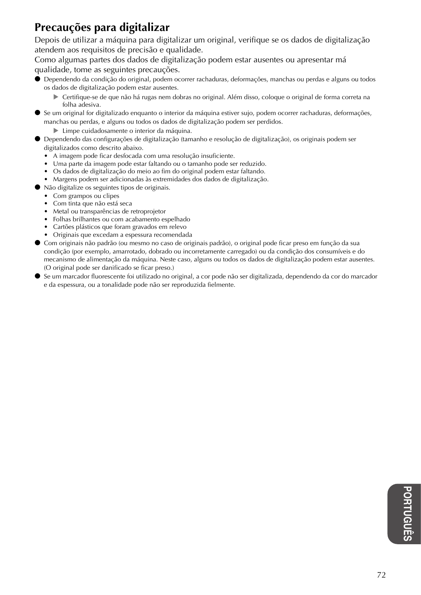## **Precauções para digitalizar**

Depois de utilizar a máquina para digitalizar um original, verifique se os dados de digitalização atendem aos requisitos de precisão e qualidade.

Como algumas partes dos dados de digitalização podem estar ausentes ou apresentar má qualidade, tome as seguintes precauções.

- Dependendo da condição do original, podem ocorrer rachaduras, deformações, manchas ou perdas e alguns ou todos os dados de digitalização podem estar ausentes.
	- Certifique-se de que não há rugas nem dobras no original. Além disso, coloque o original de forma correta na folha adesiva.
- Se um original for digitalizado enquanto o interior da máquina estiver sujo, podem ocorrer rachaduras, deformações, manchas ou perdas, e alguns ou todos os dados de digitalização podem ser perdidos.
	- Limpe cuidadosamente o interior da máquina.
- Dependendo das configurações de digitalização (tamanho e resolução de digitalização), os originais podem ser digitalizados como descrito abaixo.
	- A imagem pode ficar desfocada com uma resolução insuficiente.
	- Uma parte da imagem pode estar faltando ou o tamanho pode ser reduzido.
	- Os dados de digitalização do meio ao fim do original podem estar faltando.
	- Margens podem ser adicionadas às extremidades dos dados de digitalização.
- Não digitalize os seguintes tipos de originais.
	- Com grampos ou clipes
	- Com tinta que não está seca
	- Metal ou transparências de retroprojetor
	- Folhas brilhantes ou com acabamento espelhado
	- Cartões plásticos que foram gravados em relevo
	- Originais que excedam a espessura recomendada
- Com originais não padrão (ou mesmo no caso de originais padrão), o original pode ficar preso em função da sua condição (por exemplo, amarrotado, dobrado ou incorretamente carregado) ou da condição dos consumíveis e do mecanismo de alimentação da máquina. Neste caso, alguns ou todos os dados de digitalização podem estar ausentes. (O original pode ser danificado se ficar preso.)
- Se um marcador fluorescente foi utilizado no original, a cor pode não ser digitalizada, dependendo da cor do marcador e da espessura, ou a tonalidade pode não ser reproduzida fielmente.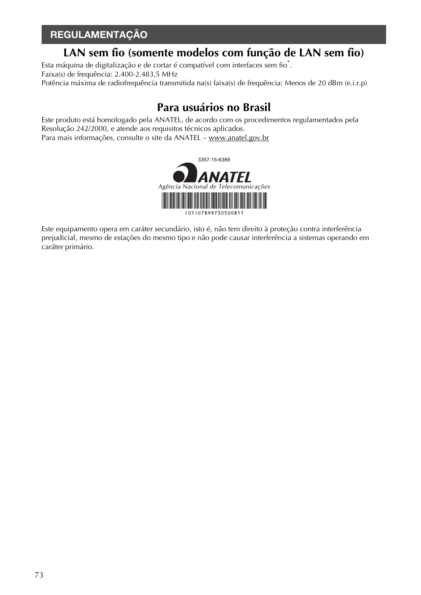## REGULAMENTAÇÃO

## **LAN sem fio (somente modelos com função de LAN sem fio)**

Esta máquina de digitalização e de cortar é compatível com interfaces sem fio $\degree$ . Faixa(s) de frequência: 2.400-2.483,5 MHz Potência máxima de radiofrequência transmitida na(s) faixa(s) de frequência: Menos de 20 dBm (e.i.r.p)

## **Para usuários no Brasil**

Este produto está homologado pela ANATEL, de acordo com os procedimentos regulamentados pela Resolução 242/2000, e atende aos requisitos técnicos aplicados. Para mais informações, consulte o site da ANATEL – www.anatel.gov.br



Este equipamento opera em caráter secundário, isto é, não tem direito à proteção contra interferência prejudicial, mesmo de estações do mesmo tipo e não pode causar interferência a sistemas operando em caráter primário.